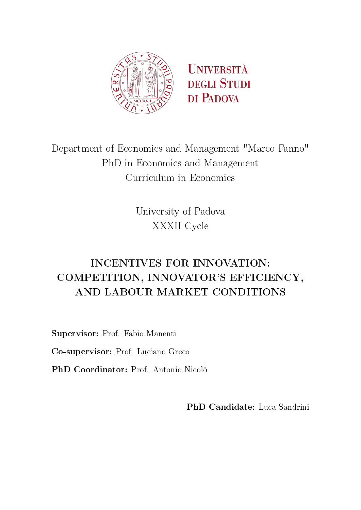<span id="page-0-0"></span>



Department of Economics and Management "Marco Fanno" PhD in Economics and Management Curriculum in Economics

> University of Padova XXXII Cycle

### INCENTIVES FOR INNOVATION: COMPETITION, INNOVATOR'S EFFICIENCY, AND LABOUR MARKET CONDITIONS

Supervisor: Prof. Fabio Manenti

Co-supervisor: Prof. Luciano Greco

PhD Coordinator: Prof. Antonio Nicolò

PhD Candidate: Luca Sandrini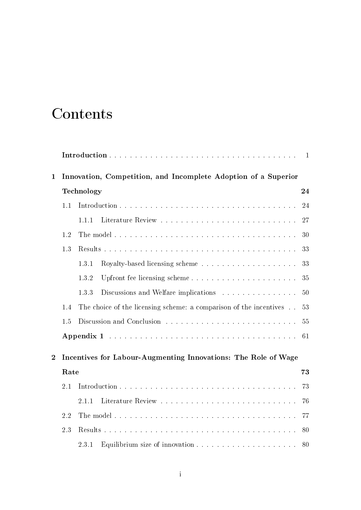# **Contents**

|                |                                                                |                                                                    | -1 |  |
|----------------|----------------------------------------------------------------|--------------------------------------------------------------------|----|--|
| 1              |                                                                | Innovation, Competition, and Incomplete Adoption of a Superior     |    |  |
|                |                                                                | Technology                                                         | 24 |  |
|                | 1.1                                                            |                                                                    | 24 |  |
|                |                                                                | 1.1.1                                                              | 27 |  |
|                | 1.2                                                            |                                                                    | 30 |  |
|                | 1.3                                                            |                                                                    | 33 |  |
|                |                                                                | 1.3.1                                                              | 33 |  |
|                |                                                                | 1.3.2                                                              | 35 |  |
|                |                                                                | Discussions and Welfare implications<br>1.3.3                      | 50 |  |
| 1.4            |                                                                | The choice of the licensing scheme: a comparison of the incentives | 53 |  |
|                | 1.5                                                            |                                                                    | 55 |  |
|                |                                                                |                                                                    |    |  |
| $\overline{2}$ | Incentives for Labour-Augmenting Innovations: The Role of Wage |                                                                    |    |  |
|                | Rate<br>73                                                     |                                                                    |    |  |
|                | 2.1                                                            |                                                                    | 73 |  |
|                |                                                                | 2.1.1                                                              | 76 |  |
|                | 2.2                                                            |                                                                    | 77 |  |
|                | 2.3                                                            | 80                                                                 |    |  |
|                |                                                                | 2.3.1                                                              | 80 |  |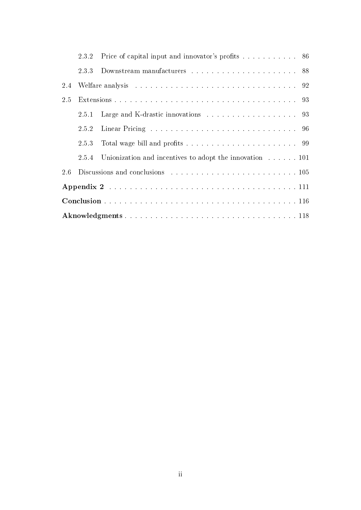|     | 2.3.2 | Price of capital input and innovator's profits 86                           |  |  |  |
|-----|-------|-----------------------------------------------------------------------------|--|--|--|
|     | 2.3.3 |                                                                             |  |  |  |
| 2.4 |       |                                                                             |  |  |  |
| 2.5 |       |                                                                             |  |  |  |
|     |       | 2.5.1 Large and K-drastic innovations 93                                    |  |  |  |
|     | 2.5.2 |                                                                             |  |  |  |
|     | 2.5.3 |                                                                             |  |  |  |
|     |       | 2.5.4 Unionization and incentives to adopt the innovation $\dots \dots 101$ |  |  |  |
| 2.6 |       |                                                                             |  |  |  |
|     |       |                                                                             |  |  |  |
|     |       |                                                                             |  |  |  |
|     |       |                                                                             |  |  |  |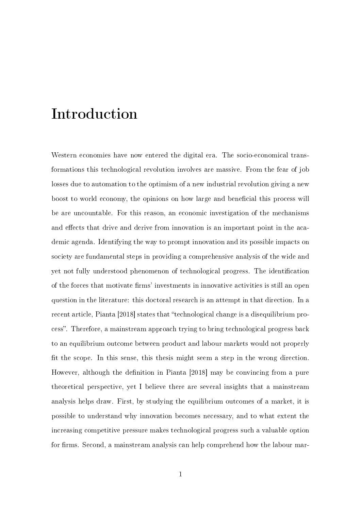## <span id="page-3-0"></span>Introduction

Western economies have now entered the digital era. The socio-economical transformations this technological revolution involves are massive. From the fear of job losses due to automation to the optimism of a new industrial revolution giving a new boost to world economy, the opinions on how large and beneficial this process will be are uncountable. For this reason, an economic investigation of the mechanisms and effects that drive and derive from innovation is an important point in the academic agenda. Identifying the way to prompt innovation and its possible impacts on society are fundamental steps in providing a comprehensive analysis of the wide and yet not fully understood phenomenon of technological progress. The identication of the forces that motivate firms' investments in innovative activities is still an open question in the literature: this doctoral research is an attempt in that direction. In a recent article, Pianta [2018] states that "technological change is a disequilibrium process. Therefore, a mainstream approach trying to bring technological progress back to an equilibrium outcome between product and labour markets would not properly t the scope. In this sense, this thesis might seem a step in the wrong direction. However, although the definition in Pianta [2018] may be convincing from a pure theoretical perspective, yet I believe there are several insights that a mainstream analysis helps draw. First, by studying the equilibrium outcomes of a market, it is possible to understand why innovation becomes necessary, and to what extent the increasing competitive pressure makes technological progress such a valuable option for firms. Second, a mainstream analysis can help comprehend how the labour mar-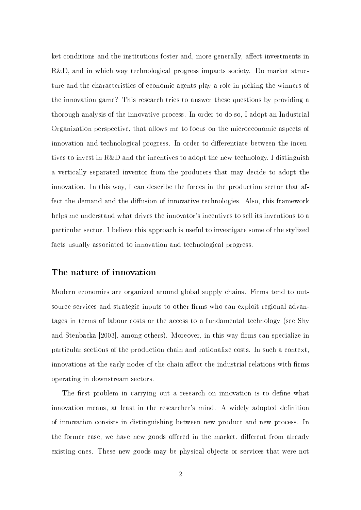ket conditions and the institutions foster and, more generally, affect investments in R&D, and in which way technological progress impacts society. Do market structure and the characteristics of economic agents play a role in picking the winners of the innovation game? This research tries to answer these questions by providing a thorough analysis of the innovative process. In order to do so, I adopt an Industrial Organization perspective, that allows me to focus on the microeconomic aspects of innovation and technological progress. In order to differentiate between the incentives to invest in R&D and the incentives to adopt the new technology, I distinguish a vertically separated inventor from the producers that may decide to adopt the innovation. In this way, I can describe the forces in the production sector that affect the demand and the diffusion of innovative technologies. Also, this framework helps me understand what drives the innovator's incentives to sell its inventions to a particular sector. I believe this approach is useful to investigate some of the stylized facts usually associated to innovation and technological progress.

#### The nature of innovation

Modern economies are organized around global supply chains. Firms tend to outsource services and strategic inputs to other firms who can exploit regional advantages in terms of labour costs or the access to a fundamental technology (see Shy and Stenbacka  $[2003]$ , among others). Moreover, in this way firms can specialize in particular sections of the production chain and rationalize costs. In such a context, innovations at the early nodes of the chain affect the industrial relations with firms operating in downstream sectors.

The first problem in carrying out a research on innovation is to define what innovation means, at least in the researcher's mind. A widely adopted definition of innovation consists in distinguishing between new product and new process. In the former case, we have new goods offered in the market, different from already existing ones. These new goods may be physical objects or services that were not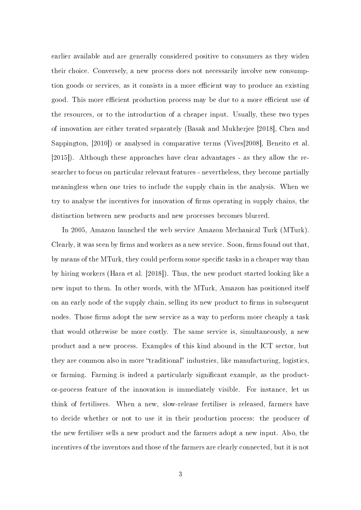earlier available and are generally considered positive to consumers as they widen their choice. Conversely, a new process does not necessarily involve new consumption goods or services, as it consists in a more efficient way to produce an existing good. This more efficient production process may be due to a more efficient use of the resources, or to the introduction of a cheaper input. Usually, these two types of innovation are either treated separately (Basak and Mukherjee [2018], Chen and Sappington, [2010]) or analysed in comparative terms (Vives[2008], Beneito et al. [2015]). Although these approaches have clear advantages - as they allow the researcher to focus on particular relevant features - nevertheless, they become partially meaningless when one tries to include the supply chain in the analysis. When we try to analyse the incentives for innovation of firms operating in supply chains, the distinction between new products and new processes becomes blurred.

In 2005, Amazon launched the web service Amazon Mechanical Turk (MTurk). Clearly, it was seen by firms and workers as a new service. Soon, firms found out that, by means of the MTurk, they could perform some specific tasks in a cheaper way than by hiring workers (Hara et al. [2018]). Thus, the new product started looking like a new input to them. In other words, with the MTurk, Amazon has positioned itself on an early node of the supply chain, selling its new product to firms in subsequent nodes. Those firms adopt the new service as a way to perform more cheaply a task that would otherwise be more costly. The same service is, simultaneously, a new product and a new process. Examples of this kind abound in the ICT sector, but they are common also in more "traditional" industries, like manufacturing, logistics, or farming. Farming is indeed a particularly signicant example, as the productor-process feature of the innovation is immediately visible. For instance, let us think of fertilisers. When a new, slow-release fertiliser is released, farmers have to decide whether or not to use it in their production process: the producer of the new fertiliser sells a new product and the farmers adopt a new input. Also, the incentives of the inventors and those of the farmers are clearly connected, but it is not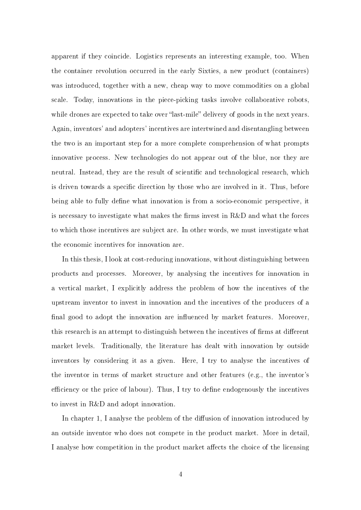apparent if they coincide. Logistics represents an interesting example, too. When the container revolution occurred in the early Sixties, a new product (containers) was introduced, together with a new, cheap way to move commodities on a global scale. Today, innovations in the piece-picking tasks involve collaborative robots, while drones are expected to take over "last-mile" delivery of goods in the next years. Again, inventors' and adopters' incentives are intertwined and disentangling between the two is an important step for a more complete comprehension of what prompts innovative process. New technologies do not appear out of the blue, nor they are neutral. Instead, they are the result of scientific and technological research, which is driven towards a specific direction by those who are involved in it. Thus, before being able to fully define what innovation is from a socio-economic perspective, it is necessary to investigate what makes the firms invest in  $R\&D$  and what the forces to which those incentives are subject are. In other words, we must investigate what the economic incentives for innovation are.

In this thesis, I look at cost-reducing innovations, without distinguishing between products and processes. Moreover, by analysing the incentives for innovation in a vertical market, I explicitly address the problem of how the incentives of the upstream inventor to invest in innovation and the incentives of the producers of a final good to adopt the innovation are influenced by market features. Moreover, this research is an attempt to distinguish between the incentives of firms at different market levels. Traditionally, the literature has dealt with innovation by outside inventors by considering it as a given. Here, I try to analyse the incentives of the inventor in terms of market structure and other features (e.g., the inventor's efficiency or the price of labour). Thus, I try to define endogenously the incentives to invest in R&D and adopt innovation.

In chapter 1, I analyse the problem of the diffusion of innovation introduced by an outside inventor who does not compete in the product market. More in detail, I analyse how competition in the product market affects the choice of the licensing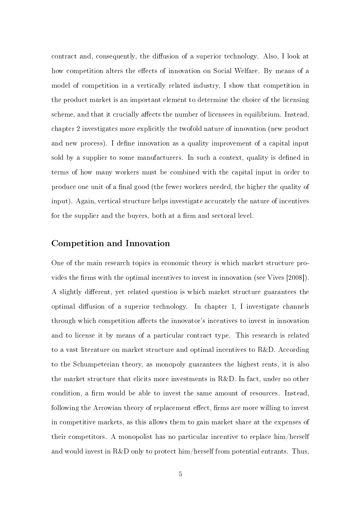contract and, consequently, the diffusion of a superior technology. Also, I look at how competition alters the effects of innovation on Social Welfare. By means of a model of competition in a vertically related industry, I show that competition in the product market is an important element to determine the choice of the licensing scheme, and that it crucially affects the number of licensees in equilibrium. Instead, chapter 2 investigates more explicitly the twofold nature of innovation (new product and new process). I define innovation as a quality improvement of a capital input sold by a supplier to some manufacturers. In such a context, quality is defined in terms of how many workers must be combined with the capital input in order to produce one unit of a final good (the fewer workers needed, the higher the quality of input). Again, vertical structure helps investigate accurately the nature of incentives for the supplier and the buyers, both at a firm and sectoral level.

#### Competition and Innovation

One of the main research topics in economic theory is which market structure provides the firms with the optimal incentives to invest in innovation (see Vives [2008]). A slightly different, yet related question is which market structure guarantees the optimal diffusion of a superior technology. In chapter 1, I investigate channels through which competition affects the innovator's incentives to invest in innovation and to license it by means of a particular contract type. This research is related to a vast literature on market structure and optimal incentives to R&D. According to the Schumpeterian theory, as monopoly guarantees the highest rents, it is also the market structure that elicits more investments in R&D. In fact, under no other condition, a firm would be able to invest the same amount of resources. Instead, following the Arrowian theory of replacement effect, firms are more willing to invest in competitive markets, as this allows them to gain market share at the expenses of their competitors. A monopolist has no particular incentive to replace him/herself and would invest in R&D only to protect him/herself from potential entrants. Thus,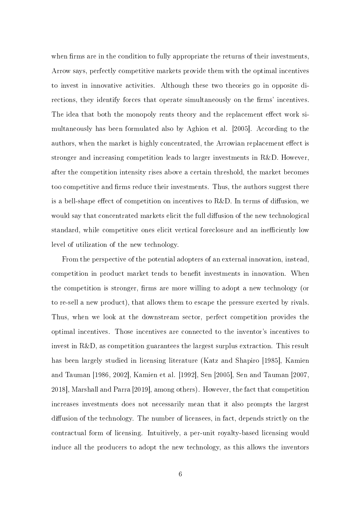when firms are in the condition to fully appropriate the returns of their investments, Arrow says, perfectly competitive markets provide them with the optimal incentives to invest in innovative activities. Although these two theories go in opposite directions, they identify forces that operate simultaneously on the firms' incentives. The idea that both the monopoly rents theory and the replacement effect work simultaneously has been formulated also by Aghion et al. [2005]. According to the authors, when the market is highly concentrated, the Arrowian replacement effect is stronger and increasing competition leads to larger investments in R&D. However, after the competition intensity rises above a certain threshold, the market becomes too competitive and firms reduce their investments. Thus, the authors suggest there is a bell-shape effect of competition on incentives to  $R&D$ . In terms of diffusion, we would say that concentrated markets elicit the full diffusion of the new technological standard, while competitive ones elicit vertical foreclosure and an inefficiently low level of utilization of the new technology.

From the perspective of the potential adopters of an external innovation, instead, competition in product market tends to benefit investments in innovation. When the competition is stronger, firms are more willing to adopt a new technology (or to re-sell a new product), that allows them to escape the pressure exerted by rivals. Thus, when we look at the downstream sector, perfect competition provides the optimal incentives. Those incentives are connected to the inventor's incentives to invest in R&D, as competition guarantees the largest surplus extraction. This result has been largely studied in licensing literature (Katz and Shapiro [1985], Kamien and Tauman [1986, 2002], Kamien et al. [1992], Sen [2005], Sen and Tauman [2007, 2018], Marshall and Parra [2019], among others). However, the fact that competition increases investments does not necessarily mean that it also prompts the largest diffusion of the technology. The number of licensees, in fact, depends strictly on the contractual form of licensing. Intuitively, a per-unit royalty-based licensing would induce all the producers to adopt the new technology, as this allows the inventors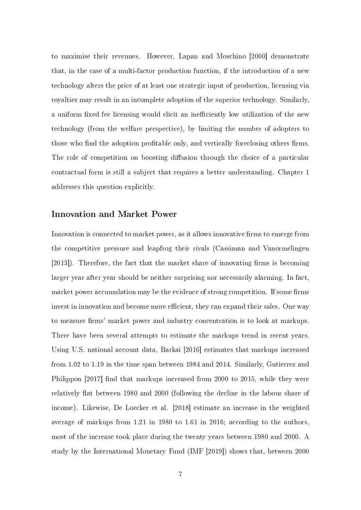to maximise their revenues. However, Lapan and Moschino [2000] demonstrate that, in the case of a multi-factor production function, if the introduction of a new technology alters the price of at least one strategic input of production, licensing via royalties may result in an incomplete adoption of the superior technology. Similarly, a uniform fixed fee licensing would elicit an inefficiently low utilization of the new technology (from the welfare perspective), by limiting the number of adopters to those who find the adoption profitable only, and vertically foreclosing others firms. The role of competition on boosting diffusion through the choice of a particular contractual form is still a subject that requires a better understanding. Chapter 1 addresses this question explicitly.

#### Innovation and Market Power

Innovation is connected to market power, as it allows innovative firms to emerge from the competitive pressure and leapfrog their rivals (Cassiman and Vanormelingen  $[2013]$ . Therefore, the fact that the market share of innovating firms is becoming larger year after year should be neither surprising nor necessarily alarming. In fact, market power accumulation may be the evidence of strong competition. If some firms invest in innovation and become more efficient, they can expand their sales. One way to measure firms' market power and industry concentration is to look at markups. There have been several attempts to estimate the markups trend in recent years. Using U.S. national account data, Barkai [2016] estimates that markups increased from 1.02 to 1.19 in the time span between 1984 and 2014. Similarly, Gutierrez and Philippon  $[2017]$  find that markups increased from 2000 to 2015, while they were relatively flat between 1980 and 2000 (following the decline in the labour share of income). Likewise, De Loecker et al. [2018] estimate an increase in the weighted average of markups from 1.21 in 1980 to 1.61 in 2016; according to the authors, most of the increase took place during the twenty years between 1980 and 2000. A study by the International Monetary Fund (IMF [2019]) shows that, between 2000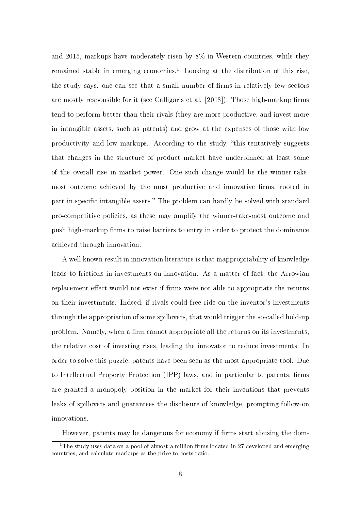and 2015, markups have moderately risen by 8% in Western countries, while they remained stable in emerging economies.<sup>[1](#page-10-0)</sup> Looking at the distribution of this rise, the study says, one can see that a small number of firms in relatively few sectors are mostly responsible for it (see Calligaris et al.  $[2018]$ ). Those high-markup firms tend to perform better than their rivals (they are more productive, and invest more in intangible assets, such as patents) and grow at the expenses of those with low productivity and low markups. According to the study, this tentatively suggests that changes in the structure of product market have underpinned at least some of the overall rise in market power. One such change would be the winner-takemost outcome achieved by the most productive and innovative firms, rooted in part in specific intangible assets." The problem can hardly be solved with standard pro-competitive policies, as these may amplify the winner-take-most outcome and push high-markup firms to raise barriers to entry in order to protect the dominance achieved through innovation.

A well known result in innovation literature is that inappropriability of knowledge leads to frictions in investments on innovation. As a matter of fact, the Arrowian replacement effect would not exist if firms were not able to appropriate the returns on their investments. Indeed, if rivals could free ride on the inventor's investments through the appropriation of some spillovers, that would trigger the so-called hold-up problem. Namely, when a firm cannot appropriate all the returns on its investments, the relative cost of investing rises, leading the innovator to reduce investments. In order to solve this puzzle, patents have been seen as the most appropriate tool. Due to Intellectual Property Protection (IPP) laws, and in particular to patents, firms are granted a monopoly position in the market for their inventions that prevents leaks of spillovers and guarantees the disclosure of knowledge, prompting follow-on innovations.

<span id="page-10-0"></span>However, patents may be dangerous for economy if firms start abusing the dom-

<sup>&</sup>lt;sup>1</sup>The study uses data on a pool of almost a million firms located in 27 developed and emerging countries, and calculate markups as the price-to-costs ratio.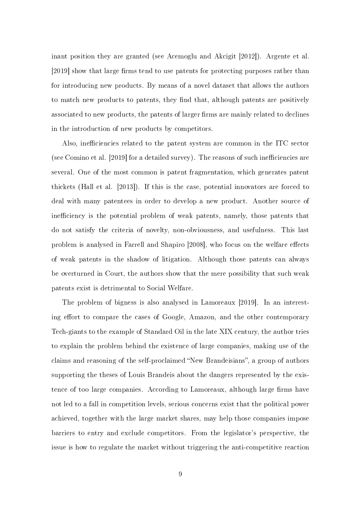inant position they are granted (see Acemoglu and Akcigit [2012]). Argente et al. [2019] show that large firms tend to use patents for protecting purposes rather than for introducing new products. By means of a novel dataset that allows the authors to match new products to patents, they find that, although patents are positively associated to new products, the patents of larger firms are mainly related to declines in the introduction of new products by competitors.

Also, inefficiencies related to the patent system are common in the ITC sector (see Comino et al.  $[2019]$  for a detailed survey). The reasons of such inefficiencies are several. One of the most common is patent fragmentation, which generates patent thickets (Hall et al. [2013]). If this is the case, potential innovators are forced to deal with many patentees in order to develop a new product. Another source of inefficiency is the potential problem of weak patents, namely, those patents that do not satisfy the criteria of novelty, non-obviousness, and usefulness. This last problem is analysed in Farrell and Shapiro [2008], who focus on the welfare effects of weak patents in the shadow of litigation. Although those patents can always be overturned in Court, the authors show that the mere possibility that such weak patents exist is detrimental to Social Welfare.

The problem of bigness is also analysed in Lamoreaux [2019]. In an interesting effort to compare the cases of Google, Amazon, and the other contemporary Tech-giants to the example of Standard Oil in the late XIX century, the author tries to explain the problem behind the existence of large companies, making use of the claims and reasoning of the self-proclaimed "New Brandeisians", a group of authors supporting the theses of Louis Brandeis about the dangers represented by the existence of too large companies. According to Lamoreaux, although large firms have not led to a fall in competition levels, serious concerns exist that the political power achieved, together with the large market shares, may help those companies impose barriers to entry and exclude competitors. From the legislator's perspective, the issue is how to regulate the market without triggering the anti-competitive reaction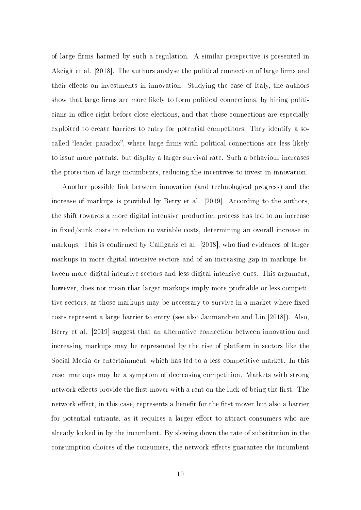of large firms harmed by such a regulation. A similar perspective is presented in Akcigit et al. [2018]. The authors analyse the political connection of large firms and their effects on investments in innovation. Studying the case of Italy, the authors show that large firms are more likely to form political connections, by hiring politicians in office right before close elections, and that those connections are especially exploited to create barriers to entry for potential competitors. They identify a socalled "leader paradox", where large firms with political connections are less likely to issue more patents, but display a larger survival rate. Such a behaviour increases the protection of large incumbents, reducing the incentives to invest in innovation.

Another possible link between innovation (and technological progress) and the increase of markups is provided by Berry et al. [2019]. According to the authors, the shift towards a more digital intensive production process has led to an increase in fixed/sunk costs in relation to variable costs, determining an overall increase in markups. This is confirmed by Calligaris et al. [2018], who find evidences of larger markups in more digital intensive sectors and of an increasing gap in markups between more digital intensive sectors and less digital intensive ones. This argument, however, does not mean that larger markups imply more profitable or less competitive sectors, as those markups may be necessary to survive in a market where fixed costs represent a large barrier to entry (see also Jaumandreu and Lin [2018]). Also, Berry et al. [2019] suggest that an alternative connection between innovation and increasing markups may be represented by the rise of platform in sectors like the Social Media or entertainment, which has led to a less competitive market. In this case, markups may be a symptom of decreasing competition. Markets with strong network effects provide the first mover with a rent on the luck of being the first. The network effect, in this case, represents a benefit for the first mover but also a barrier for potential entrants, as it requires a larger effort to attract consumers who are already locked in by the incumbent. By slowing down the rate of substitution in the consumption choices of the consumers, the network effects guarantee the incumbent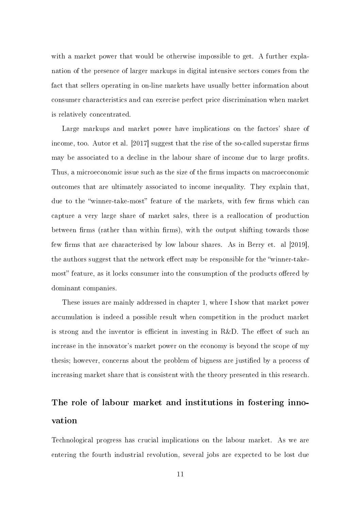with a market power that would be otherwise impossible to get. A further explanation of the presence of larger markups in digital intensive sectors comes from the fact that sellers operating in on-line markets have usually better information about consumer characteristics and can exercise perfect price discrimination when market is relatively concentrated.

Large markups and market power have implications on the factors' share of income, too. Autor et al.  $[2017]$  suggest that the rise of the so-called superstar firms may be associated to a decline in the labour share of income due to large profits. Thus, a microeconomic issue such as the size of the firms impacts on macroeconomic outcomes that are ultimately associated to income inequality. They explain that, due to the "winner-take-most" feature of the markets, with few firms which can capture a very large share of market sales, there is a reallocation of production between firms (rather than within firms), with the output shifting towards those few firms that are characterised by low labour shares. As in Berry et. al [2019]. the authors suggest that the network effect may be responsible for the "winner-takemost" feature, as it locks consumer into the consumption of the products offered by dominant companies.

These issues are mainly addressed in chapter 1, where I show that market power accumulation is indeed a possible result when competition in the product market is strong and the inventor is efficient in investing in  $R&D$ . The effect of such an increase in the innovator's market power on the economy is beyond the scope of my thesis; however, concerns about the problem of bigness are justified by a process of increasing market share that is consistent with the theory presented in this research.

### The role of labour market and institutions in fostering innovation

Technological progress has crucial implications on the labour market. As we are entering the fourth industrial revolution, several jobs are expected to be lost due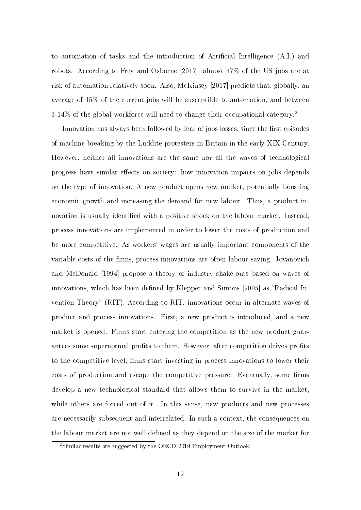to automation of tasks and the introduction of Artificial Intelligence (A.I.) and robots. According to Frey and Osborne [2017], almost 47% of the US jobs are at risk of automation relatively soon. Also, McKinsey [2017] predicts that, globally, an average of 15% of the current jobs will be susceptible to automation, and between 3-14% of the global workforce will need to change their occupational category.[2](#page-14-0)

Innovation has always been followed by fear of jobs losses, since the first episodes of machine-breaking by the Luddite protesters in Britain in the early XIX Century. However, neither all innovations are the same nor all the waves of technological progress have similar effects on society: how innovation impacts on jobs depends on the type of innovation. A new product opens new market, potentially boosting economic growth and increasing the demand for new labour. Thus, a product innovation is usually identified with a positive shock on the labour market. Instead process innovations are implemented in order to lower the costs of production and be more competitive. As workers' wages are usually important components of the variable costs of the firms, process innovations are often labour saving. Jovanovich and McDonald [1994] propose a theory of industry shake-outs based on waves of innovations, which has been defined by Klepper and Simons [2005] as "Radical Invention Theory" (RIT). According to RIT, innovations occur in alternate waves of product and process innovations. First, a new product is introduced, and a new market is opened. Firms start entering the competition as the new product guarantees some supernormal profits to them. However, after competition drives profits to the competitive level, firms start investing in process innovations to lower their costs of production and escape the competitive pressure. Eventually, some firms develop a new technological standard that allows them to survive in the market, while others are forced out of it. In this sense, new products and new processes are necessarily subsequent and interrelated. In such a context, the consequences on the labour market are not well defined as they depend on the size of the market for

<span id="page-14-0"></span><sup>2</sup>Similar results are suggested by the OECD 2019 Employment Outlook.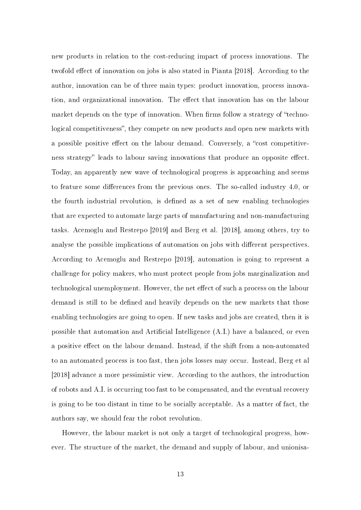new products in relation to the cost-reducing impact of process innovations. The twofold effect of innovation on jobs is also stated in Pianta [2018]. According to the author, innovation can be of three main types: product innovation, process innovation, and organizational innovation. The effect that innovation has on the labour market depends on the type of innovation. When firms follow a strategy of "technological competitiveness", they compete on new products and open new markets with a possible positive effect on the labour demand. Conversely, a "cost competitiveness strategy" leads to labour saving innovations that produce an opposite effect. Today, an apparently new wave of technological progress is approaching and seems to feature some differences from the previous ones. The so-called industry 4.0, or the fourth industrial revolution, is defined as a set of new enabling technologies that are expected to automate large parts of manufacturing and non-manufacturing tasks. Acemoglu and Restrepo [2019] and Berg et al. [2018], among others, try to analyse the possible implications of automation on jobs with different perspectives. According to Acemoglu and Restrepo [2019], automation is going to represent a challenge for policy makers, who must protect people from jobs marginalization and technological unemployment. However, the net effect of such a process on the labour demand is still to be defined and heavily depends on the new markets that those enabling technologies are going to open. If new tasks and jobs are created, then it is possible that automation and Artificial Intelligence (A.I.) have a balanced, or even a positive effect on the labour demand. Instead, if the shift from a non-automated to an automated process is too fast, then jobs losses may occur. Instead, Berg et al [2018] advance a more pessimistic view. According to the authors, the introduction of robots and A.I. is occurring too fast to be compensated, and the eventual recovery is going to be too distant in time to be socially acceptable. As a matter of fact, the authors say, we should fear the robot revolution.

However, the labour market is not only a target of technological progress, however. The structure of the market, the demand and supply of labour, and unionisa-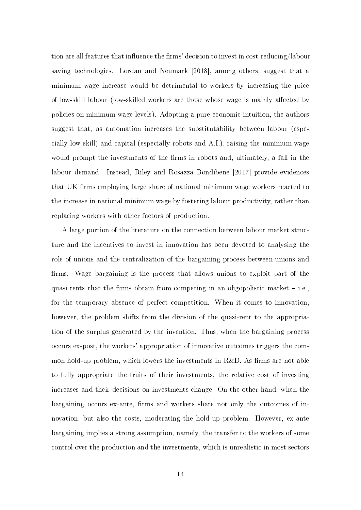tion are all features that influence the firms' decision to invest in cost-reducing/laboursaving technologies. Lordan and Neumark [2018], among others, suggest that a minimum wage increase would be detrimental to workers by increasing the price of low-skill labour (low-skilled workers are those whose wage is mainly affected by policies on minimum wage levels). Adopting a pure economic intuition, the authors suggest that, as automation increases the substitutability between labour (especially low-skill) and capital (especially robots and A.I.), raising the minimum wage would prompt the investments of the firms in robots and, ultimately, a fall in the labour demand. Instead, Riley and Rosazza Bondibene [2017] provide evidences that UK firms employing large share of national minimum wage workers reacted to the increase in national minimum wage by fostering labour productivity, rather than replacing workers with other factors of production.

A large portion of the literature on the connection between labour market structure and the incentives to invest in innovation has been devoted to analysing the role of unions and the centralization of the bargaining process between unions and firms. Wage bargaining is the process that allows unions to exploit part of the quasi-rents that the firms obtain from competing in an oligopolistic market  $-$  i.e., for the temporary absence of perfect competition. When it comes to innovation, however, the problem shifts from the division of the quasi-rent to the appropriation of the surplus generated by the invention. Thus, when the bargaining process occurs ex-post, the workers' appropriation of innovative outcomes triggers the common hold-up problem, which lowers the investments in  $R&D$ . As firms are not able to fully appropriate the fruits of their investments, the relative cost of investing increases and their decisions on investments change. On the other hand, when the bargaining occurs ex-ante, firms and workers share not only the outcomes of innovation, but also the costs, moderating the hold-up problem. However, ex-ante bargaining implies a strong assumption, namely, the transfer to the workers of some control over the production and the investments, which is unrealistic in most sectors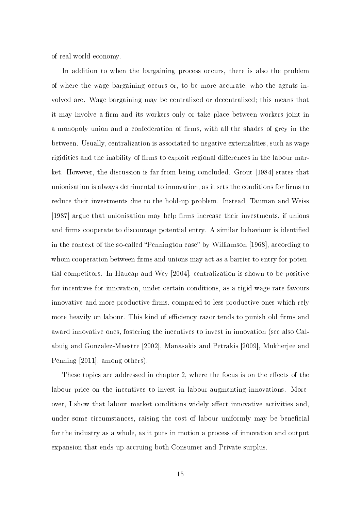of real world economy.

In addition to when the bargaining process occurs, there is also the problem of where the wage bargaining occurs or, to be more accurate, who the agents involved are. Wage bargaining may be centralized or decentralized; this means that it may involve a firm and its workers only or take place between workers joint in a monopoly union and a confederation of firms, with all the shades of grey in the between. Usually, centralization is associated to negative externalities, such as wage rigidities and the inability of firms to exploit regional differences in the labour market. However, the discussion is far from being concluded. Grout [1984] states that unionisation is always detrimental to innovation, as it sets the conditions for firms to reduce their investments due to the hold-up problem. Instead, Tauman and Weiss [1987] argue that unionisation may help firms increase their investments, if unions and firms cooperate to discourage potential entry. A similar behaviour is identified in the context of the so-called "Pennington case" by Williamson  $[1968]$ , according to whom cooperation between firms and unions may act as a barrier to entry for potential competitors. In Haucap and Wey [2004], centralization is shown to be positive for incentives for innovation, under certain conditions, as a rigid wage rate favours innovative and more productive firms, compared to less productive ones which rely more heavily on labour. This kind of efficiency razor tends to punish old firms and award innovative ones, fostering the incentives to invest in innovation (see also Calabuig and Gonzalez-Maestre [2002], Manasakis and Petrakis [2009], Mukherjee and Penning [2011], among others).

These topics are addressed in chapter 2, where the focus is on the effects of the labour price on the incentives to invest in labour-augmenting innovations. Moreover, I show that labour market conditions widely affect innovative activities and under some circumstances, raising the cost of labour uniformly may be beneficial for the industry as a whole, as it puts in motion a process of innovation and output expansion that ends up accruing both Consumer and Private surplus.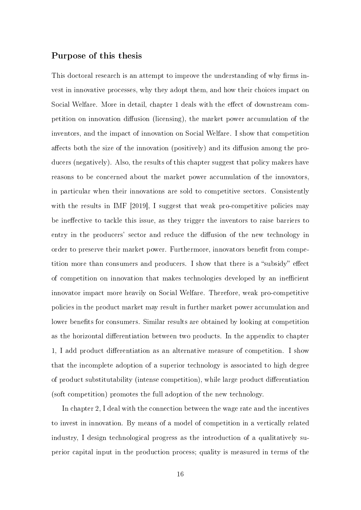#### Purpose of this thesis

This doctoral research is an attempt to improve the understanding of why firms invest in innovative processes, why they adopt them, and how their choices impact on Social Welfare. More in detail, chapter 1 deals with the effect of downstream competition on innovation diffusion (licensing), the market power accumulation of the inventors, and the impact of innovation on Social Welfare. I show that competition affects both the size of the innovation (positively) and its diffusion among the producers (negatively). Also, the results of this chapter suggest that policy makers have reasons to be concerned about the market power accumulation of the innovators, in particular when their innovations are sold to competitive sectors. Consistently with the results in IMF [2019], I suggest that weak pro-competitive policies may be ineffective to tackle this issue, as they trigger the inventors to raise barriers to entry in the producers' sector and reduce the diffusion of the new technology in order to preserve their market power. Furthermore, innovators benefit from competition more than consumers and producers. I show that there is a "subsidy" effect of competition on innovation that makes technologies developed by an inecient innovator impact more heavily on Social Welfare. Therefore, weak pro-competitive policies in the product market may result in further market power accumulation and lower benefits for consumers. Similar results are obtained by looking at competition as the horizontal differentiation between two products. In the appendix to chapter 1, I add product differentiation as an alternative measure of competition. I show that the incomplete adoption of a superior technology is associated to high degree of product substitutability (intense competition), while large product differentiation (soft competition) promotes the full adoption of the new technology.

In chapter 2, I deal with the connection between the wage rate and the incentives to invest in innovation. By means of a model of competition in a vertically related industry, I design technological progress as the introduction of a qualitatively superior capital input in the production process; quality is measured in terms of the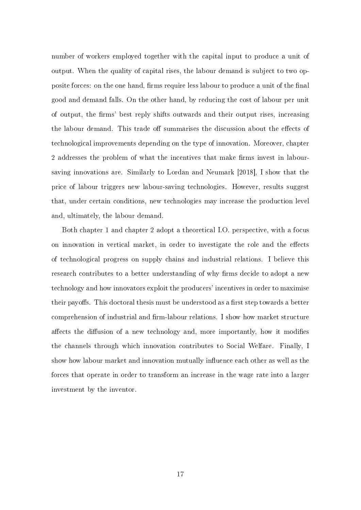number of workers employed together with the capital input to produce a unit of output. When the quality of capital rises, the labour demand is subject to two opposite forces: on the one hand, firms require less labour to produce a unit of the final good and demand falls. On the other hand, by reducing the cost of labour per unit of output, the firms' best reply shifts outwards and their output rises, increasing the labour demand. This trade off summarises the discussion about the effects of technological improvements depending on the type of innovation. Moreover, chapter 2 addresses the problem of what the incentives that make firms invest in laboursaving innovations are. Similarly to Lordan and Neumark [2018], I show that the price of labour triggers new labour-saving technologies. However, results suggest that, under certain conditions, new technologies may increase the production level and, ultimately, the labour demand.

Both chapter 1 and chapter 2 adopt a theoretical I.O. perspective, with a focus on innovation in vertical market, in order to investigate the role and the effects of technological progress on supply chains and industrial relations. I believe this research contributes to a better understanding of why firms decide to adopt a new technology and how innovators exploit the producers' incentives in order to maximise their payoffs. This doctoral thesis must be understood as a first step towards a better comprehension of industrial and firm-labour relations. I show how market structure affects the diffusion of a new technology and, more importantly, how it modifies the channels through which innovation contributes to Social Welfare. Finally, I show how labour market and innovation mutually influence each other as well as the forces that operate in order to transform an increase in the wage rate into a larger investment by the inventor.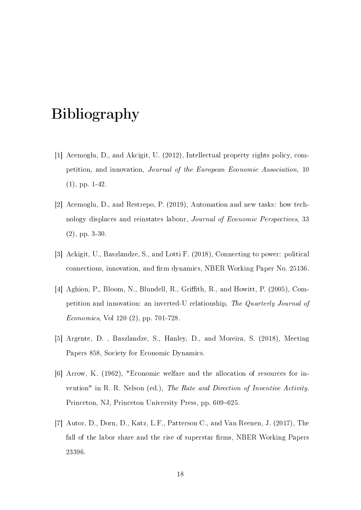# Bibliography

- [1] Acemoglu, D., and Akcigit, U. (2012), Intellectual property rights policy, competition, and innovation, Journal of the European Economic Association, 10 (1), pp. 1-42.
- [2] Acemoglu, D., and Restrepo, P. (2019), Automation and new tasks: how technology displaces and reinstates labour, Journal of Economic Perspectives, 33 (2), pp. 3-30.
- [3] Ackigit, U., Baszlandze, S., and Lotti F. (2018), Connecting to power: political connections, innovation, and firm dynamics, NBER Working Paper No. 25136.
- [4] Aghion, P., Bloom, N., Blundell, R., Griffith, R., and Howitt, P. (2005), Competition and innovation: an inverted-U relationship, The Quarterly Journal of Economics, Vol 120 (2), pp. 701-728.
- [5] Argente, D. , Baszlandze, S., Hanley, D., and Moreira, S. (2018), Meeting Papers 858, Society for Economic Dynamics.
- [6] Arrow, K. (1962), "Economic welfare and the allocation of resources for invention" in R. R. Nelson (ed.), The Rate and Direction of Inventive Activity. Princeton, NJ, Princeton University Press, pp. 609–625.
- [7] Autor, D., Dorn, D., Katz, L.F., Patterson C., and Van Reenen, J. (2017), The fall of the labor share and the rise of superstar firms, NBER Working Papers 23396.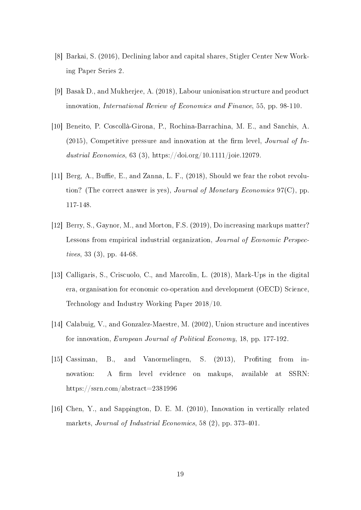- [8] Barkai, S. (2016), Declining labor and capital shares, Stigler Center New Working Paper Series 2.
- [9] Basak D., and Mukherjee, A. (2018), Labour unionisation structure and product innovation, International Review of Economics and Finance, 55, pp. 98-110.
- [10] Beneito, P. Coscollà-Girona, P., Rochina-Barrachina, M. E., and Sanchis, A. (2015), Competitive pressure and innovation at the firm level, *Journal of In*dustrial Economics, 63 (3), https://doi.org/10.1111/joie.12079.
- [11] Berg, A., Buffie, E., and Zanna, L. F.,  $(2018)$ , Should we fear the robot revolution? (The correct answer is yes), Journal of Monetary Economics 97(C), pp. 117-148.
- [12] Berry, S., Gaynor, M., and Morton, F.S. (2019), Do increasing markups matter? Lessons from empirical industrial organization, Journal of Economic Perspectives, 33 (3), pp. 44-68.
- [13] Calligaris, S., Criscuolo, C., and Marcolin, L. (2018), Mark-Ups in the digital era, organisation for economic co-operation and development (OECD) Science, Technology and Industry Working Paper 2018/10.
- [14] Calabuig, V., and Gonzalez-Maestre, M. (2002), Union structure and incentives for innovation, European Journal of Political Economy, 18, pp. 177-192.
- [15] Cassiman, B., and Vanormelingen, S. (2013), Proting from innovation: A firm level evidence on makups, available at SSRN: https://ssrn.com/abstract=2381996
- [16] Chen, Y., and Sappington, D. E. M. (2010), Innovation in vertically related markets, Journal of Industrial Economics, 58 (2), pp. 373-401.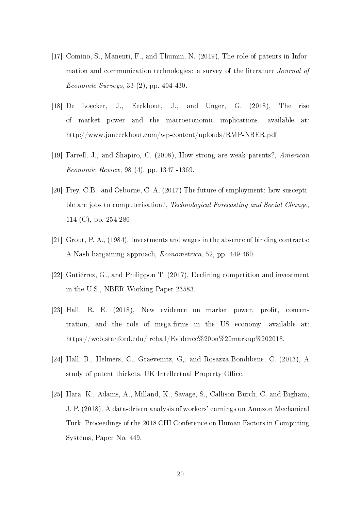- [17] Comino, S., Manenti, F., and Thumm, N. (2019), The role of patents in Information and communication technologies: a survey of the literature *Journal of* Economic Surveys, 33 (2), pp. 404-430.
- [18] De Loecker, J., Eeckhout, J., and Unger, G. (2018), The rise of market power and the macroeconomic implications, available at: http://www.janeeckhout.com/wp-content/uploads/RMP-NBER.pdf
- [19] Farrell, J., and Shapiro, C. (2008), How strong are weak patents?, American Economic Review, 98 (4), pp. 1347 -1369.
- [20] Frey, C.B., and Osborne, C.A. (2017) The future of employment: how susceptible are jobs to computerisation?, Technological Forecasting and Social Change. 114 (C), pp. 254-280.
- [21] Grout, P. A., (1984), Investments and wages in the absence of binding contracts: A Nash bargaining approach, Econometrica, 52, pp. 449-460.
- [22] Gutiérrez, G., and Philippon T. (2017), Declining competition and investment in the U.S., NBER Working Paper 23583.
- [23] Hall, R. E. (2018), New evidence on market power, profit, concentration, and the role of mega-firms in the US economy, available at: https://web.stanford.edu/ rehall/Evidence%20on%20markup%202018.
- [24] Hall, B., Helmers, C., Graevenitz, G,. and Rosazza-Bondibene, C. (2013), A study of patent thickets. UK Intellectual Property Office.
- [25] Hara, K., Adams, A., Milland, K., Savage, S., Callison-Burch, C. and Bigham, J. P. (2018), A data-driven analysis of workers' earnings on Amazon Mechanical Turk. Proceedings of the 2018 CHI Conference on Human Factors in Computing Systems, Paper No. 449.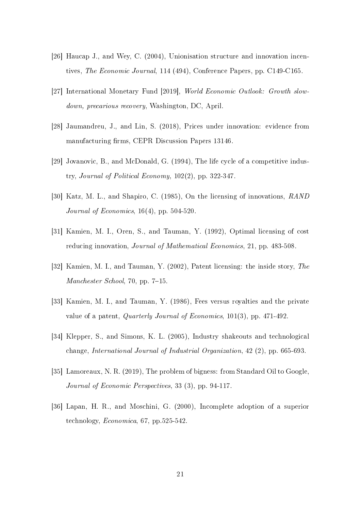- [26] Haucap J., and Wey, C. (2004), Unionisation structure and innovation incentives, The Economic Journal, 114 (494), Conference Papers, pp. C149-C165.
- [27] International Monetary Fund [2019], World Economic Outlook: Growth slowdown, precarious recovery, Washington, DC, April.
- [28] Jaumandreu, J., and Lin, S. (2018), Prices under innovation: evidence from manufacturing firms, CEPR Discussion Papers 13146.
- [29] Jovanovic, B., and McDonald, G. (1994), The life cycle of a competitive industry, Journal of Political Economy, 102(2), pp. 322-347.
- [30] Katz, M. L., and Shapiro, C. (1985), On the licensing of innovations, RAND Journal of Economics, 16(4), pp. 504-520.
- [31] Kamien, M. I., Oren, S., and Tauman, Y. (1992), Optimal licensing of cost reducing innovation, Journal of Mathematical Economics, 21, pp. 483-508.
- [32] Kamien, M. I., and Tauman, Y. (2002), Patent licensing: the inside story, The Manchester School, 70, pp. 7-15.
- [33] Kamien, M. I., and Tauman, Y. (1986), Fees versus royalties and the private value of a patent, Quarterly Journal of Economics, 101(3), pp. 471-492.
- [34] Klepper, S., and Simons, K. L. (2005), Industry shakeouts and technological change, International Journal of Industrial Organization, 42 (2), pp. 665-693.
- [35] Lamoreaux, N. R. (2019), The problem of bigness: from Standard Oil to Google, Journal of Economic Perspectives, 33 (3), pp. 94-117.
- [36] Lapan, H. R., and Moschini, G. (2000), Incomplete adoption of a superior technology, Economica, 67, pp.525-542.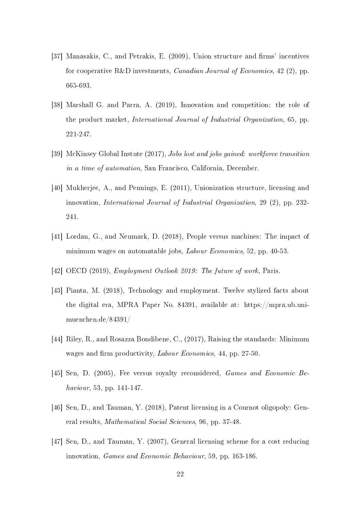- [37] Manasakis, C., and Petrakis, E. (2009), Union structure and firms' incentives for cooperative R&D investments, *Canadian Journal of Economics*, 42 (2), pp. 665-693.
- [38] Marshall G. and Parra, A. (2019), Innovation and competition: the role of the product market, International Journal of Industrial Organization, 65, pp. 221-247.
- [39] McKinsey Global Instute (2017), Jobs lost and jobs gained: workforce transition in a time of automation, San Francisco, California, December.
- [40] Mukherjee, A., and Pennings, E. (2011), Unionization structure, licensing and innovation, International Journal of Industrial Organization, 29 (2), pp. 232- 241.
- [41] Lordan, G., and Neumark, D. (2018), People versus machines: The impact of minimum wages on automatable jobs, Labour Economics, 52, pp. 40-53.
- [42] OECD (2019), *Employment Outlook 2019: The future of work*, Paris.
- [43] Pianta, M. (2018), Technology and employment. Twelve stylized facts about the digital era, MPRA Paper No. 84391, available at: https://mpra.ub.unimuenchen.de/84391/
- [44] Riley, R., and Rosazza Bondibene, C., (2017), Raising the standards: Minimum wages and firm productivity, Labour Economics, 44, pp. 27-50.
- [45] Sen, D. (2005), Fee versus royalty reconsidered, Games and Economic Behaviour, 53, pp. 141-147.
- [46] Sen, D., and Tauman, Y. (2018), Patent licensing in a Cournot oligopoly: General results, Mathematical Social Sciences, 96, pp. 37-48.
- [47] Sen, D., and Tauman, Y. (2007), General licensing scheme for a cost reducing innovation, Games and Economic Behaviour, 59, pp. 163-186.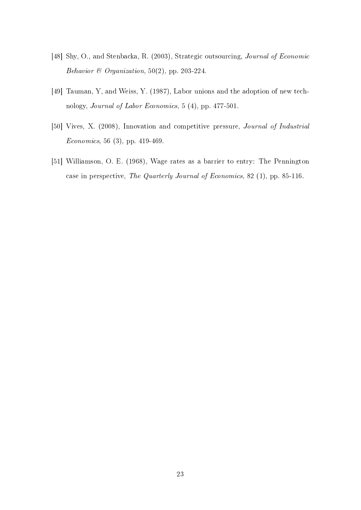- [48] Shy, O., and Stenbacka, R. (2003), Strategic outsourcing, Journal of Economic Behavior & Organization,  $50(2)$ , pp. 203-224.
- [49] Tauman, Y, and Weiss, Y. (1987), Labor unions and the adoption of new technology, Journal of Labor Economics, 5 (4), pp. 477-501.
- [50] Vives, X. (2008), Innovation and competitive pressure, Journal of Industrial Economics, 56 (3), pp. 419-469.
- [51] Williamson, O. E. (1968), Wage rates as a barrier to entry: The Pennington case in perspective, The Quarterly Journal of Economics, 82 (1), pp. 85-116.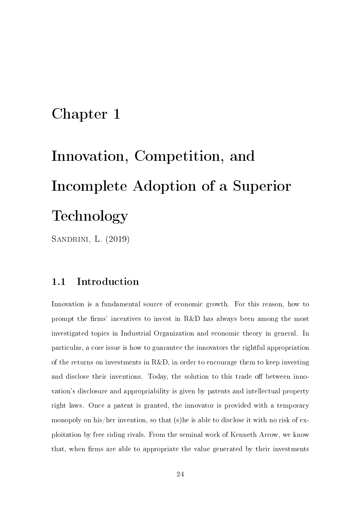### <span id="page-26-0"></span>Chapter 1

# Innovation, Competition, and Incomplete Adoption of a Superior Technology

SANDRINI, L. (2019)

### <span id="page-26-1"></span>1.1 Introduction

Innovation is a fundamental source of economic growth. For this reason, how to prompt the firms' incentives to invest in R&D has always been among the most investigated topics in Industrial Organization and economic theory in general. In particular, a core issue is how to guarantee the innovators the rightful appropriation of the returns on investments in R&D, in order to encourage them to keep investing and disclose their inventions. Today, the solution to this trade off between innovation's disclosure and appropriability is given by patents and intellectual property right laws. Once a patent is granted, the innovator is provided with a temporary monopoly on his/her invention, so that (s)he is able to disclose it with no risk of exploitation by free riding rivals. From the seminal work of Kenneth Arrow, we know that, when firms are able to appropriate the value generated by their investments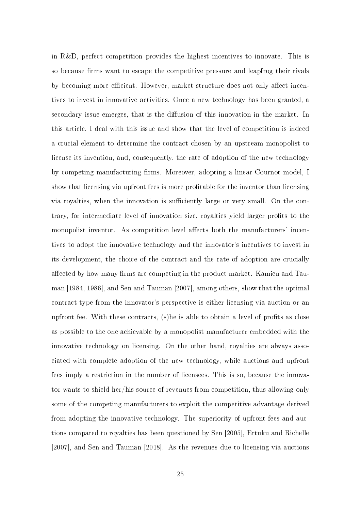in R&D, perfect competition provides the highest incentives to innovate. This is so because firms want to escape the competitive pressure and leapfrog their rivals by becoming more efficient. However, market structure does not only affect incentives to invest in innovative activities. Once a new technology has been granted, a secondary issue emerges, that is the diffusion of this innovation in the market. In this article, I deal with this issue and show that the level of competition is indeed a crucial element to determine the contract chosen by an upstream monopolist to license its invention, and, consequently, the rate of adoption of the new technology by competing manufacturing firms. Moreover, adopting a linear Cournot model, I show that licensing via upfront fees is more profitable for the inventor than licensing via royalties, when the innovation is sufficiently large or very small. On the contrary, for intermediate level of innovation size, royalties yield larger profits to the monopolist inventor. As competition level affects both the manufacturers' incentives to adopt the innovative technology and the innovator's incentives to invest in its development, the choice of the contract and the rate of adoption are crucially affected by how many firms are competing in the product market. Kamien and Tauman [1984, 1986], and Sen and Tauman [2007], among others, show that the optimal contract type from the innovator's perspective is either licensing via auction or an upfront fee. With these contracts,  $(s)$ he is able to obtain a level of profits as close as possible to the one achievable by a monopolist manufacturer embedded with the innovative technology on licensing. On the other hand, royalties are always associated with complete adoption of the new technology, while auctions and upfront fees imply a restriction in the number of licensees. This is so, because the innovator wants to shield her/his source of revenues from competition, thus allowing only some of the competing manufacturers to exploit the competitive advantage derived from adopting the innovative technology. The superiority of upfront fees and auctions compared to royalties has been questioned by Sen [2005], Ertuku and Richelle [2007], and Sen and Tauman [2018]. As the revenues due to licensing via auctions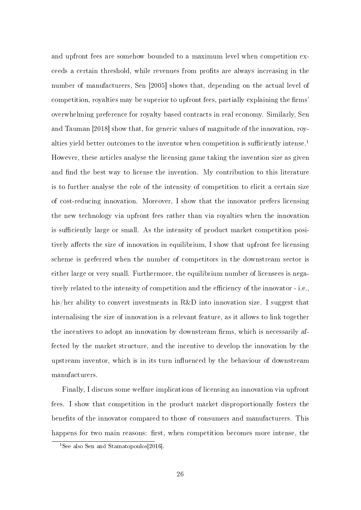and upfront fees are somehow bounded to a maximum level when competition exceeds a certain threshold, while revenues from profits are always increasing in the number of manufacturers, Sen [2005] shows that, depending on the actual level of competition, royalties may be superior to upfront fees, partially explaining the firms overwhelming preference for royalty based contracts in real economy. Similarly, Sen and Tauman [2018] show that, for generic values of magnitude of the innovation, roy-alties yield better outcomes to the inventor when competition is sufficiently intense.<sup>[1](#page-28-0)</sup> However, these articles analyse the licensing game taking the invention size as given and find the best way to license the invention. My contribution to this literature is to further analyse the role of the intensity of competition to elicit a certain size of cost-reducing innovation. Moreover, I show that the innovator prefers licensing the new technology via upfront fees rather than via royalties when the innovation is sufficiently large or small. As the intensity of product market competition positively affects the size of innovation in equilibrium, I show that upfront fee licensing scheme is preferred when the number of competitors in the downstream sector is either large or very small. Furthermore, the equilibrium number of licensees is negatively related to the intensity of competition and the efficiency of the innovator - i.e., his/her ability to convert investments in R&D into innovation size. I suggest that internalising the size of innovation is a relevant feature, as it allows to link together the incentives to adopt an innovation by downstream firms, which is necessarily affected by the market structure, and the incentive to develop the innovation by the upstream inventor, which is in its turn influenced by the behaviour of downstream manufacturers.

Finally, I discuss some welfare implications of licensing an innovation via upfront fees. I show that competition in the product market disproportionally fosters the benefits of the innovator compared to those of consumers and manufacturers. This happens for two main reasons: first, when competition becomes more intense, the

<span id="page-28-0"></span><sup>&</sup>lt;sup>1</sup>See also Sen and Stamatopoulos<sup>[2016]</sup>.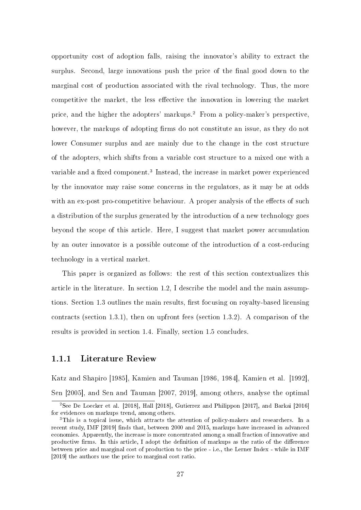opportunity cost of adoption falls, raising the innovator's ability to extract the surplus. Second, large innovations push the price of the final good down to the marginal cost of production associated with the rival technology. Thus, the more competitive the market, the less effective the innovation in lowering the market price, and the higher the adopters' markups.[2](#page-29-1) From a policy-maker's perspective, however, the markups of adopting firms do not constitute an issue, as they do not lower Consumer surplus and are mainly due to the change in the cost structure of the adopters, which shifts from a variable cost structure to a mixed one with a variable and a fixed component.<sup>[3](#page-29-2)</sup> Instead, the increase in market power experienced by the innovator may raise some concerns in the regulators, as it may be at odds with an ex-post pro-competitive behaviour. A proper analysis of the effects of such a distribution of the surplus generated by the introduction of a new technology goes beyond the scope of this article. Here, I suggest that market power accumulation by an outer innovator is a possible outcome of the introduction of a cost-reducing technology in a vertical market.

This paper is organized as follows: the rest of this section contextualizes this article in the literature. In section [1.2,](#page-32-0) I describe the model and the main assump-tions. Section [1.3](#page-35-0) outlines the main results, first focusing on royalty-based licensing contracts (section [1.3.1\)](#page-35-1), then on upfront fees (section [1.3.2\)](#page-37-0). A comparison of the results is provided in section [1.4.](#page-55-0) Finally, section [1.5](#page-57-0) concludes.

#### <span id="page-29-0"></span>1.1.1 Literature Review

Katz and Shapiro [1985], Kamien and Tauman [1986, 1984], Kamien et al. [1992], Sen [2005], and Sen and Tauman [2007, 2019], among others, analyse the optimal

<span id="page-29-1"></span><sup>2</sup>See De Loecker et al. [2018], Hall [2018], Gutierrez and Philippon [2017], and Barkai [2016] for evidences on markups trend, among others.

<span id="page-29-2"></span><sup>&</sup>lt;sup>3</sup>This is a topical issue, which attracts the attention of policy-makers and researchers. In a recent study, IMF [2019] finds that, between 2000 and 2015, markups have increased in advanced economies. Apparently, the increase is more concentrated among a small fraction of innovative and productive firms. In this article, I adopt the definition of markups as the ratio of the difference between price and marginal cost of production to the price - i.e., the Lerner Index - while in IMF [2019] the authors use the price to marginal cost ratio.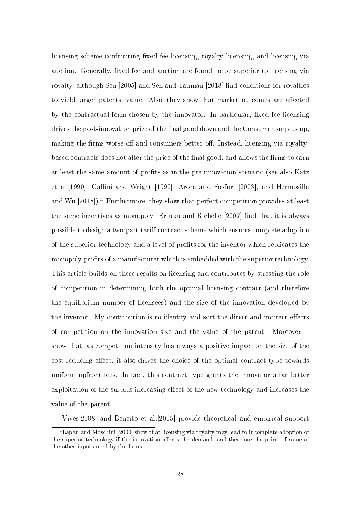licensing scheme confronting fixed fee licensing, royalty licensing, and licensing via auction. Generally, fixed fee and auction are found to be superior to licensing via royalty, although Sen [2005] and Sen and Tauman [2018] find conditions for royalties to yield larger patents' value. Also, they show that market outcomes are affected by the contractual form chosen by the innovator. In particular, fixed fee licensing drives the post-innovation price of the final good down and the Consumer surplus up, making the firms worse off and consumers better off. Instead, licensing via royaltybased contracts does not alter the price of the final good, and allows the firms to earn at least the same amount of profits as in the pre-innovation scenario (see also Katz et al.[1990], Gallini and Wright [1990], Arora and Fosfuri [2003], and Hermosilla and Wu [2018]).[4](#page-30-0) Furthermore, they show that perfect competition provides at least the same incentives as monopoly. Ertuku and Richelle [2007] find that it is always possible to design a two-part tariff contract scheme which ensures complete adoption of the superior technology and a level of profits for the inventor which replicates the monopoly profits of a manufacturer which is embedded with the superior technology. This article builds on these results on licensing and contributes by stressing the role of competition in determining both the optimal licensing contract (and therefore the equilibrium number of licensees) and the size of the innovation developed by the inventor. My contribution is to identify and sort the direct and indirect effects of competition on the innovation size and the value of the patent. Moreover, I show that, as competition intensity has always a positive impact on the size of the cost-reducing effect, it also drives the choice of the optimal contract type towards uniform upfront fees. In fact, this contract type grants the innovator a far better exploitation of the surplus increasing effect of the new technology and increases the value of the patent.

<span id="page-30-0"></span>Vives[2008] and Beneito et al.[2015] provide theoretical and empirical support

<sup>4</sup>Lapan and Moschini [2000] show that licensing via royalty may lead to incomplete adoption of the superior technology if the innovation affects the demand, and therefore the price, of some of the other inputs used by the firms.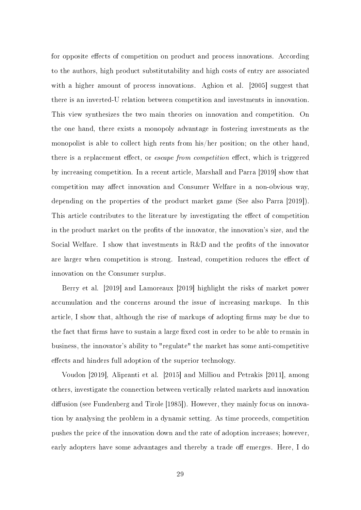for opposite effects of competition on product and process innovations. According to the authors, high product substitutability and high costs of entry are associated with a higher amount of process innovations. Aghion et al. [2005] suggest that there is an inverted-U relation between competition and investments in innovation. This view synthesizes the two main theories on innovation and competition. On the one hand, there exists a monopoly advantage in fostering investments as the monopolist is able to collect high rents from his/her position; on the other hand, there is a replacement effect, or *escape from competition* effect, which is triggered by increasing competition. In a recent article, Marshall and Parra [2019] show that competition may affect innovation and Consumer Welfare in a non-obvious way. depending on the properties of the product market game (See also Parra [2019]). This article contributes to the literature by investigating the effect of competition in the product market on the profits of the innovator, the innovation's size, and the Social Welfare. I show that investments in R&D and the profits of the innovator are larger when competition is strong. Instead, competition reduces the effect of innovation on the Consumer surplus.

Berry et al. [2019] and Lamoreaux [2019] highlight the risks of market power accumulation and the concerns around the issue of increasing markups. In this article, I show that, although the rise of markups of adopting firms may be due to the fact that firms have to sustain a large fixed cost in order to be able to remain in business, the innovator's ability to "regulate" the market has some anti-competitive effects and hinders full adoption of the superior technology.

Voudon [2019], Alipranti et al. [2015] and Milliou and Petrakis [2011], among others, investigate the connection between vertically related markets and innovation diffusion (see Fundenberg and Tirole [1985]). However, they mainly focus on innovation by analysing the problem in a dynamic setting. As time proceeds, competition pushes the price of the innovation down and the rate of adoption increases; however, early adopters have some advantages and thereby a trade off emerges. Here, I do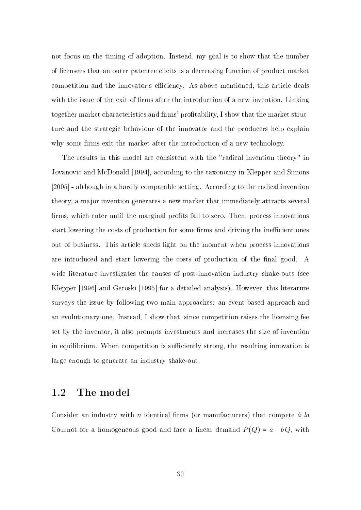not focus on the timing of adoption. Instead, my goal is to show that the number of licensees that an outer patentee elicits is a decreasing function of product market competition and the innovator's efficiency. As above mentioned, this article deals with the issue of the exit of firms after the introduction of a new invention. Linking together market characteristics and firms' profitability, I show that the market structure and the strategic behaviour of the innovator and the producers help explain why some firms exit the market after the introduction of a new technology.

The results in this model are consistent with the "radical invention theory" in Jovanovic and McDonald [1994], according to the taxonomy in Klepper and Simons [2005] - although in a hardly comparable setting. According to the radical invention theory, a major invention generates a new market that immediately attracts several firms, which enter until the marginal profits fall to zero. Then, process innovations start lowering the costs of production for some firms and driving the inefficient ones out of business. This article sheds light on the moment when process innovations are introduced and start lowering the costs of production of the final good. A wide literature investigates the causes of post-innovation industry shake-outs (see Klepper [1996] and Geroski [1995] for a detailed analysis). However, this literature surveys the issue by following two main approaches: an event-based approach and an evolutionary one. Instead, I show that, since competition raises the licensing fee set by the inventor, it also prompts investments and increases the size of invention in equilibrium. When competition is sufficiently strong, the resulting innovation is large enough to generate an industry shake-out.

### <span id="page-32-0"></span>1.2 The model

Consider an industry with n identical firms (or manufacturers) that compete  $\dot{a}$  la Cournot for a homogeneous good and face a linear demand  $P(Q) = a - bQ$ , with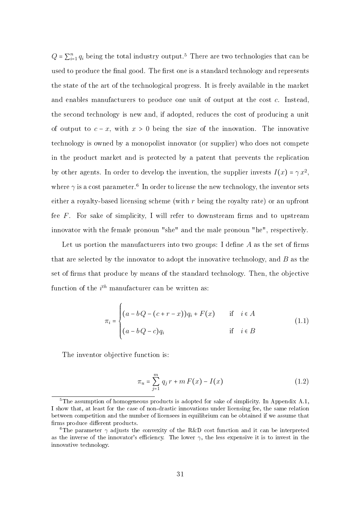$Q = \sum_{i=1}^{n} q_i$  being the total industry output.<sup>[5](#page-33-0)</sup> There are two technologies that can be used to produce the final good. The first one is a standard technology and represents the state of the art of the technological progress. It is freely available in the market and enables manufacturers to produce one unit of output at the cost c. Instead, the second technology is new and, if adopted, reduces the cost of producing a unit of output to  $c - x$ , with  $x > 0$  being the size of the innovation. The innovative technology is owned by a monopolist innovator (or supplier) who does not compete in the product market and is protected by a patent that prevents the replication by other agents. In order to develop the invention, the supplier invests  $I(x) = \gamma x^2$ , where  $\gamma$  is a cost parameter.<sup>[6](#page-33-1)</sup> In order to license the new technology, the inventor sets either a royalty-based licensing scheme (with r being the royalty rate) or an upfront fee  $F$ . For sake of simplicity, I will refer to downstream firms and to upstream innovator with the female pronoun "she" and the male pronoun "he", respectively.

Let us portion the manufacturers into two groups: I define  $A$  as the set of firms that are selected by the innovator to adopt the innovative technology, and B as the set of firms that produce by means of the standard technology. Then, the objective function of the  $i^{th}$  manufacturer can be written as:

<span id="page-33-2"></span>
$$
\pi_i = \begin{cases}\n(a - bQ - (c + r - x))q_i + F(x) & \text{if } i \in A \\
(a - bQ - c)q_i & \text{if } i \in B\n\end{cases}
$$
\n(1.1)

The inventor objective function is:

$$
\pi_u = \sum_{j=1}^m q_j r + m F(x) - I(x) \tag{1.2}
$$

<span id="page-33-0"></span> $5$ The assumption of homogeneous products is adopted for sake of simplicity. In Appendix A.1, I show that, at least for the case of non-drastic innovations under licensing fee, the same relation between competition and the number of licensees in equilibrium can be obtained if we assume that firms produce different products.

<span id="page-33-1"></span><sup>&</sup>lt;sup>6</sup>The parameter  $\gamma$  adjusts the convexity of the R&D cost function and it can be interpreted as the inverse of the innovator's efficiency. The lower  $\gamma$ , the less expensive it is to invest in the innovative technology.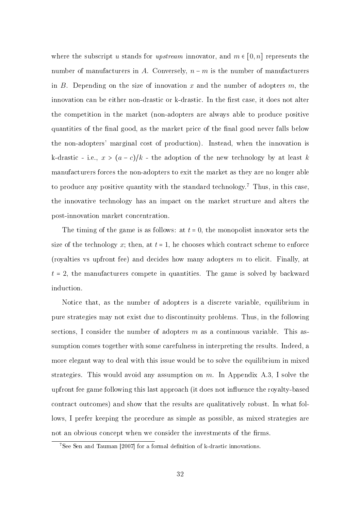where the subscript u stands for upstream innovator, and  $m \in [0, n]$  represents the number of manufacturers in A. Conversely,  $n - m$  is the number of manufacturers in B. Depending on the size of innovation x and the number of adopters  $m$ , the innovation can be either non-drastic or k-drastic. In the first case, it does not alter the competition in the market (non-adopters are always able to produce positive quantities of the final good, as the market price of the final good never falls below the non-adopters' marginal cost of production). Instead, when the innovation is k-drastic - i.e.,  $x > (a - c)/k$  - the adoption of the new technology by at least k manufacturers forces the non-adopters to exit the market as they are no longer able to produce any positive quantity with the standard technology.[7](#page-34-0) Thus, in this case, the innovative technology has an impact on the market structure and alters the post-innovation market concentration.

The timing of the game is as follows: at  $t = 0$ , the monopolist innovator sets the size of the technology x; then, at  $t = 1$ , he chooses which contract scheme to enforce (royalties vs upfront fee) and decides how many adopters  $m$  to elicit. Finally, at  $t = 2$ , the manufacturers compete in quantities. The game is solved by backward induction.

Notice that, as the number of adopters is a discrete variable, equilibrium in pure strategies may not exist due to discontinuity problems. Thus, in the following sections, I consider the number of adopters  $m$  as a continuous variable. This assumption comes together with some carefulness in interpreting the results. Indeed, a more elegant way to deal with this issue would be to solve the equilibrium in mixed strategies. This would avoid any assumption on  $m$ . In Appendix A.3, I solve the upfront fee game following this last approach (it does not influence the royalty-based contract outcomes) and show that the results are qualitatively robust. In what follows, I prefer keeping the procedure as simple as possible, as mixed strategies are not an obvious concept when we consider the investments of the firms.

<span id="page-34-0"></span> $7$ See Sen and Tauman [2007] for a formal definition of k-drastic innovations.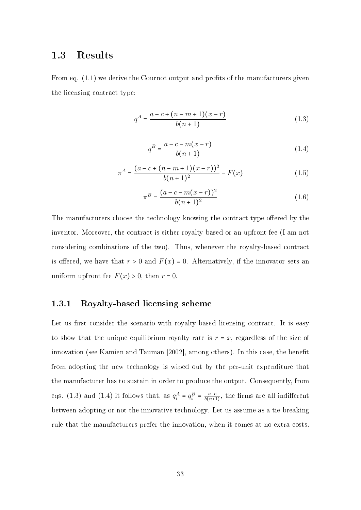### <span id="page-35-0"></span>1.3 Results

From eq.  $(1.1)$  we derive the Cournot output and profits of the manufacturers given the licensing contract type:

<span id="page-35-2"></span>
$$
q^{A} = \frac{a - c + (n - m + 1)(x - r)}{b(n + 1)}
$$
\n(1.3)

<span id="page-35-3"></span>
$$
q^B = \frac{a - c - m(x - r)}{b(n + 1)}
$$
\n(1.4)

$$
\pi^A = \frac{(a - c + (n - m + 1)(x - r))^2}{b(n + 1)^2} - F(x)
$$
\n(1.5)

$$
\pi^B = \frac{(a - c - m(x - r))^2}{b(n + 1)^2} \tag{1.6}
$$

The manufacturers choose the technology knowing the contract type offered by the inventor. Moreover, the contract is either royalty-based or an upfront fee (I am not considering combinations of the two). Thus, whenever the royalty-based contract is offered, we have that  $r > 0$  and  $F(x) = 0$ . Alternatively, if the innovator sets an uniform upfront fee  $F(x) > 0$ , then  $r = 0$ .

#### <span id="page-35-1"></span>1.3.1 Royalty-based licensing scheme

Let us first consider the scenario with royalty-based licensing contract. It is easy to show that the unique equilibrium royalty rate is  $r = x$ , regardless of the size of innovation (see Kamien and Tauman [2002], among others). In this case, the benefit from adopting the new technology is wiped out by the per-unit expenditure that the manufacturer has to sustain in order to produce the output. Consequently, from eqs. [\(1.3\)](#page-35-2) and [\(1.4\)](#page-35-3) it follows that, as  $q_i^A = q_i^B = \frac{a-c}{b(n+1)}$  $\frac{a-c}{b(n+1)}$ , the firms are all indifferent between adopting or not the innovative technology. Let us assume as a tie-breaking rule that the manufacturers prefer the innovation, when it comes at no extra costs.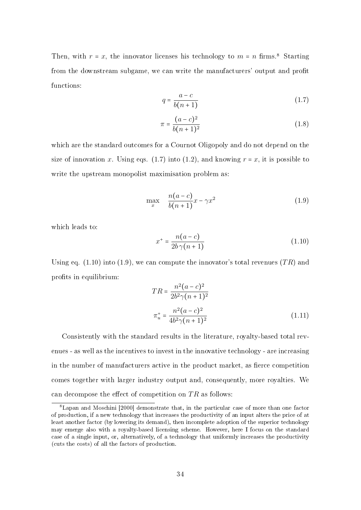Then, with  $r = x$ , the innovator licenses his technology to  $m = n$  firms.<sup>[8](#page-36-0)</sup> Starting from the downstream subgame, we can write the manufacturers' output and profit functions:

<span id="page-36-1"></span>
$$
q = \frac{a - c}{b(n+1)}\tag{1.7}
$$

$$
\pi = \frac{(a-c)^2}{b(n+1)^2} \tag{1.8}
$$

which are the standard outcomes for a Cournot Oligopoly and do not depend on the size of innovation x. Using eqs. [\(1.7\)](#page-36-1) into [\(1.2\)](#page-33-0), and knowing  $r = x$ , it is possible to write the upstream monopolist maximisation problem as:

<span id="page-36-3"></span>
$$
\max_{x} \quad \frac{n(a-c)}{b(n+1)}x - \gamma x^2 \tag{1.9}
$$

which leads to:

<span id="page-36-2"></span>
$$
x^{+} = \frac{n(a-c)}{2b\gamma(n+1)}
$$
 (1.10)

Using eq.  $(1.10)$  into  $(1.9)$ , we can compute the innovator's total revenues  $(TR)$  and profits in equilibrium:

<span id="page-36-4"></span>
$$
TR = \frac{n^2(a-c)^2}{2b^2\gamma(n+1)^2}
$$

$$
\pi_u^+ = \frac{n^2(a-c)^2}{4b^2\gamma(n+1)^2}
$$
(1.11)

Consistently with the standard results in the literature, royalty-based total revenues - as well as the incentives to invest in the innovative technology - are increasing in the number of manufacturers active in the product market, as fierce competition comes together with larger industry output and, consequently, more royalties. We can decompose the effect of competition on  $TR$  as follows:

<span id="page-36-0"></span><sup>8</sup>Lapan and Moschini [2000] demonstrate that, in the particular case of more than one factor of production, if a new technology that increases the productivity of an input alters the price of at least another factor (by lowering its demand), then incomplete adoption of the superior technology may emerge also with a royalty-based licensing scheme. However, here I focus on the standard case of a single input, or, alternatively, of a technology that uniformly increases the productivity (cuts the costs) of all the factors of production.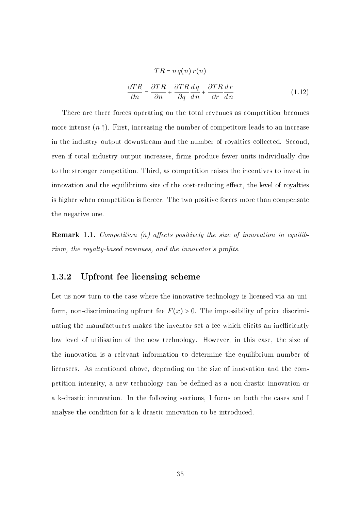$$
TR = n q(n) r(n)
$$

$$
\frac{\partial TR}{\partial n} = \frac{\partial TR}{\partial n} + \frac{\partial TR}{\partial q} \frac{dq}{dn} + \frac{\partial TR}{\partial r} \frac{dr}{dn}
$$
(1.12)

There are three forces operating on the total revenues as competition becomes more intense  $(n \uparrow)$ . First, increasing the number of competitors leads to an increase in the industry output downstream and the number of royalties collected. Second, even if total industry output increases, firms produce fewer units individually due to the stronger competition. Third, as competition raises the incentives to invest in innovation and the equilibrium size of the cost-reducing effect, the level of royalties is higher when competition is fiercer. The two positive forces more than compensate the negative one.

**Remark 1.1.** Competition  $(n)$  affects positively the size of innovation in equilibrium, the royalty-based revenues, and the innovator's profits.

### <span id="page-37-0"></span>1.3.2 Upfront fee licensing scheme

Let us now turn to the case where the innovative technology is licensed via an uniform, non-discriminating upfront fee  $F(x) > 0$ . The impossibility of price discriminating the manufacturers makes the inventor set a fee which elicits an inefficiently low level of utilisation of the new technology. However, in this case, the size of the innovation is a relevant information to determine the equilibrium number of licensees. As mentioned above, depending on the size of innovation and the competition intensity, a new technology can be dened as a non-drastic innovation or a k-drastic innovation. In the following sections, I focus on both the cases and I analyse the condition for a k-drastic innovation to be introduced.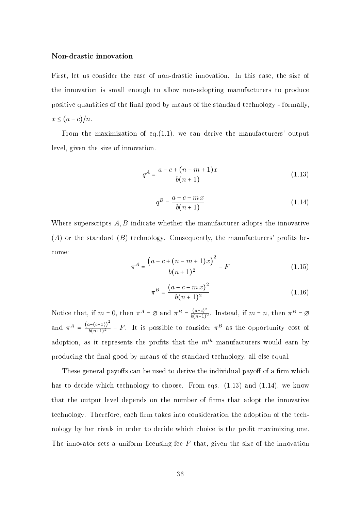#### <span id="page-38-2"></span>Non-drastic innovation

First, let us consider the case of non-drastic innovation. In this case, the size of the innovation is small enough to allow non-adopting manufacturers to produce positive quantities of the nal good by means of the standard technology - formally,  $x \leq (a-c)/n$ .

From the maximization of eq.  $(1.1)$ , we can derive the manufacturers' output level, given the size of innovation.

<span id="page-38-0"></span>
$$
q^{A} = \frac{a - c + (n - m + 1)x}{b(n + 1)}
$$
\n(1.13)

<span id="page-38-1"></span>
$$
q^B = \frac{a - c - m x}{b(n+1)}
$$
 (1.14)

Where superscripts  $A, B$  indicate whether the manufacturer adopts the innovative  $(A)$  or the standard  $(B)$  technology. Consequently, the manufacturers' profits become:

<span id="page-38-3"></span>
$$
\pi^{A} = \frac{(a - c + (n - m + 1)x)^{2}}{b(n + 1)^{2}} - F
$$
\n(1.15)

<span id="page-38-4"></span>
$$
\pi^B = \frac{(a - c - m x)^2}{b(n+1)^2} \tag{1.16}
$$

Notice that, if  $m = 0$ , then  $\pi^A = \emptyset$  and  $\pi^B = \frac{(a-c)^2}{b(n+1)}$  $\frac{(a-c)^2}{b(n+1)^2}$ . Instead, if  $m = n$ , then  $\pi^B = \varnothing$ and  $\pi^A = \frac{(a - (c - x))^2}{b(n+1)^2}$  $\frac{b(-c-x)}{b(n+1)^2}$  – F. It is possible to consider  $\pi^B$  as the opportunity cost of adoption, as it represents the profits that the  $m^{th}$  manufacturers would earn by producing the nal good by means of the standard technology, all else equal.

These general payoffs can be used to derive the individual payoff of a firm which has to decide which technology to choose. From eqs. [\(1.13\)](#page-38-0) and [\(1.14\)](#page-38-1), we know that the output level depends on the number of firms that adopt the innovative technology. Therefore, each firm takes into consideration the adoption of the technology by her rivals in order to decide which choice is the profit maximizing one. The innovator sets a uniform licensing fee  $F$  that, given the size of the innovation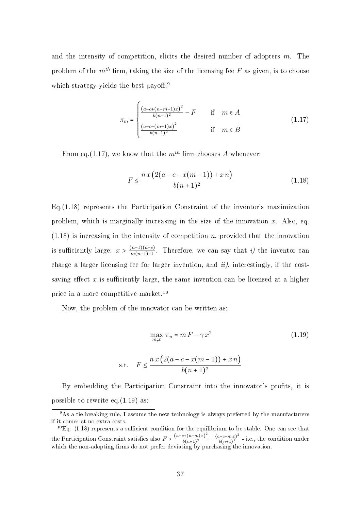and the intensity of competition, elicits the desired number of adopters  $m$ . The problem of the  $m<sup>th</sup>$  firm, taking the size of the licensing fee F as given, is to choose which strategy yields the best payoff: $9$ 

<span id="page-39-1"></span>
$$
\pi_m = \begin{cases}\n\frac{(a - c + (n - m + 1)x)^2}{b(n + 1)^2} - F & \text{if } m \in A \\
\frac{(a - c - (m - 1)x)^2}{b(n + 1)^2} & \text{if } m \in B\n\end{cases}
$$
\n(1.17)

From eq.[\(1.17\)](#page-39-1), we know that the  $m^{th}$  firm chooses A whenever:

<span id="page-39-2"></span>
$$
F \le \frac{n x \left( 2(a - c - x(m - 1)) + x n \right)}{b(n + 1)^2} \tag{1.18}
$$

Eq.[\(1.18\)](#page-39-2) represents the Participation Constraint of the inventor's maximization problem, which is marginally increasing in the size of the innovation  $x$ . Also, eq.  $(1.18)$  is increasing in the intensity of competition n, provided that the innovation is sufficiently large:  $x > \frac{(n-1)(a-c)}{m(n-1)+1}$  $\frac{(n-1)(a-c)}{m(n-1)+1}$ . Therefore, we can say that i) the inventor can charge a larger licensing fee for larger invention, and  $ii$ , interestingly, if the costsaving effect x is sufficiently large, the same invention can be licensed at a higher price in a more competitive market.[10](#page-39-3)

Now, the problem of the innovator can be written as:

<span id="page-39-4"></span>
$$
\max_{m;x} \pi_u = m F - \gamma x^2
$$
\n(1.19)  
\ns.t.  $F \le \frac{n x \left(2(a - c - x(m - 1)) + x n\right)}{b(n + 1)^2}$ 

By embedding the Participation Constraint into the innovator's prots, it is possible to rewrite eq. $(1.19)$  as:

<span id="page-39-0"></span> $9As$  a tie-breaking rule, I assume the new technology is always preferred by the manufacturers if it comes at no extra costs.

<span id="page-39-3"></span> $^{10}$ Eq. [\(1.18\)](#page-39-2) represents a sufficient condition for the equilibrium to be stable. One can see that the Participation Constraint satisfies also  $F > \frac{(a-c+(n-m)x)^2}{b(n+1)^2}$  $\frac{(c+(n-m)x)^2}{b(n+1)^2} - \frac{(a-c-mx)^2}{b(n+1)^2}$  $\frac{b-c-mx}{b(n+1)^2}$  - i.e., the condition under which the non-adopting firms do not prefer deviating by purchasing the innovation.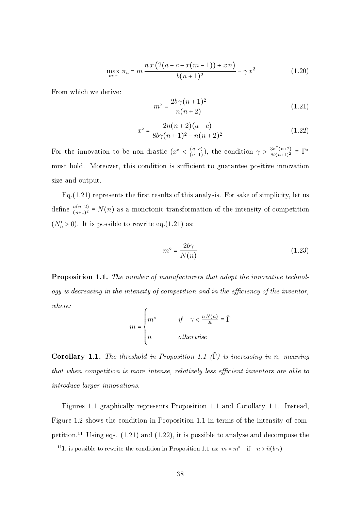<span id="page-40-5"></span>
$$
\max_{m;x} \pi_u = m \frac{n x \left( 2(a - c - x(m - 1)) + x n \right)}{b(n + 1)^2} - \gamma x^2 \tag{1.20}
$$

From which we derive:

<span id="page-40-0"></span>
$$
m^{\circ} = \frac{2b\,\gamma(n+1)^2}{n(n+2)}
$$
\n(1.21)

<span id="page-40-4"></span>
$$
x^{\circ} = \frac{2n(n+2)(a-c)}{8b\gamma(n+1)^2 - n(n+2)^2}
$$
 (1.22)

For the innovation to be non-drastic  $(x^{\circ} < \frac{(a-c)}{(n-1)}$  $\frac{(a-c)}{(n-1)}$ , the condition  $\gamma > \frac{3n^2(n+2)}{8b(n+1)^2}$  $\frac{3n^2(n+2)}{8b(n+1)^2} \equiv \Gamma^*$ must hold. Moreover, this condition is sufficient to guarantee positive innovation size and output.

 $Eq.(1.21)$  $Eq.(1.21)$  represents the first results of this analysis. For sake of simplicity, let us define  $\frac{n(n+2)}{(n+1)^2} \equiv N(n)$  as a monotonic transformation of the intensity of competition  $(N'_n > 0)$ . It is possible to rewrite eq.[\(1.21\)](#page-40-0) as:

$$
m^{\circ} = \frac{2b\gamma}{N(n)}\tag{1.23}
$$

<span id="page-40-1"></span>**Proposition 1.1.** The number of manufacturers that adopt the innovative technol $ogy$  is decreasing in the intensity of competition and in the efficiency of the inventor, where:

$$
m = \begin{cases} m^{\circ} & \text{if } \gamma < \frac{n N(n)}{2b} \equiv \tilde{\Gamma} \\ n & \text{otherwise} \end{cases}
$$

<span id="page-40-2"></span>Corollary [1.1](#page-40-1). The threshold in Proposition 1.1  $(\tilde{\Gamma})$  is increasing in n, meaning that when competition is more intense, relatively less efficient inventors are able to introduce larger innovations.

Figures [1.1](#page-41-0) graphically represents Proposition [1.1](#page-40-1) and Corollary [1.1.](#page-40-2) Instead, Figure [1.2](#page-42-0) shows the condition in Proposition [1.1](#page-40-1) in terms of the intensity of competition.[11](#page-40-3) Using eqs. [\(1.21\)](#page-40-0) and [\(1.22\)](#page-40-4), it is possible to analyse and decompose the

<span id="page-40-3"></span><sup>&</sup>lt;sup>11</sup>It is possible to rewrite the condition in Proposition [1.1](#page-40-1) as:  $m = m^{\circ}$  if  $n > \tilde{n}(b\gamma)$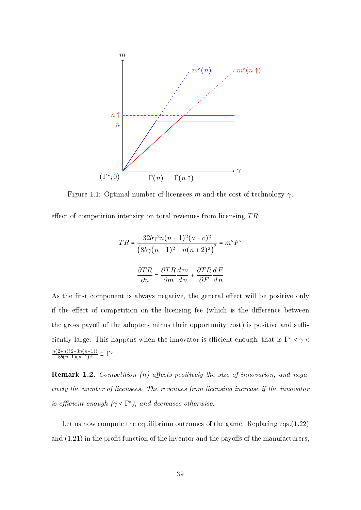<span id="page-41-0"></span>

Figure 1.1: Optimal number of licensees m and the cost of technology  $\gamma$ .

effect of competition intensity on total revenues from licensing  $TR$ :

$$
TR = \frac{32b\gamma^2 n(n+1)^2 (a-c)^2}{\left(8b\gamma (n+1)^2 - n(n+2)^2\right)^2} = m^\circ F^\circ
$$

$$
\frac{\partial TR}{\partial n} = \frac{\partial TR}{\partial m} \frac{dm}{dn} + \frac{\partial TR}{\partial F} \frac{dF}{dn}
$$

As the first component is always negative, the general effect will be positive only if the effect of competition on the licensing fee (which is the difference between the gross payoff of the adopters minus their opportunity cost) is positive and sufficiently large. This happens when the innovator is efficient enough, that is  $\Gamma^* < \gamma <$  $n(2+n)(2+3n(n+1))$  $\frac{2+n(2+3n(n+1))}{8b(n-1)(n+1)^2} \equiv \Gamma^{\circ}.$ 

**Remark 1.2.** Competition (n) affects positively the size of innovation, and negatively the number of licensees. The revenues from licensing increase if the innovator is efficient enough  $(\gamma < \Gamma^{\circ})$ , and decreases otherwise.

Let us now compute the equilibrium outcomes of the game. Replacing eqs.[\(1.22\)](#page-40-4) and  $(1.21)$  in the profit function of the inventor and the payoffs of the manufacturers.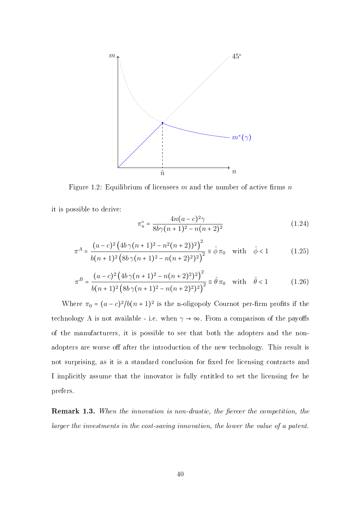<span id="page-42-0"></span>

Figure 1.2: Equilibrium of licensees  $m$  and the number of active firms  $n$ 

it is possible to derive:

<span id="page-42-1"></span>
$$
\pi_u^\circ = \frac{4n(a-c)^2\gamma}{8b\gamma(n+1)^2 - n(n+2)^2} \tag{1.24}
$$

$$
\pi^{A} = \frac{(a-c)^{2} (4b\gamma(n+1)^{2} - n^{2}(n+2))^{2}}{b(n+1)^{2} (8b\gamma(n+1)^{2} - n(n+2)^{2})^{2}} \equiv \hat{\phi} \pi_{0} \quad \text{with} \quad \hat{\phi} < 1
$$
 (1.25)

$$
\pi^{B} = \frac{(a-c)^{2} (4b\gamma(n+1)^{2} - n(n+2)^{2})^{2}}{b(n+1)^{2} (8b\gamma(n+1)^{2} - n(n+2)^{2})^{2}} \equiv \hat{\theta} \pi_{0} \quad \text{with} \quad \hat{\theta} < 1
$$
\n(1.26)

Where  $\pi_0 = (a - c)^2/b(n + 1)^2$  is the n-oligopoly Cournot per-firm profits if the technology A is not available - i.e. when  $\gamma \to \infty$ . From a comparison of the payoffs of the manufacturers, it is possible to see that both the adopters and the nonadopters are worse off after the introduction of the new technology. This result is not surprising, as it is a standard conclusion for fixed fee licensing contracts and I implicitly assume that the innovator is fully entitled to set the licensing fee he prefers.

**Remark 1.3.** When the innovation is non-drastic, the fiercer the competition, the larger the investments in the cost-saving innovation, the lower the value of a patent.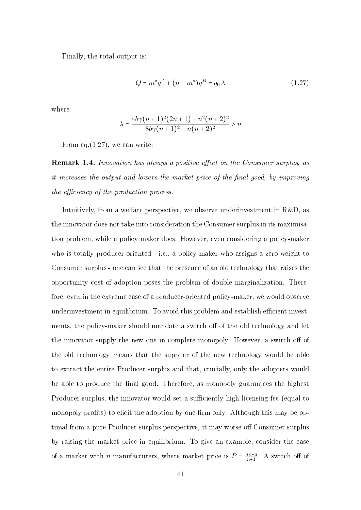Finally, the total output is:

<span id="page-43-0"></span>
$$
Q = m^{\circ}q^{A} + (n - m^{\circ})q^{B} = q_{0}\lambda
$$
\n(1.27)

where

$$
\lambda = \frac{4b\gamma(n+1)^2(2n+1) - n^2(n+2)^2}{8b\gamma(n+1)^2 - n(n+2)^2} > n
$$

From eq.  $(1.27)$ , we can write:

**Remark 1.4.** Innovation has always a positive effect on the Consumer surplus, as it increases the output and lowers the market price of the final good, by improving the efficiency of the production process.

Intuitively, from a welfare perspective, we observe underinvestment in R&D, as the innovator does not take into consideration the Consumer surplus in its maximisation problem, while a policy maker does. However, even considering a policy-maker who is totally producer-oriented - i.e., a policy-maker who assigns a zero-weight to Consumer surplus - one can see that the presence of an old technology that raises the opportunity cost of adoption poses the problem of double marginalization. Therefore, even in the extreme case of a producer-oriented policy-maker, we would observe underinvestment in equilibrium. To avoid this problem and establish efficient investments, the policy-maker should mandate a switch off of the old technology and let the innovator supply the new one in complete monopoly. However, a switch off of the old technology means that the supplier of the new technology would be able to extract the entire Producer surplus and that, crucially, only the adopters would be able to produce the final good. Therefore, as monopoly guarantees the highest Producer surplus, the innovator would set a sufficiently high licensing fee (equal to monopoly profits) to elicit the adoption by one firm only. Although this may be optimal from a pure Producer surplus perspective, it may worse off Consumer surplus by raising the market price in equilibrium. To give an example, consider the case of a market with *n* manufacturers, where market price is  $P = \frac{nc+a}{n+1}$  $\frac{nct+a}{n+1}$ . A switch off of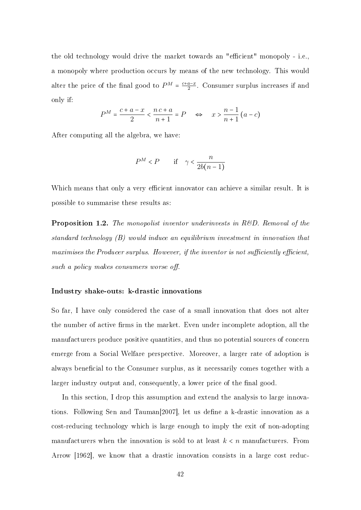the old technology would drive the market towards an "efficient" monopoly - i.e., a monopoly where production occurs by means of the new technology. This would alter the price of the final good to  $P^M = \frac{c+a-x}{2}$  $\frac{a-x}{2}$ . Consumer surplus increases if and only if:

$$
P^M = \frac{c+a-x}{2} < \frac{nc+a}{n+1} = P \quad \Leftrightarrow \quad x > \frac{n-1}{n+1} \left( a - c \right)
$$

After computing all the algebra, we have:

$$
P^M < P \qquad \text{if} \quad \gamma < \frac{n}{2b(n-1)}
$$

Which means that only a very efficient innovator can achieve a similar result. It is possible to summarise these results as:

**Proposition 1.2.** The monopolist inventor underinvests in R&D. Removal of the standard technology (B) would induce an equilibrium investment in innovation that maximises the Producer surplus. However, if the inventor is not sufficiently efficient, such a policy makes consumers worse off.

#### Industry shake-outs: k-drastic innovations

So far, I have only considered the case of a small innovation that does not alter the number of active firms in the market. Even under incomplete adoption, all the manufacturers produce positive quantities, and thus no potential sources of concern emerge from a Social Welfare perspective. Moreover, a larger rate of adoption is always beneficial to the Consumer surplus, as it necessarily comes together with a larger industry output and, consequently, a lower price of the final good.

In this section, I drop this assumption and extend the analysis to large innovations. Following Sen and Tauman<sup>[2007]</sup>, let us define a k-drastic innovation as a cost-reducing technology which is large enough to imply the exit of non-adopting manufacturers when the innovation is sold to at least  $k < n$  manufacturers. From Arrow [1962], we know that a drastic innovation consists in a large cost reduc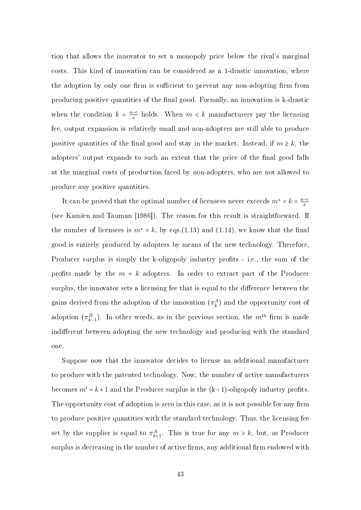tion that allows the innovator to set a monopoly price below the rival's marginal costs. This kind of innovation can be considered as a 1-drastic innovation, where the adoption by only one firm is sufficient to prevent any non-adopting firm from producing positive quantities of the nal good. Formally, an innovation is k-drastic when the condition  $k = \frac{a-c}{x}$  $\frac{c-c}{x}$  holds. When  $m < k$  manufacturers pay the licensing fee, output expansion is relatively small and non-adopters are still able to produce positive quantities of the final good and stay in the market. Instead, if  $m \geq k$ , the adopters' output expands to such an extent that the price of the final good falls at the marginal costs of production faced by non-adopters, who are not allowed to produce any positive quantities.

It can be proved that the optimal number of licensees never exceeds  $m^* = k = \frac{a-c}{x}$ x (see Kamien and Tauman [1986]). The reason for this result is straightforward. If the number of licensees is  $m^* = k$ , by eqs.[\(1.13\)](#page-38-0) and [\(1.14\)](#page-38-1), we know that the final good is entirely produced by adopters by means of the new technology. Therefore, Producer surplus is simply the k-oligopoly industry profits - i.e., the sum of the profits made by the  $m = k$  adopters. In order to extract part of the Producer surplus, the innovator sets a licensing fee that is equal to the difference between the gains derived from the adoption of the innovation  $(\pi_k^A)$  and the opportunity cost of adoption  $(\pi_{k-1}^B)$ . In other words, as in the previous section, the  $m^{th}$  firm is made indifferent between adopting the new technology and producing with the standard one.

Suppose now that the innovator decides to license an additional manufacturer to produce with the patented technology. Now, the number of active manufacturers becomes  $m' = k+1$  and the Producer surplus is the  $(k+1)$ -oligopoly industry profits. The opportunity cost of adoption is zero in this case, as it is not possible for any firm to produce positive quantities with the standard technology. Thus, the licensing fee set by the supplier is equal to  $\pi_{k+1}^A$ . This is true for any  $m > k$ , but, as Producer surplus is decreasing in the number of active firms, any additional firm endowed with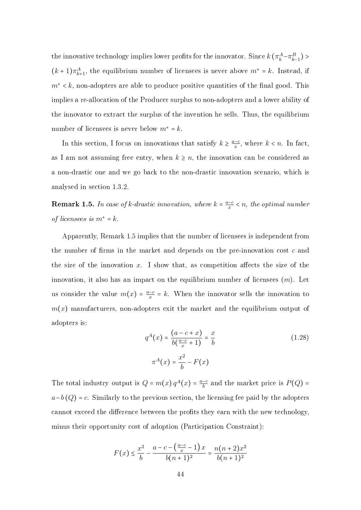the innovative technology implies lower profits for the innovator. Since  $k(\pi_k^A - \pi_{k-1}^B) >$  $(k+1)\pi_{k+1}^A$ , the equilibrium number of licensees is never above  $m^* = k$ . Instead, if  $m^*$  < k, non-adopters are able to produce positive quantities of the final good. This implies a re-allocation of the Producer surplus to non-adopters and a lower ability of the innovator to extract the surplus of the invention he sells. Thus, the equilibrium number of licensees is never below  $m^* = k$ .

In this section, I focus on innovations that satisfy  $k \geq \frac{a-c}{x}$  $\frac{x-c}{x}$ , where  $k < n$ . In fact, as I am not assuming free entry, when  $k \geq n$ , the innovation can be considered as a non-drastic one and we go back to the non-drastic innovation scenario, which is analysed in section [1.3.2.](#page-37-0)

<span id="page-46-0"></span>**Remark 1.5.** In case of k-drastic innovation, where  $k = \frac{a-c}{x}$  $\frac{x-c}{x}$  < n, the optimal number of licensees is  $m^* = k$ .

Apparently, Remark [1.5](#page-46-0) implies that the number of licensees is independent from the number of firms in the market and depends on the pre-innovation cost  $c$  and the size of the innovation  $x$ . I show that, as competition affects the size of the innovation, it also has an impact on the equilibrium number of licensees  $(m)$ . Let us consider the value  $m(x) = \frac{a-c}{x}$  $\frac{c-c}{x} = k$ . When the innovator sells the innovation to  $m(x)$  manufacturers, non-adopters exit the market and the equilibrium output of adopters is:

<span id="page-46-1"></span>
$$
q^{A}(x) = \frac{(a - c + x)}{b(\frac{a - c}{x} + 1)} = \frac{x}{b}
$$
\n
$$
\pi^{A}(x) = \frac{x^{2}}{b} - F(x)
$$
\n(1.28)

The total industry output is  $Q = m(x) q^A(x) = \frac{a-c}{b}$  $\frac{-c}{b}$  and the market price is  $P(Q)$  =  $a-b(Q) = c$ . Similarly to the previous section, the licensing fee paid by the adopters cannot exceed the difference between the profits they earn with the new technology minus their opportunity cost of adoption (Participation Constraint):

$$
F(x) \le \frac{x^2}{b} - \frac{a - c - \left(\frac{a - c}{x} - 1\right)x}{b(n + 1)^2} = \frac{n(n + 2)x^2}{b(n + 1)^2}
$$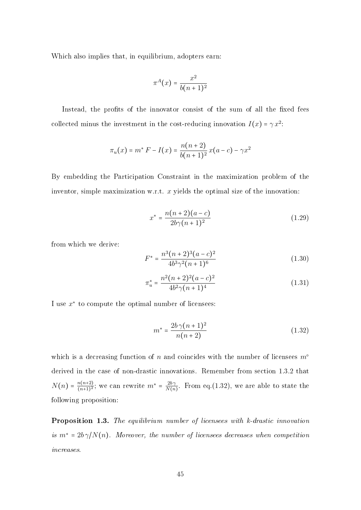Which also implies that, in equilibrium, adopters earn:

$$
\pi^A(x) = \frac{x^2}{b(n+1)^2}
$$

Instead, the profits of the innovator consist of the sum of all the fixed fees collected minus the investment in the cost-reducing innovation  $I(x) = \gamma x^2$ :

$$
\pi_u(x) = m^* F - I(x) = \frac{n(n+2)}{b(n+1)^2} x(a-c) - \gamma x^2
$$

By embedding the Participation Constraint in the maximization problem of the inventor, simple maximization w.r.t. x yields the optimal size of the innovation:

$$
x^* = \frac{n(n+2)(a-c)}{2b\gamma(n+1)^2}
$$
 (1.29)

from which we derive:

$$
F^* = \frac{n^3(n+2)^3(a-c)^2}{4b^3\gamma^2(n+1)^6}
$$
 (1.30)

<span id="page-47-2"></span>
$$
\pi_u^* = \frac{n^2(n+2)^2(a-c)^2}{4b^2\gamma(n+1)^4} \tag{1.31}
$$

I use x ∗ to compute the optimal number of licensees:

<span id="page-47-0"></span>
$$
m^* = \frac{2b\,\gamma(n+1)^2}{n(n+2)}\tag{1.32}
$$

which is a decreasing function of n and coincides with the number of licensees  $m^{\circ}$ derived in the case of non-drastic innovations. Remember from section [1.3.2](#page-38-2) that  $N(n) = \frac{n(n+2)}{(n+1)^2}$  $\frac{n(n+2)}{(n+1)^2}$ ; we can rewrite  $m^* = \frac{2b\gamma}{N(n)}$  $\frac{2b\gamma}{N(n)}$ . From eq.[\(1.32\)](#page-47-0), we are able to state the following proposition:

<span id="page-47-1"></span>Proposition 1.3. The equilibrium number of licensees with k-drastic innovation is  $m^* = 2b\gamma/N(n)$ . Moreover, the number of licensees decreases when competition increases.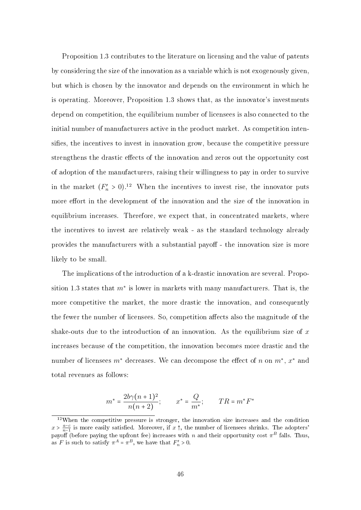Proposition [1.3](#page-47-1) contributes to the literature on licensing and the value of patents by considering the size of the innovation as a variable which is not exogenously given, but which is chosen by the innovator and depends on the environment in which he is operating. Moreover, Proposition [1.3](#page-47-1) shows that, as the innovator's investments depend on competition, the equilibrium number of licensees is also connected to the initial number of manufacturers active in the product market. As competition intensifies, the incentives to invest in innovation grow, because the competitive pressure strengthens the drastic effects of the innovation and zeros out the opportunity cost of adoption of the manufacturers, raising their willingness to pay in order to survive in the market  $(F'_n > 0)$ .<sup>[12](#page-48-0)</sup> When the incentives to invest rise, the innovator puts more effort in the development of the innovation and the size of the innovation in equilibrium increases. Therefore, we expect that, in concentrated markets, where the incentives to invest are relatively weak - as the standard technology already provides the manufacturers with a substantial payoff - the innovation size is more likely to be small.

The implications of the introduction of a k-drastic innovation are several. Propo-sition [1.3](#page-47-1) states that  $m^*$  is lower in markets with many manufacturers. That is, the more competitive the market, the more drastic the innovation, and consequently the fewer the number of licensees. So, competition affects also the magnitude of the shake-outs due to the introduction of an innovation. As the equilibrium size of  $x$ increases because of the competition, the innovation becomes more drastic and the number of licensees  $m^*$  decreases. We can decompose the effect of n on  $m^*$ ,  $x^*$  and total revenues as follows:

$$
m^* = \frac{2b\gamma(n+1)^2}{n(n+2)};
$$
  $x^* = \frac{Q}{m^*};$   $TR = m^*F^*$ 

<span id="page-48-0"></span> $12$ When the competitive pressure is stronger, the innovation size increases and the condition  $x > \frac{a-c}{n-1}$  is more easily satisfied. Moreover, if  $x \uparrow$ , the number of licensees shrinks. The adopters'  $\sum_{n=1}^{\infty}$  n=1 is more casily satisfied. Moreover, if x |, the number of neclisess similars. The adopters payoff (before paying the upfront fee) increases with n and their opportunity cost  $\pi^B$  falls. Thus, as F is such to satisfy  $\pi^A = \pi^B$ , we have that  $F'_n > 0$ .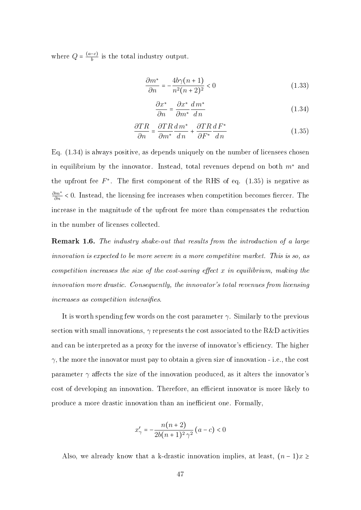where  $Q = \frac{(a-c)}{b}$  $\frac{-c_j}{b}$  is the total industry output.

$$
\frac{\partial m^*}{\partial n} = -\frac{4b\gamma(n+1)}{n^2(n+2)^2} < 0\tag{1.33}
$$

<span id="page-49-0"></span>
$$
\frac{\partial x^*}{\partial n} = \frac{\partial x^*}{\partial m^*} \frac{d m^*}{dn}
$$
\n(1.34)

<span id="page-49-1"></span>
$$
\frac{\partial TR}{\partial n} = \frac{\partial TR}{\partial m^*} \frac{dm^*}{dn} + \frac{\partial TR}{\partial F^*} \frac{dF^*}{dn}
$$
\n(1.35)

Eq. [\(1.34\)](#page-49-0) is always positive, as depends uniquely on the number of licensees chosen in equilibrium by the innovator. Instead, total revenues depend on both  $m^*$  and the upfront fee  $F^*$ . The first component of the RHS of eq. [\(1.35\)](#page-49-1) is negative as  $\frac{\partial m^*}{\partial n}$  < 0. Instead, the licensing fee increases when competition becomes fiercer. The increase in the magnitude of the upfront fee more than compensates the reduction in the number of licenses collected.

Remark 1.6. The industry shake-out that results from the introduction of a large innovation is expected to be more severe in a more competitive market. This is so, as competition increases the size of the cost-saving effect  $x$  in equilibrium, making the innovation more drastic. Consequently, the innovator's total revenues from licensing increases as competition intensifies.

It is worth spending few words on the cost parameter  $\gamma$ . Similarly to the previous section with small innovations,  $\gamma$  represents the cost associated to the R&D activities and can be interpreted as a proxy for the inverse of innovator's efficiency. The higher  $\gamma$ , the more the innovator must pay to obtain a given size of innovation - i.e., the cost parameter  $\gamma$  affects the size of the innovation produced, as it alters the innovator's cost of developing an innovation. Therefore, an efficient innovator is more likely to produce a more drastic innovation than an inefficient one. Formally,

$$
x'_{\gamma} = -\frac{n(n+2)}{2b(n+1)^2 \gamma^2} (a-c) < 0
$$

Also, we already know that a k-drastic innovation implies, at least,  $(n-1)x \ge$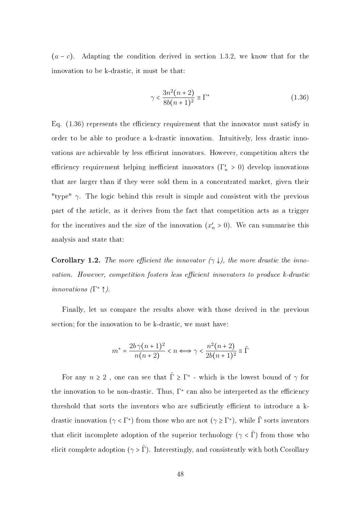$(a - c)$ . Adapting the condition derived in section [1.3.2,](#page-38-2) we know that for the innovation to be k-drastic, it must be that:

<span id="page-50-0"></span>
$$
\gamma < \frac{3n^2(n+2)}{8b(n+1)^2} \equiv \Gamma^* \tag{1.36}
$$

Eq.  $(1.36)$  represents the efficiency requirement that the innovator must satisfy in order to be able to produce a k-drastic innovation. Intuitively, less drastic innovations are achievable by less efficient innovators. However, competition alters the efficiency requirement helping inefficient innovators  $(\Gamma'_n > 0)$  develop innovations that are larger than if they were sold them in a concentrated market, given their "type"  $\gamma$ . The logic behind this result is simple and consistent with the previous part of the article, as it derives from the fact that competition acts as a trigger for the incentives and the size of the innovation  $(x_n > 0)$ . We can summarise this analysis and state that:

<span id="page-50-1"></span>**Corollary 1.2.** The more efficient the innovator  $(\gamma \downarrow)$ , the more drastic the innovation. However, competition fosters less efficient innovators to produce k-drastic *innovations*  $(\Gamma^* \uparrow)$ .

Finally, let us compare the results above with those derived in the previous section; for the innovation to be k-drastic, we must have:

$$
m^* = \frac{2b\,\gamma(n+1)^2}{n(n+2)} < n \Longleftrightarrow \gamma < \frac{n^2(n+2)}{2b(n+1)^2} \equiv \widetilde{\Gamma}
$$

For any  $n \geq 2$ , one can see that  $\tilde{\Gamma} \geq \Gamma^*$  - which is the lowest bound of  $\gamma$  for the innovation to be non-drastic. Thus,  $\Gamma^*$  can also be interpreted as the efficiency threshold that sorts the inventors who are sufficiently efficient to introduce a kdrastic innovation  $(\gamma \lt \Gamma^*)$  from those who are not  $(\gamma \ge \Gamma^*)$ , while  $\tilde{\Gamma}$  sorts inventors that elicit incomplete adoption of the superior technology  $(\gamma \lt \tilde{\Gamma})$  from those who elicit complete adoption ( $\gamma > \tilde{\Gamma}$ ). Interestingly, and consistently with both Corollary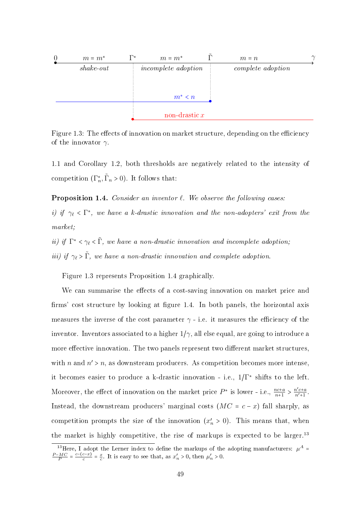<span id="page-51-0"></span>

Figure 1.3: The effects of innovation on market structure, depending on the efficiency of the innovator  $\gamma$ .

[1.1](#page-40-2) and Corollary [1.2,](#page-50-1) both thresholds are negatively related to the intensity of competition  $(\Gamma_n^*, \tilde{\Gamma}_n > 0)$ . It follows that:

<span id="page-51-1"></span>**Proposition 1.4.** Consider an inventor  $\ell$ . We observe the following cases:

i) if  $\gamma_{\ell} < \Gamma^*$ , we have a k-drastic innovation and the non-adopters' exit from the market;

ii) if  $\Gamma^* < \gamma_{\ell} < \tilde{\Gamma}$ , we have a non-drastic innovation and incomplete adoption;

iii) if  $\gamma_{\ell} > \tilde{\Gamma}$ , we have a non-drastic innovation and complete adoption.

Figure [1.3](#page-51-0) represents Proposition [1.4](#page-51-1) graphically.

We can summarise the effects of a cost-saving innovation on market price and firms' cost structure by looking at figure [1.4.](#page-52-0) In both panels, the horizontal axis measures the inverse of the cost parameter  $\gamma$  - i.e. it measures the efficiency of the inventor. Inventors associated to a higher  $1/\gamma$ , all else equal, are going to introduce a more effective innovation. The two panels represent two different market structures. with *n* and  $n' > n$ , as downstream producers. As competition becomes more intense, it becomes easier to produce a k-drastic innovation - i.e., 1/Γ<sup>∗</sup> shifts to the left. Moreover, the effect of innovation on the market price  $P^*$  is lower - i.e.,  $\frac{nc+a}{n+1} > \frac{n'c+a}{n'+1}$  $\frac{n'c+a}{n'+1}$ . Instead, the downstream producers' marginal costs  $(MC = c - x)$  fall sharply, as competition prompts the size of the innovation  $(x_n > 0)$ . This means that, when the market is highly competitive, the rise of markups is expected to be larger.[13](#page-51-2)

<span id="page-51-2"></span><sup>&</sup>lt;sup>13</sup>Here, I adopt the Lerner index to define the markups of the adopting manufacturers:  $\mu^A$  =  $\frac{P-MC}{P} = \frac{c-(c-x)}{c}$  $\frac{c-x}{c} = \frac{x}{c}$ . It is easy to see that, as  $x'_n > 0$ , then  $\mu'_n > 0$ .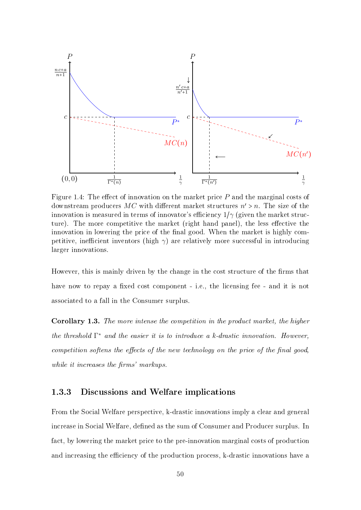<span id="page-52-0"></span>

Figure 1.4: The effect of innovation on the market price  $P$  and the marginal costs of downstream producers  $MC$  with different market structures  $n' > n$ . The size of the innovation is measured in terms of innovator's efficiency  $1/\gamma$  (given the market structure). The more competitive the market (right hand panel), the less effective the innovation in lowering the price of the final good. When the market is highly competitive, inefficient inventors (high  $\gamma$ ) are relatively more successful in introducing larger innovations.

However, this is mainly driven by the change in the cost structure of the firms that have now to repay a fixed cost component - i.e., the licensing fee - and it is not associated to a fall in the Consumer surplus.

Corollary 1.3. The more intense the competition in the product market, the higher the threshold  $\Gamma^*$  and the easier it is to introduce a k-drastic innovation. However, competition softens the effects of the new technology on the price of the final good, while it increases the firms' markups.

#### 1.3.3 Discussions and Welfare implications

From the Social Welfare perspective, k-drastic innovations imply a clear and general increase in Social Welfare, defined as the sum of Consumer and Producer surplus. In fact, by lowering the market price to the pre-innovation marginal costs of production and increasing the efficiency of the production process, k-drastic innovations have a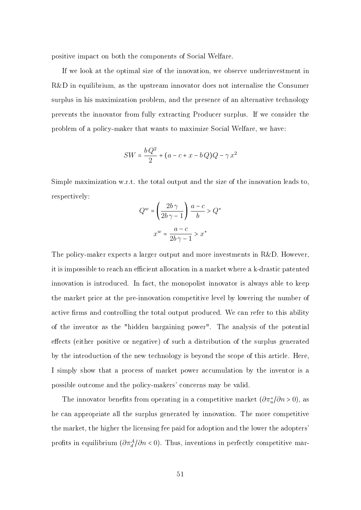positive impact on both the components of Social Welfare.

If we look at the optimal size of the innovation, we observe underinvestment in R&D in equilibrium, as the upstream innovator does not internalise the Consumer surplus in his maximization problem, and the presence of an alternative technology prevents the innovator from fully extracting Producer surplus. If we consider the problem of a policy-maker that wants to maximize Social Welfare, we have:

$$
SW = \frac{bQ^{2}}{2} + (a - c + x - bQ)Q - \gamma x^{2}
$$

Simple maximization w.r.t. the total output and the size of the innovation leads to, respectively:

$$
Q^w = \left(\frac{2b\gamma}{2b\gamma - 1}\right) \frac{a - c}{b} > Q^*
$$

$$
x^w = \frac{a - c}{2b\gamma - 1} > x^*
$$

The policy-maker expects a larger output and more investments in R&D. However, it is impossible to reach an efficient allocation in a market where a k-drastic patented innovation is introduced. In fact, the monopolist innovator is always able to keep the market price at the pre-innovation competitive level by lowering the number of active firms and controlling the total output produced. We can refer to this ability of the inventor as the "hidden bargaining power". The analysis of the potential effects (either positive or negative) of such a distribution of the surplus generated by the introduction of the new technology is beyond the scope of this article. Here, I simply show that a process of market power accumulation by the inventor is a possible outcome and the policy-makers' concerns may be valid.

The innovator benefits from operating in a competitive market  $(\partial \pi_u^* / \partial n > 0)$ , as he can appropriate all the surplus generated by innovation. The more competitive the market, the higher the licensing fee paid for adoption and the lower the adopters' profits in equilibrium  $(\partial \pi_d^A / \partial n < 0)$ . Thus, inventions in perfectly competitive mar-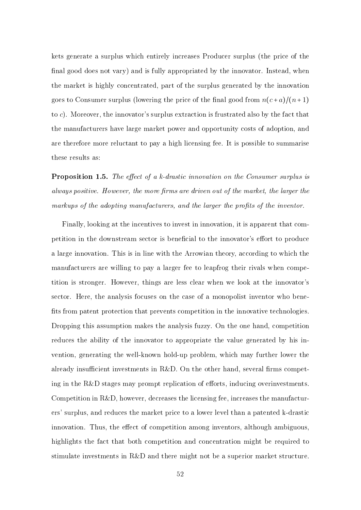kets generate a surplus which entirely increases Producer surplus (the price of the final good does not vary) and is fully appropriated by the innovator. Instead, when the market is highly concentrated, part of the surplus generated by the innovation goes to Consumer surplus (lowering the price of the final good from  $n(c+a)/(n+1)$ ) to c). Moreover, the innovator's surplus extraction is frustrated also by the fact that the manufacturers have large market power and opportunity costs of adoption, and are therefore more reluctant to pay a high licensing fee. It is possible to summarise these results as:

**Proposition 1.5.** The effect of a k-drastic innovation on the Consumer surplus is always positive. However, the more firms are driven out of the market, the larger the markups of the adopting manufacturers, and the larger the profits of the inventor.

Finally, looking at the incentives to invest in innovation, it is apparent that competition in the downstream sector is beneficial to the innovator's effort to produce a large innovation. This is in line with the Arrowian theory, according to which the manufacturers are willing to pay a larger fee to leapfrog their rivals when competition is stronger. However, things are less clear when we look at the innovator's sector. Here, the analysis focuses on the case of a monopolist inventor who bene fits from patent protection that prevents competition in the innovative technologies. Dropping this assumption makes the analysis fuzzy. On the one hand, competition reduces the ability of the innovator to appropriate the value generated by his invention, generating the well-known hold-up problem, which may further lower the already insufficient investments in R&D. On the other hand, several firms competing in the R&D stages may prompt replication of efforts, inducing overinvestments. Competition in R&D, however, decreases the licensing fee, increases the manufacturers' surplus, and reduces the market price to a lower level than a patented k-drastic innovation. Thus, the effect of competition among inventors, although ambiguous, highlights the fact that both competition and concentration might be required to stimulate investments in R&D and there might not be a superior market structure.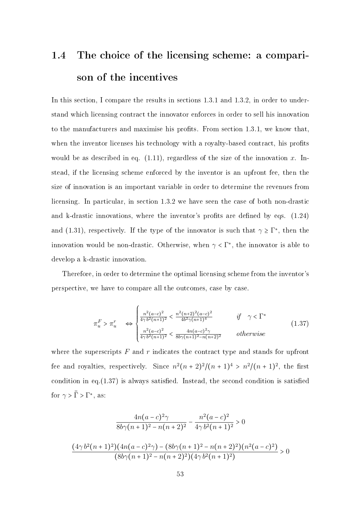# 1.4 The choice of the licensing scheme: a comparison of the incentives

In this section, I compare the results in sections [1.3.1](#page-35-0) and [1.3.2,](#page-37-0) in order to understand which licensing contract the innovator enforces in order to sell his innovation to the manufacturers and maximise his profits. From section [1.3.1,](#page-35-0) we know that, when the inventor licenses his technology with a royalty-based contract, his profits would be as described in eq.  $(1.11)$ , regardless of the size of the innovation x. Instead, if the licensing scheme enforced by the inventor is an upfront fee, then the size of innovation is an important variable in order to determine the revenues from licensing. In particular, in section [1.3.2](#page-37-0) we have seen the case of both non-drastic and k-drastic innovations, where the inventor's profits are defined by eqs.  $(1.24)$ and [\(1.31\)](#page-47-2), respectively. If the type of the innovator is such that  $\gamma \ge \Gamma^*$ , then the innovation would be non-drastic. Otherwise, when  $\gamma < \Gamma^*$ , the innovator is able to develop a k-drastic innovation.

Therefore, in order to determine the optimal licensing scheme from the inventor's perspective, we have to compare all the outcomes, case by case.

<span id="page-55-0"></span>
$$
\pi_u^F > \pi_u^r \iff \begin{cases} \frac{n^2(a-c)^2}{4\gamma b^2(n+1)^2} < \frac{n^2(n+2)^2(a-c)^2}{4b^2\gamma(n+1)^4} & \text{if } \gamma < \Gamma^*\\ \frac{n^2(a-c)^2}{4\gamma b^2(n+1)^2} < \frac{4n(a-c)^2\gamma}{8b\gamma(n+1)^2 - n(n+2)^2} & \text{otherwise} \end{cases} \tag{1.37}
$$

where the superscripts  $F$  and  $r$  indicates the contract type and stands for upfront fee and royalties, respectively. Since  $n^2(n+2)^2/(n+1)^4 > n^2/(n+1)^2$ , the first condition in eq. $(1.37)$  is always satisfied. Instead, the second condition is satisfied for  $\gamma > \overline{\overline{\Gamma}} > \Gamma^*$ , as:

$$
\frac{4n(a-c)^2\gamma}{8b\gamma(n+1)^2 - n(n+2)^2} - \frac{n^2(a-c)^2}{4\gamma b^2(n+1)^2} > 0
$$

$$
\frac{(4\gamma b^2(n+1)^2)(4n(a-c)^2\gamma) - (8b\gamma(n+1)^2 - n(n+2)^2)(n^2(a-c)^2)}{(8b\gamma(n+1)^2 - n(n+2)^2)(4\gamma b^2(n+1)^2)} > 0
$$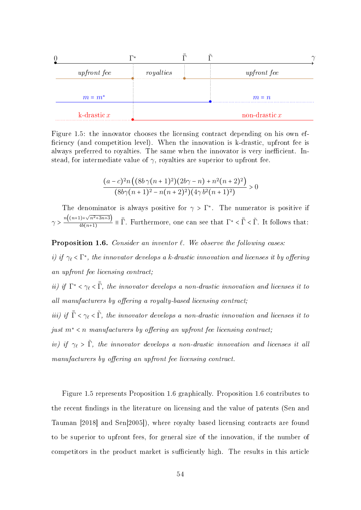<span id="page-56-0"></span>

|                    | П∗         |  |                 |
|--------------------|------------|--|-----------------|
| <i>upfront fee</i> | royal ties |  | upfront fee     |
| $m = m^*$          |            |  | $m = n$         |
| k-drastic $x$      |            |  | non-drastic $x$ |

Figure 1.5: the innovator chooses the licensing contract depending on his own ef ficiency (and competition level). When the innovation is k-drastic, upfront fee is always preferred to royalties. The same when the innovator is very inefficient. Instead, for intermediate value of  $\gamma$ , royalties are superior to upfront fee.

$$
\frac{(a-c)^2n((8b\gamma(n+1)^2)(2b\gamma-n)+n^2(n+2)^2)}{(8b\gamma(n+1)^2-n(n+2)^2)(4\gamma b^2(n+1)^2)} > 0
$$

The denominator is always positive for  $\gamma > \Gamma^*$ . The numerator is positive if  $\gamma > \frac{n((n+1)+\sqrt{n^2+3n+3})}{4b(n+1)}$  $\frac{(1)+\sqrt{n^2+3n+3}}{4b(n+1)}$  =  $\bar{\overline{\Gamma}}$ . Furthermore, one can see that  $\Gamma^* < \bar{\overline{\Gamma}} < \tilde{\Gamma}$ . It follows that:

<span id="page-56-1"></span>**Proposition 1.6.** Consider an inventor  $\ell$ . We observe the following cases:

i) if  $\gamma_{\ell} < \Gamma^*$ , the innovator develops a k-drastic innovation and licenses it by offering an upfront fee licensing contract;

ii) if  $\Gamma^* < \gamma_{\ell} < \bar{\overline{\Gamma}}$ , the innovator develops a non-drastic innovation and licenses it to all manufacturers by offering a royalty-based licensing contract;

iii) if  $\bar{\Gamma} < \gamma_{\ell} < \tilde{\Gamma}$ , the innovator develops a non-drastic innovation and licenses it to just  $m^*$  < n manufacturers by offering an upfront fee licensing contract;

iv) if  $\gamma_{\ell} > \tilde{\Gamma}$ , the innovator develops a non-drastic innovation and licenses it all manufacturers by offering an upfront fee licensing contract.

Figure [1.5](#page-56-0) represents Proposition [1.6](#page-56-1) graphically. Proposition [1.6](#page-56-1) contributes to the recent findings in the literature on licensing and the value of patents (Sen and Tauman [2018] and Sen[2005]), where royalty based licensing contracts are found to be superior to upfront fees, for general size of the innovation, if the number of competitors in the product market is sufficiently high. The results in this article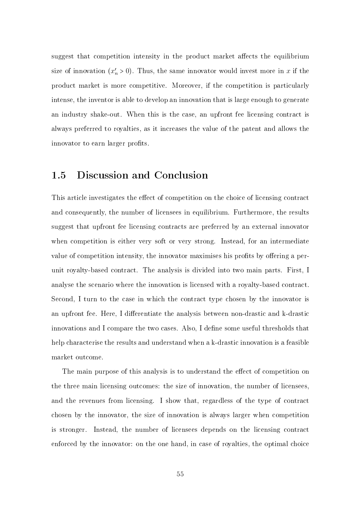suggest that competition intensity in the product market affects the equilibrium size of innovation  $(x'_n > 0)$ . Thus, the same innovator would invest more in x if the product market is more competitive. Moreover, if the competition is particularly intense, the inventor is able to develop an innovation that is large enough to generate an industry shake-out. When this is the case, an upfront fee licensing contract is always preferred to royalties, as it increases the value of the patent and allows the innovator to earn larger profits.

## 1.5 Discussion and Conclusion

This article investigates the effect of competition on the choice of licensing contract and consequently, the number of licensees in equilibrium. Furthermore, the results suggest that upfront fee licensing contracts are preferred by an external innovator when competition is either very soft or very strong. Instead, for an intermediate value of competition intensity, the innovator maximises his profits by offering a perunit royalty-based contract. The analysis is divided into two main parts. First, I analyse the scenario where the innovation is licensed with a royalty-based contract. Second, I turn to the case in which the contract type chosen by the innovator is an upfront fee. Here, I differentiate the analysis between non-drastic and k-drastic innovations and I compare the two cases. Also, I define some useful thresholds that help characterise the results and understand when a k-drastic innovation is a feasible market outcome.

The main purpose of this analysis is to understand the effect of competition on the three main licensing outcomes: the size of innovation, the number of licensees, and the revenues from licensing. I show that, regardless of the type of contract chosen by the innovator, the size of innovation is always larger when competition is stronger. Instead, the number of licensees depends on the licensing contract enforced by the innovator: on the one hand, in case of royalties, the optimal choice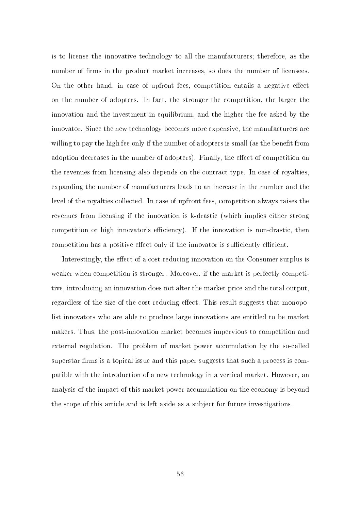is to license the innovative technology to all the manufacturers; therefore, as the number of firms in the product market increases, so does the number of licensees. On the other hand, in case of upfront fees, competition entails a negative effect on the number of adopters. In fact, the stronger the competition, the larger the innovation and the investment in equilibrium, and the higher the fee asked by the innovator. Since the new technology becomes more expensive, the manufacturers are willing to pay the high fee only if the number of adopters is small (as the benefit from adoption decreases in the number of adopters). Finally, the effect of competition on the revenues from licensing also depends on the contract type. In case of royalties, expanding the number of manufacturers leads to an increase in the number and the level of the royalties collected. In case of upfront fees, competition always raises the revenues from licensing if the innovation is k-drastic (which implies either strong competition or high innovator's efficiency). If the innovation is non-drastic, then competition has a positive effect only if the innovator is sufficiently efficient.

Interestingly, the effect of a cost-reducing innovation on the Consumer surplus is weaker when competition is stronger. Moreover, if the market is perfectly competitive, introducing an innovation does not alter the market price and the total output, regardless of the size of the cost-reducing effect. This result suggests that monopolist innovators who are able to produce large innovations are entitled to be market makers. Thus, the post-innovation market becomes impervious to competition and external regulation. The problem of market power accumulation by the so-called superstar firms is a topical issue and this paper suggests that such a process is compatible with the introduction of a new technology in a vertical market. However, an analysis of the impact of this market power accumulation on the economy is beyond the scope of this article and is left aside as a subject for future investigations.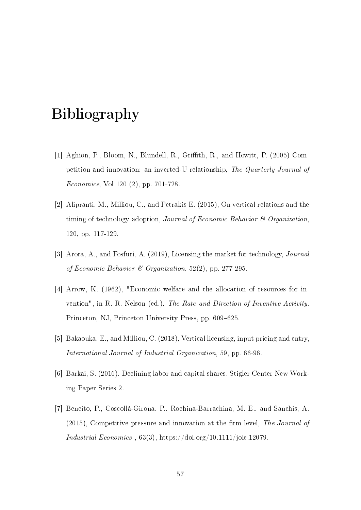# Bibliography

- [1] Aghion, P., Bloom, N., Blundell, R., Grith, R., and Howitt, P. (2005) Competition and innovation: an inverted-U relationship, The Quarterly Journal of Economics, Vol 120 (2), pp. 701-728.
- [2] Alipranti, M., Milliou, C., and Petrakis E. (2015), On vertical relations and the timing of technology adoption, Journal of Economic Behavior & Organization, 120, pp. 117-129.
- [3] Arora, A., and Fosfuri, A. (2019), Licensing the market for technology, Journal of Economic Behavior & Organization,  $52(2)$ , pp. 277-295.
- [4] Arrow, K. (1962), "Economic welfare and the allocation of resources for invention", in R. R. Nelson (ed.), The Rate and Direction of Inventive Activity. Princeton, NJ, Princeton University Press, pp. 609–625.
- [5] Bakaouka, E., and Milliou, C. (2018), Vertical licensing, input pricing and entry, International Journal of Industrial Organization, 59, pp. 66-96.
- [6] Barkai, S. (2016), Declining labor and capital shares, Stigler Center New Working Paper Series 2.
- [7] Beneito, P., Coscollà-Girona, P., Rochina-Barrachina, M. E., and Sanchis, A.  $(2015)$ , Competitive pressure and innovation at the firm level, The Journal of Industrial Economics ,  $63(3)$ , https://doi.org/10.1111/joie.12079.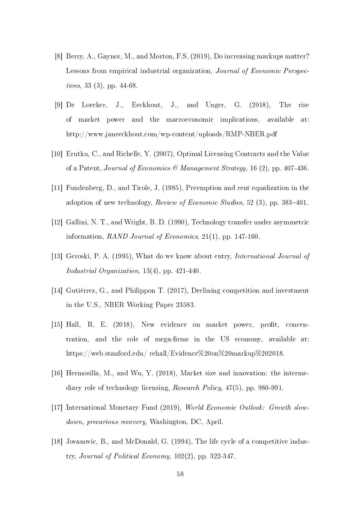- [8] Berry, A., Gaynor, M., and Morton, F.S. (2019), Do increasing markups matter? Lessons from empirical industrial organization, Journal of Economic Perspectives, 33 (3), pp. 44-68.
- [9] De Loecker, J., Eeckhout, J., and Unger, G. (2018), The rise of market power and the macroeconomic implications, available at: http://www.janeeckhout.com/wp-content/uploads/RMP-NBER.pdf
- [10] Erutku, C., and Richelle, Y. (2007), Optimal Licensing Contracts and the Value of a Patent, Journal of Economics & Management Strategy, 16 (2), pp. 407-436.
- [11] Fundenberg, D., and Tirole, J. (1985), Preemption and rent equalization in the adoption of new technology, Review of Economic Studies, 52 (3), pp. 383-401.
- [12] Gallini, N. T., and Wright, B. D. (1990), Technology transfer under asymmetric information, RAND Journal of Economics, 21(1), pp. 147-160.
- [13] Geroski, P. A. (1995), What do we know about entry, International Journal of Industrial Organization, 13(4), pp. 421-440.
- [14] Gutiérrez, G., and Philippon T. (2017), Declining competition and investment in the U.S., NBER Working Paper 23583.
- [15] Hall, R. E. (2018), New evidence on market power, profit, concentration, and the role of mega-firms in the US economy, available at: https://web.stanford.edu/ rehall/Evidence%20on%20markup%202018.
- [16] Hermosilla, M., and Wu, Y. (2018), Market size and innovation: the intermediary role of technology licensing, Research Policy, 47(5), pp. 980-991.
- [17] International Monetary Fund (2019), World Economic Outlook: Growth slowdown, precarious recovery, Washington, DC, April.
- [18] Jovanovic, B., and McDonald, G. (1994), The life cycle of a competitive industry, Journal of Political Economy, 102(2), pp. 322-347.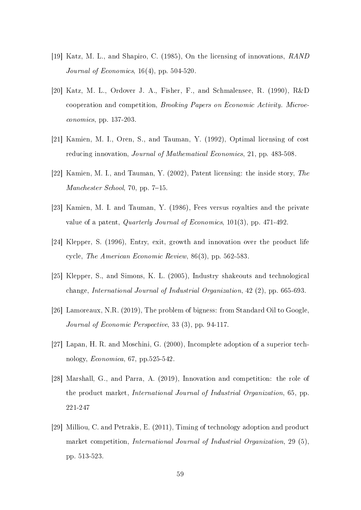- [19] Katz, M. L., and Shapiro, C. (1985), On the licensing of innovations, RAND Journal of Economics,  $16(4)$ , pp. 504-520.
- [20] Katz, M. L., Ordover J. A., Fisher, F., and Schmalensee, R. (1990), R&D cooperation and competition, Brooking Papers on Economic Activity. Microeconomics, pp. 137-203.
- [21] Kamien, M. I., Oren, S., and Tauman, Y. (1992), Optimal licensing of cost reducing innovation, Journal of Mathematical Economics, 21, pp. 483-508.
- [22] Kamien, M. I., and Tauman, Y. (2002), Patent licensing: the inside story, The Manchester School, 70, pp.  $7-15$ .
- [23] Kamien, M. I. and Tauman, Y. (1986), Fees versus royalties and the private value of a patent, Quarterly Journal of Economics, 101(3), pp. 471-492.
- [24] Klepper, S. (1996), Entry, exit, growth and innovation over the product life cycle, The American Economic Review, 86(3), pp. 562-583.
- [25] Klepper, S., and Simons, K. L. (2005), Industry shakeouts and technological change, International Journal of Industrial Organization, 42 (2), pp. 665-693.
- [26] Lamoreaux, N.R. (2019), The problem of bigness: from Standard Oil to Google Journal of Economic Perspective, 33 (3), pp. 94-117.
- [27] Lapan, H. R. and Moschini, G. (2000), Incomplete adoption of a superior technology, Economica, 67, pp.525-542.
- [28] Marshall, G., and Parra, A. (2019), Innovation and competition: the role of the product market, International Journal of Industrial Organization, 65, pp. 221-247
- [29] Milliou, C. and Petrakis, E. (2011), Timing of technology adoption and product market competition, *International Journal of Industrial Organization*, 29 (5), pp. 513-523.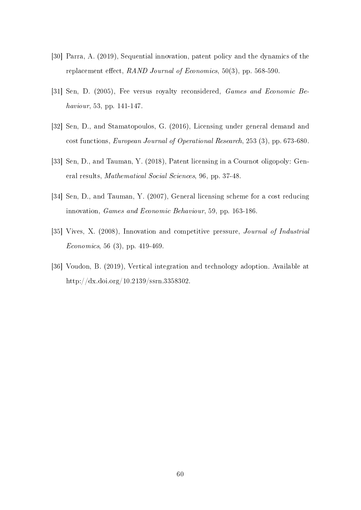- [30] Parra, A. (2019), Sequential innovation, patent policy and the dynamics of the replacement effect, RAND Journal of Economics, 50(3), pp. 568-590.
- [31] Sen, D. (2005), Fee versus royalty reconsidered, Games and Economic Behaviour, 53, pp. 141-147.
- [32] Sen, D., and Stamatopoulos, G. (2016), Licensing under general demand and cost functions, European Journal of Operational Research, 253 (3), pp. 673-680.
- [33] Sen, D., and Tauman, Y. (2018), Patent licensing in a Cournot oligopoly: General results, Mathematical Social Sciences, 96, pp. 37-48.
- [34] Sen, D., and Tauman, Y. (2007), General licensing scheme for a cost reducing innovation, Games and Economic Behaviour, 59, pp. 163-186.
- [35] Vives, X. (2008), Innovation and competitive pressure, Journal of Industrial Economics, 56 (3), pp. 419-469.
- [36] Voudon, B. (2019), Vertical integration and technology adoption. Available at http://dx.doi.org/10.2139/ssrn.3358302.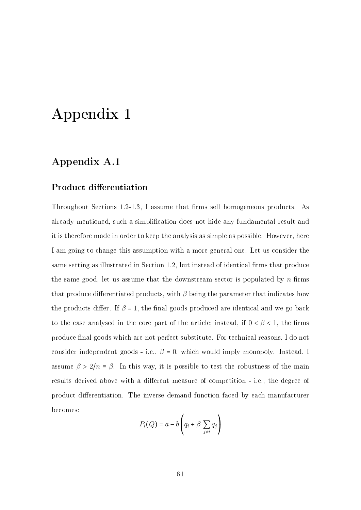## Appendix 1

### Appendix A.1

### Product differentiation

Throughout Sections [1.2](#page-32-0)[-1.3,](#page-35-1) I assume that firms sell homogeneous products. As already mentioned, such a simplication does not hide any fundamental result and it is therefore made in order to keep the analysis as simple as possible. However, here I am going to change this assumption with a more general one. Let us consider the same setting as illustrated in Section [1.2,](#page-32-0) but instead of identical firms that produce the same good, let us assume that the downstream sector is populated by  $n$  firms that produce differentiated products, with  $\beta$  being the parameter that indicates how the products differ. If  $\beta = 1$ , the final goods produced are identical and we go back to the case analysed in the core part of the article; instead, if  $0 < \beta < 1$ , the firms produce final goods which are not perfect substitute. For technical reasons, I do not consider independent goods - i.e.,  $\beta = 0$ , which would imply monopoly. Instead, I assume  $\beta > 2/n \equiv \underline{\beta}$ . In this way, it is possible to test the robustness of the main results derived above with a different measure of competition - i.e., the degree of product differentiation. The inverse demand function faced by each manufacturer becomes:

$$
P_i(Q) = a - b \left( q_i + \beta \sum_{j \neq i} q_j \right)
$$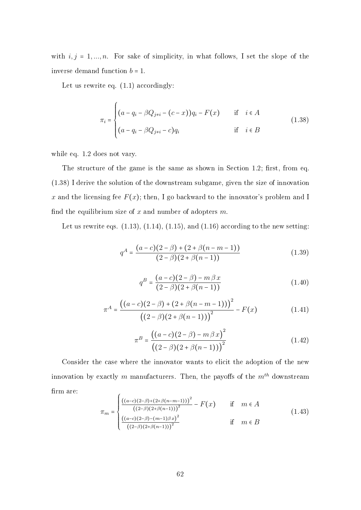with  $i, j = 1, ..., n$ . For sake of simplicity, in what follows, I set the slope of the inverse demand function  $b = 1$ .

Let us rewrite eq. [\(1.1\)](#page-33-1) accordingly:

<span id="page-64-0"></span>
$$
\pi_{i} = \begin{cases}\n(a - q_{i} - \beta Q_{j \neq i} - (c - x))q_{i} - F(x) & \text{if } i \in A \\
(a - q_{i} - \beta Q_{j \neq i} - c)q_{i} & \text{if } i \in B\n\end{cases}
$$
\n(1.38)

while eq. [1.2](#page-33-0) does not vary.

The structure of the game is the same as shown in Section [1.2;](#page-32-0) first, from eq. [\(1.38\)](#page-64-0) I derive the solution of the downstream subgame, given the size of innovation x and the licensing fee  $F(x)$ ; then, I go backward to the innovator's problem and I find the equilibrium size of x and number of adopters  $m$ .

Let us rewrite eqs.  $(1.13), (1.14), (1.15),$  $(1.13), (1.14), (1.15),$  $(1.13), (1.14), (1.15),$  $(1.13), (1.14), (1.15),$  $(1.13), (1.14), (1.15),$  $(1.13), (1.14), (1.15),$  and  $(1.16)$  according to the new setting:

$$
q^{A} = \frac{(a-c)(2-\beta) + (2+\beta(n-m-1))}{(2-\beta)(2+\beta(n-1))}
$$
\n(1.39)

$$
q^{B} = \frac{(a-c)(2-\beta) - m\beta x}{(2-\beta)(2+\beta(n-1))}
$$
\n(1.40)

$$
\pi^{A} = \frac{((a-c)(2-\beta) + (2+\beta(n-m-1)))^{2}}{((2-\beta)(2+\beta(n-1)))^{2}} - F(x)
$$
\n(1.41)

$$
\pi^{B} = \frac{((a-c)(2-\beta) - m\beta x)^{2}}{((2-\beta)(2+\beta(n-1)))^{2}}
$$
(1.42)

Consider the case where the innovator wants to elicit the adoption of the new innovation by exactly m manufacturers. Then, the payoffs of the  $m^{th}$  downstream firm are:  $\epsilon$ 

$$
\pi_m = \begin{cases}\n\frac{((a-c)(2-\beta)+(2+\beta(n-m-1)))^2}{((2-\beta)(2+\beta(n-1)))^2} - F(x) & \text{if } m \in A \\
\frac{((a-c)(2-\beta)-(m-1)\beta x)^2}{((2-\beta)(2+\beta(n-1)))^2} & \text{if } m \in B\n\end{cases}
$$
\n(1.43)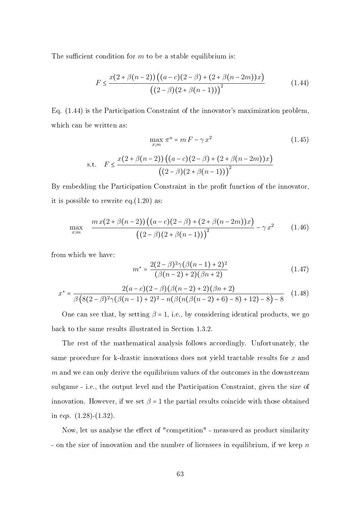The sufficient condition for  $m$  to be a stable equilibrium is:

<span id="page-65-0"></span>
$$
F \le \frac{x(2+\beta(n-2))((a-c)(2-\beta)+(2+\beta(n-2m))x)}{((2-\beta)(2+\beta(n-1)))^2}
$$
(1.44)

Eq. [\(1.44\)](#page-65-0) is the Participation Constraint of the innovator's maximization problem, which can be written as:

$$
\max_{x;m} \pi^u = m F - \gamma x^2
$$
(1.45)  

$$
F \le \frac{x(2 + \beta(n-2))((a-c)(2-\beta) + (2+\beta(n-2m))x)}{((2-\beta)(2+\beta(n-1)))^2}
$$

By embedding the Participation Constraint in the profit function of the innovator. it is possible to rewrite eq.[\(1.20\)](#page-40-5) as:

$$
\max_{x;m} \quad \frac{m\,x(2+\beta(n-2))\left((a-c)(2-\beta)+(2+\beta(n-2m))x\right)}{\left((2-\beta)(2+\beta(n-1))\right)^2} - \gamma\,x^2 \tag{1.46}
$$

from which we have:

 $s.t.$ 

<span id="page-65-1"></span>
$$
m^* = \frac{2(2-\beta)^2 \gamma (\beta(n-1) + 2)^2}{(\beta(n-2) + 2)(\beta n + 2)}
$$
(1.47)

<span id="page-65-2"></span>
$$
x^* = \frac{2(a-c)(2-\beta)(\beta(n-2)+2)(\beta n+2)}{\beta(8(2-\beta)^2)(\beta(n-1)+2)^2 - n(\beta(n(\beta(n-2)+6)-8)+12)-8)-8}
$$
(1.48)

One can see that, by setting  $\beta = 1$ , i.e., by considering identical products, we go back to the same results illustrated in Section [1.3.2.](#page-37-0)

The rest of the mathematical analysis follows accordingly. Unfortunately, the same procedure for k-drastic innovations does not yield tractable results for x and  $m$  and we can only derive the equilibrium values of the outcomes in the downstream subgame - i.e., the output level and the Participation Constraint, given the size of innovation. However, if we set  $\beta = 1$  the partial results coincide with those obtained in eqs. [\(1.28\)](#page-46-1)-[\(1.32\)](#page-47-0).

Now, let us analyse the effect of "competition" - measured as product similarity - on the size of innovation and the number of licensees in equilibrium, if we keep  $n$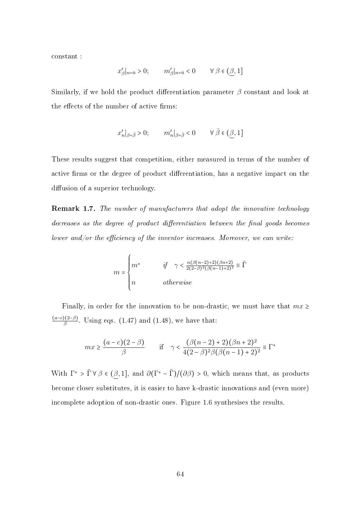constant :

$$
x'_{\beta}|_{n=\bar{n}} > 0; \qquad m'_{\beta}|_{n=\bar{n}} < 0 \qquad \forall \beta \in (\underline{\beta}, 1]
$$

Similarly, if we hold the product differentiation parameter  $\beta$  constant and look at the effects of the number of active firms:

$$
x'_n|_{\beta = \bar{\beta}} > 0; \qquad m'_n|_{\beta = \bar{\beta}} < 0 \qquad \forall \bar{\beta} \in (\underline{\beta}, 1]
$$

These results suggest that competition, either measured in terms of the number of active firms or the degree of product differentiation, has a negative impact on the diffusion of a superior technology.

Remark 1.7. The number of manufacturers that adopt the innovative technology decreases as the degree of product differentiation between the final goods becomes lower and/or the efficiency of the inventor increases. Moreover, we can write:

$$
m = \begin{cases} m^* & \text{if } \gamma < \frac{n(\beta(n-2)+2)(\beta n+2)}{2(2-\beta)^2(\beta(n-1)+2)^2} \equiv \tilde{\Gamma} \\ n & \text{otherwise} \end{cases}
$$

Finally, in order for the innovation to be non-drastic, we must have that  $mx \ge$  $(a-c)(2-\beta)$  $\frac{\beta(2-\beta)}{\beta}$ . Using eqs. [\(1.47\)](#page-65-1) and [\(1.48\)](#page-65-2), we have that:

$$
mx \ge \frac{(a-c)(2-\beta)}{\beta} \quad \text{if} \quad \gamma < \frac{(\beta(n-2)+2)(\beta n+2)^2}{4(2-\beta)^2 \beta(\beta(n-1)+2)^2} \equiv \Gamma^*
$$

With  $\Gamma^* > \tilde{\Gamma} \forall \beta \in (\beta, 1]$ , and  $\partial (\Gamma^* - \tilde{\Gamma})/(\partial \beta) > 0$ , which means that, as products become closer substitutes, it is easier to have k-drastic innovations and (even more) incomplete adoption of non-drastic ones. Figure [1.6](#page-67-0) synthesises the results.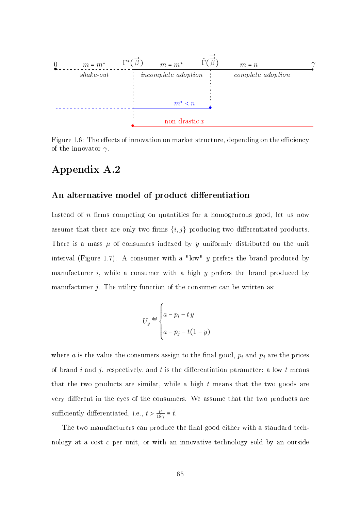<span id="page-67-0"></span>

Figure 1.6: The effects of innovation on market structure, depending on the efficiency of the innovator  $\gamma$ .

## Appendix A.2

### An alternative model of product differentiation

Instead of  $n$  firms competing on quantities for a homogeneous good, let us now assume that there are only two firms  $\{i, j\}$  producing two differentiated products. There is a mass  $\mu$  of consumers indexed by y uniformly distributed on the unit interval (Figure [1.7\)](#page-68-0). A consumer with a "low"  $y$  prefers the brand produced by manufacturer i, while a consumer with a high  $y$  prefers the brand produced by manufacturer  $j$ . The utility function of the consumer can be written as:

$$
U_y \stackrel{\text{def}}{=} \begin{cases} a - p_i - t \, y \\ a - p_j - t(1 - y) \end{cases}
$$

where  $a$  is the value the consumers assign to the final good,  $p_i$  and  $p_j$  are the prices of brand i and j, respectively, and t is the differentiation parameter: a low t means that the two products are similar, while a high  $t$  means that the two goods are very different in the eyes of the consumers. We assume that the two products are sufficiently differentiated, i.e.,  $t > \frac{\mu}{18}$  $\frac{\mu}{18\gamma} \equiv \overline{\overline{t}}.$ 

The two manufacturers can produce the final good either with a standard technology at a cost c per unit, or with an innovative technology sold by an outside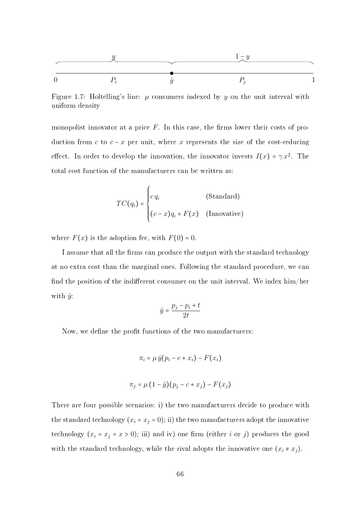<span id="page-68-0"></span>
$$
\begin{array}{c|c}\n & \mathbf{y} \\
\hline\n0 & P_i\n\end{array}
$$

Figure 1.7: Holtelling's line:  $\mu$  consumers indexed by  $y$  on the unit interval with uniform density

monopolist innovator at a price  $F$ . In this case, the firms lower their costs of production from  $c$  to  $c - x$  per unit, where x represents the size of the cost-reducing effect. In order to develop the innovation, the innovator invests  $I(x) = \gamma x^2$ . The total cost function of the manufacturers can be written as:

$$
TC(q_i) = \begin{cases} c q_i & \text{(Standard)}\\ (c - x)q_i + F(x) & \text{(Innovative)} \end{cases}
$$

where  $F(x)$  is the adoption fee, with  $F(0) = 0$ .

I assume that all the firms can produce the output with the standard technology at no extra cost than the marginal ones. Following the standard procedure, we can find the position of the indifferent consumer on the unit interval. We index  $\lim/\lim$ with  $\hat{y}$ :

$$
\hat{y} = \frac{p_j - p_i + t}{2t}
$$

Now, we define the profit functions of the two manufacturers:

$$
\pi_i = \mu \,\hat{y}(p_i - c + x_i) - F(x_i)
$$

$$
\pi_j = \mu \left(1 - \hat{y}\right) \left(p_j - c + x_j\right) - F(x_j)
$$

There are four possible scenarios: i) the two manufacturers decide to produce with the standard technology  $(x_i = x_j = 0)$ ; ii) the two manufacturers adopt the innovative technology  $(x_i = x_j = x > 0)$ ; iii) and iv) one firm (either *i* or *j*) produces the good with the standard technology, while the rival adopts the innovative one  $(x_i \neq x_j)$ .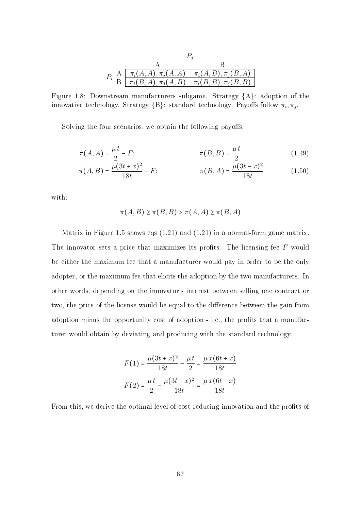|  | $P_i \begin{array}{c c c c} A & \pi_i(A, A), \pi_j(A, A) & \pi_i(A, B), \pi_j(B, A) \ \hline \pi_i(B, A), \pi_j(A, B) & \pi_i(B, B), \pi_j(B, B) \end{array}$ |  |  |  |
|--|---------------------------------------------------------------------------------------------------------------------------------------------------------------|--|--|--|

Figure 1.8: Downstream manufacturers subgame. Strategy {A}: adoption of the innovative technology. Strategy {B}: standard technology. Payoffs follow  $\pi_i, \pi_j.$ 

Solving the four scenarios, we obtain the following payoffs:

$$
\pi(A, A) = \frac{\mu t}{2} - F; \qquad \pi(B, B) = \frac{\mu t}{2} \qquad (1.49)
$$

$$
\pi(A,B) = \frac{\mu(3t+x)^2}{18t} - F; \qquad \pi(B,A) = \frac{\mu(3t-x)^2}{18t} \qquad (1.50)
$$

with:

$$
\pi(A, B) \ge \pi(B, B) > \pi(A, A) \ge \pi(B, A)
$$

Matrix in Figure 1.5 shows eqs (1.21) and (1.21) in a normal-form game matrix. The innovator sets a price that maximizes its profits. The licensing fee  $F$  would be either the maximum fee that a manufacturer would pay in order to be the only adopter, or the maximum fee that elicits the adoption by the two manufacturers. In other words, depending on the innovator's interest between selling one contract or two, the price of the license would be equal to the difference between the gain from adoption minus the opportunity cost of adoption - i.e., the profits that a manufacturer would obtain by deviating and producing with the standard technology.

$$
F(1) = \frac{\mu(3t + x)^2}{18t} - \frac{\mu t}{2} = \frac{\mu x(6t + x)}{18t}
$$

$$
F(2) = \frac{\mu t}{2} - \frac{\mu(3t - x)^2}{18t} = \frac{\mu x(6t - x)}{18t}
$$

From this, we derive the optimal level of cost-reducing innovation and the profits of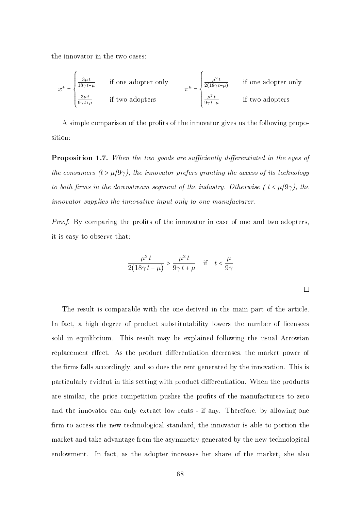the innovator in the two cases:

$$
x^+ = \begin{cases} \frac{3\mu t}{18\gamma t - \mu} & \text{if one adopter only} \\ \frac{3\mu t}{9\gamma t + \mu} & \text{if two adopters} \end{cases} \qquad \pi^u = \begin{cases} \frac{\mu^2 t}{2(18\gamma t - \mu)} & \text{if one adopter only} \\ \frac{\mu^2 t}{9\gamma t + \mu} & \text{if two adopters} \end{cases}
$$

A simple comparison of the profits of the innovator gives us the following proposition:

**Proposition 1.7.** When the two goods are sufficiently differentiated in the eyes of the consumers  $(t > \mu/9\gamma)$ , the innovator prefers granting the access of its technology to both firms in the downstream segment of the industry. Otherwise ( $t < \mu/9\gamma$ ), the innovator supplies the innovative input only to one manufacturer.

*Proof.* By comparing the profits of the innovator in case of one and two adopters. it is easy to observe that:

$$
\frac{\mu^2 t}{2(18\gamma t - \mu)} > \frac{\mu^2 t}{9\gamma t + \mu} \quad \text{if} \quad t < \frac{\mu}{9\gamma}
$$

 $\Box$ 

The result is comparable with the one derived in the main part of the article. In fact, a high degree of product substitutability lowers the number of licensees sold in equilibrium. This result may be explained following the usual Arrowian replacement effect. As the product differentiation decreases, the market power of the firms falls accordingly, and so does the rent generated by the innovation. This is particularly evident in this setting with product differentiation. When the products are similar, the price competition pushes the profits of the manufacturers to zero and the innovator can only extract low rents - if any. Therefore, by allowing one firm to access the new technological standard, the innovator is able to portion the market and take advantage from the asymmetry generated by the new technological endowment. In fact, as the adopter increases her share of the market, she also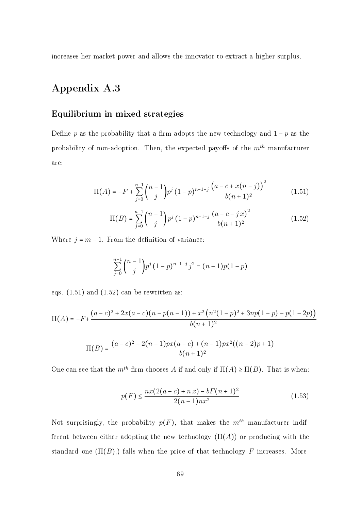increases her market power and allows the innovator to extract a higher surplus.

## Appendix A.3

### Equilibrium in mixed strategies

Define p as the probability that a firm adopts the new technology and  $1 - p$  as the probability of non-adoption. Then, the expected payoffs of the  $m<sup>th</sup>$  manufacturer are:

<span id="page-71-0"></span>
$$
\Pi(A) = -F + \sum_{j=0}^{n-1} {n-1 \choose j} p^j (1-p)^{n-1-j} \frac{(a-c+x(n-j))^2}{b(n+1)^2}
$$
(1.51)

<span id="page-71-1"></span>
$$
\Pi(B) = \sum_{j=0}^{n-1} {n-1 \choose j} p^j (1-p)^{n-1-j} \frac{(a-c-jx)^2}{b(n+1)^2}
$$
\n(1.52)

Where  $j = m - 1$ . From the definition of variance:

$$
\sum_{j=0}^{n-1} {n-1 \choose j} p^j (1-p)^{n-1-j} j^2 = (n-1)p(1-p)
$$

eqs.  $(1.51)$  and  $(1.52)$  can be rewritten as:

$$
\Pi(A) = -F + \frac{(a-c)^2 + 2x(a-c)(n-p(n-1)) + x^2(n^2(1-p)^2 + 3np(1-p) - p(1-2p))}{b(n+1)^2}
$$

$$
\Pi(B) = \frac{(a-c)^2 - 2(n-1)px(a-c) + (n-1)px^2((n-2)p + 1)}{b(n+1)^2}
$$

One can see that the  $m^{th}$  firm chooses A if and only if  $\Pi(A) \ge \Pi(B)$ . That is when:

$$
p(F) \le \frac{nx(2(a-c) + nx) - bF(n+1)^2}{2(n-1)nx^2} \tag{1.53}
$$

Not surprisingly, the probability  $p(F)$ , that makes the  $m^{th}$  manufacturer indifferent between either adopting the new technology  $(\Pi(A))$  or producing with the standard one  $(\Pi(B))$ , falls when the price of that technology F increases. More-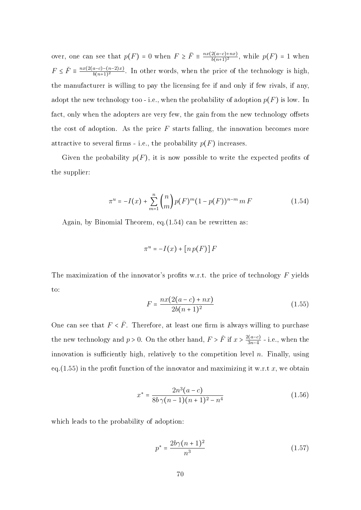over, one can see that  $p(F) = 0$  when  $F \geq \overline{F} = \frac{nx(2(a-c)+nx)}{b(n+1)^2}$  $\frac{2(a-c)+nx}{b(n+1)^2}$ , while  $p(F) = 1$  when  $F \leq \check{F} \equiv \frac{nx(2(a-c)-(n-2)x)}{b(n+1)^2}$  $\frac{a-c-(n-2)x}{b(n+1)^2}$ . In other words, when the price of the technology is high, the manufacturer is willing to pay the licensing fee if and only if few rivals, if any, adopt the new technology too - i.e., when the probability of adoption  $p(F)$  is low. In fact, only when the adopters are very few, the gain from the new technology offsets the cost of adoption. As the price  $F$  starts falling, the innovation becomes more attractive to several firms - i.e., the probability  $p(F)$  increases.

Given the probability  $p(F)$ , it is now possible to write the expected profits of the supplier:

<span id="page-72-0"></span>
$$
\pi^{u} = -I(x) + \sum_{m=1}^{n} {n \choose m} p(F)^{m} (1 - p(F))^{n-m} m F
$$
\n(1.54)

Again, by Binomial Theorem, eq.[\(1.54\)](#page-72-0) can be rewritten as:

$$
\pi^u = -I(x) + [n p(F)] F
$$

The maximization of the innovator's profits w.r.t. the price of technology  $F$  yields to:

<span id="page-72-1"></span>
$$
F = \frac{nx(2(a-c) + nx)}{2b(n+1)^2}
$$
\n(1.55)

One can see that  $F \lt F$ . Therefore, at least one firm is always willing to purchase the new technology and  $p > 0$ . On the other hand,  $F > \check{F}$  if  $x > \frac{2(a-c)}{3n-4}$  $\frac{2(a-c)}{3n-4}$  - i.e., when the innovation is sufficiently high, relatively to the competition level  $n$ . Finally, using eq.  $(1.55)$  in the profit function of the innovator and maximizing it w.r.t x, we obtain

$$
x^* = \frac{2n^3(a-c)}{8b\gamma(n-1)(n+1)^2 - n^4}
$$
 (1.56)

which leads to the probability of adoption:

<span id="page-72-2"></span>
$$
p^* = \frac{2b\gamma(n+1)^2}{n^3} \tag{1.57}
$$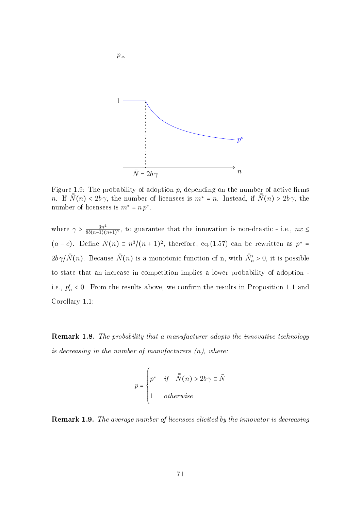<span id="page-73-0"></span>

Figure 1.9: The probability of adoption  $p$ , depending on the number of active firms n. If  $\bar{N}(n) < 2b\gamma$ , the number of licensees is  $m^* = n$ . Instead, if  $\bar{N}(n) > 2b\gamma$ , the number of licensees is  $m^* = n p^*$ .

where  $\gamma > \frac{3n^4}{8b(n-1)!}$  $\frac{3n^4}{8b(n-1)(n+1)^2}$ , to guarantee that the innovation is non-drastic - i.e.,  $nx \leq$  $(a-c)$ . Define  $\bar{\bar{N}}(n) \equiv n^3/(n+1)^2$ , therefore, eq.[\(1.57\)](#page-72-2) can be rewritten as  $p^* =$  $2b\,\gamma/\bar{\bar{N}}(n)$ . Because  $\bar{\bar{N}}(n)$  is a monotonic function of n, with  $\bar{\bar{N}}'_n > 0$ , it is possible to state that an increase in competition implies a lower probability of adoption i.e.,  $p'_n < 0$ . From the results above, we confirm the results in Proposition [1.1](#page-40-0) and Corollary [1.1:](#page-40-1)

<span id="page-73-1"></span>Remark 1.8. The probability that a manufacturer adopts the innovative technology is decreasing in the number of manufacturers  $(n)$ , where:

$$
p = \begin{cases} p^* & \text{if } \bar{\bar{N}}(n) > 2b\gamma \equiv \bar{N} \\ 1 & otherwise \end{cases}
$$

Remark 1.9. The average number of licensees elicited by the innovator is decreasing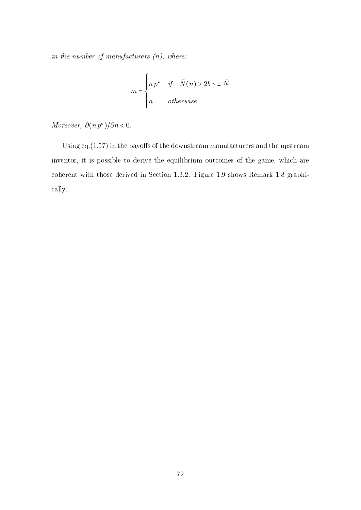in the number of manufacturers  $(n)$ , where:

$$
m = \begin{cases} n p^* & \text{if} \quad \bar{\bar{N}}(n) > 2b \gamma \equiv \bar{N} \\ n & \text{otherwise} \end{cases}
$$

Moreover,  $\partial (n p^*)/\partial n < 0$ .

Using  $eq.(1.57)$  $eq.(1.57)$  in the payoffs of the downstream manufacturers and the upstream inventor, it is possible to derive the equilibrium outcomes of the game, which are coherent with those derived in Section [1.3.2.](#page-37-0) Figure [1.9](#page-73-0) shows Remark [1.8](#page-73-1) graphically.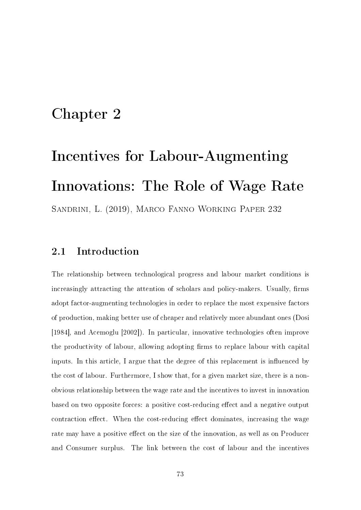## Chapter 2

# Incentives for Labour-Augmenting Innovations: The Role of Wage Rate

Sandrini, L. (2019), Marco Fanno Working Paper 232

## 2.1 Introduction

The relationship between technological progress and labour market conditions is increasingly attracting the attention of scholars and policy-makers. Usually, firms adopt factor-augmenting technologies in order to replace the most expensive factors of production, making better use of cheaper and relatively more abundant ones (Dosi [1984], and Acemoglu [2002]). In particular, innovative technologies often improve the productivity of labour, allowing adopting firms to replace labour with capital inputs. In this article, I argue that the degree of this replacement is influenced by the cost of labour. Furthermore, I show that, for a given market size, there is a nonobvious relationship between the wage rate and the incentives to invest in innovation based on two opposite forces: a positive cost-reducing effect and a negative output contraction effect. When the cost-reducing effect dominates, increasing the wage rate may have a positive effect on the size of the innovation, as well as on Producer and Consumer surplus. The link between the cost of labour and the incentives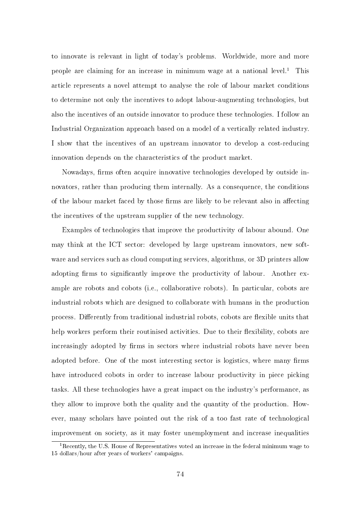to innovate is relevant in light of today's problems. Worldwide, more and more people are claiming for an increase in minimum wage at a national level.<sup>[1](#page-76-0)</sup> This article represents a novel attempt to analyse the role of labour market conditions to determine not only the incentives to adopt labour-augmenting technologies, but also the incentives of an outside innovator to produce these technologies. I follow an Industrial Organization approach based on a model of a vertically related industry. I show that the incentives of an upstream innovator to develop a cost-reducing innovation depends on the characteristics of the product market.

Nowadays, firms often acquire innovative technologies developed by outside innovators, rather than producing them internally. As a consequence, the conditions of the labour market faced by those firms are likely to be relevant also in affecting the incentives of the upstream supplier of the new technology.

Examples of technologies that improve the productivity of labour abound. One may think at the ICT sector: developed by large upstream innovators, new software and services such as cloud computing services, algorithms, or 3D printers allow adopting firms to significantly improve the productivity of labour. Another example are robots and cobots (i.e., collaborative robots). In particular, cobots are industrial robots which are designed to collaborate with humans in the production process. Differently from traditional industrial robots, cobots are flexible units that help workers perform their routinised activities. Due to their flexibility, cobots are increasingly adopted by firms in sectors where industrial robots have never been adopted before. One of the most interesting sector is logistics, where many firms have introduced cobots in order to increase labour productivity in piece picking tasks. All these technologies have a great impact on the industry's performance, as they allow to improve both the quality and the quantity of the production. However, many scholars have pointed out the risk of a too fast rate of technological improvement on society, as it may foster unemployment and increase inequalities

<span id="page-76-0"></span> $1$ Recently, the U.S. House of Representatives voted an increase in the federal minimum wage to 15 dollars/hour after years of workers' campaigns.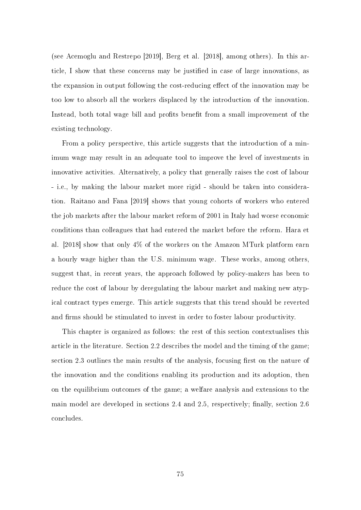(see Acemoglu and Restrepo [2019], Berg et al. [2018], among others). In this article, I show that these concerns may be justified in case of large innovations, as the expansion in output following the cost-reducing effect of the innovation may be too low to absorb all the workers displaced by the introduction of the innovation. Instead, both total wage bill and profits benefit from a small improvement of the existing technology.

From a policy perspective, this article suggests that the introduction of a minimum wage may result in an adequate tool to improve the level of investments in innovative activities. Alternatively, a policy that generally raises the cost of labour - i.e., by making the labour market more rigid - should be taken into consideration. Raitano and Fana [2019] shows that young cohorts of workers who entered the job markets after the labour market reform of 2001 in Italy had worse economic conditions than colleagues that had entered the market before the reform. Hara et al. [2018] show that only 4% of the workers on the Amazon MTurk platform earn a hourly wage higher than the U.S. minimum wage. These works, among others, suggest that, in recent years, the approach followed by policy-makers has been to reduce the cost of labour by deregulating the labour market and making new atypical contract types emerge. This article suggests that this trend should be reverted and firms should be stimulated to invest in order to foster labour productivity.

This chapter is organized as follows: the rest of this section contextualises this article in the literature. Section [2.2](#page-79-0) describes the model and the timing of the game; section [2.3](#page-82-0) outlines the main results of the analysis, focusing first on the nature of the innovation and the conditions enabling its production and its adoption, then on the equilibrium outcomes of the game; a welfare analysis and extensions to the main model are developed in sections [2.4](#page-94-0) and [2.5,](#page-95-0) respectively; finally, section [2.6](#page-107-0) concludes.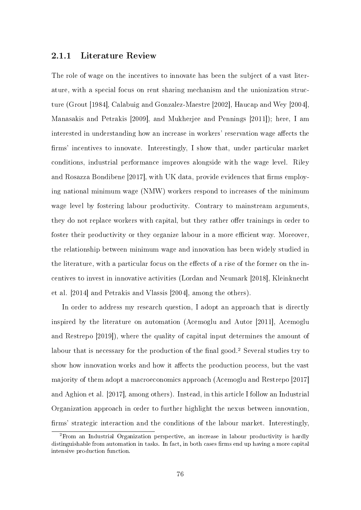#### 2.1.1 Literature Review

The role of wage on the incentives to innovate has been the subject of a vast literature, with a special focus on rent sharing mechanism and the unionization structure (Grout [1984], Calabuig and Gonzalez-Maestre [2002], Haucap and Wey [2004], Manasakis and Petrakis [2009], and Mukherjee and Pennings [2011]); here, I am interested in understanding how an increase in workers' reservation wage affects the firms' incentives to innovate. Interestingly, I show that, under particular market conditions, industrial performance improves alongside with the wage level. Riley and Rosazza Bondibene [2017], with UK data, provide evidences that firms employing national minimum wage (NMW) workers respond to increases of the minimum wage level by fostering labour productivity. Contrary to mainstream arguments, they do not replace workers with capital, but they rather offer trainings in order to foster their productivity or they organize labour in a more efficient way. Moreover, the relationship between minimum wage and innovation has been widely studied in the literature, with a particular focus on the effects of a rise of the former on the incentives to invest in innovative activities (Lordan and Neumark [2018], Kleinknecht et al. [2014] and Petrakis and Vlassis [2004], among the others).

In order to address my research question, I adopt an approach that is directly inspired by the literature on automation (Acemoglu and Autor [2011], Acemoglu and Restrepo [2019]), where the quality of capital input determines the amount of labour that is necessary for the production of the final good.<sup>[2](#page-78-0)</sup> Several studies try to show how innovation works and how it affects the production process, but the vast majority of them adopt a macroeconomics approach (Acemoglu and Restrepo [2017] and Aghion et al. [2017], among others). Instead, in this article I follow an Industrial Organization approach in order to further highlight the nexus between innovation, firms' strategic interaction and the conditions of the labour market. Interestingly,

<span id="page-78-0"></span><sup>2</sup>From an Industrial Organization perspective, an increase in labour productivity is hardly distinguishable from automation in tasks. In fact, in both cases firms end up having a more capital intensive production function.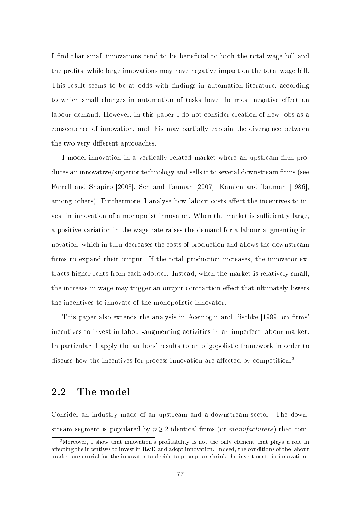I find that small innovations tend to be beneficial to both the total wage bill and the prots, while large innovations may have negative impact on the total wage bill. This result seems to be at odds with findings in automation literature, according to which small changes in automation of tasks have the most negative effect on labour demand. However, in this paper I do not consider creation of new jobs as a consequence of innovation, and this may partially explain the divergence between the two very different approaches.

I model innovation in a vertically related market where an upstream firm produces an innovative/superior technology and sells it to several downstream firms (see Farrell and Shapiro [2008], Sen and Tauman [2007], Kamien and Tauman [1986] among others). Furthermore, I analyse how labour costs affect the incentives to invest in innovation of a monopolist innovator. When the market is sufficiently large, a positive variation in the wage rate raises the demand for a labour-augmenting innovation, which in turn decreases the costs of production and allows the downstream firms to expand their output. If the total production increases, the innovator extracts higher rents from each adopter. Instead, when the market is relatively small, the increase in wage may trigger an output contraction effect that ultimately lowers the incentives to innovate of the monopolistic innovator.

This paper also extends the analysis in Acemoglu and Pischke [1999] on firms incentives to invest in labour-augmenting activities in an imperfect labour market. In particular, I apply the authors' results to an oligopolistic framework in order to discuss how the incentives for process innovation are affected by competition.<sup>[3](#page-79-1)</sup>

## <span id="page-79-0"></span>2.2 The model

Consider an industry made of an upstream and a downstream sector. The downstream segment is populated by  $n \geq 2$  identical firms (or manufacturers) that com-

<span id="page-79-1"></span><sup>&</sup>lt;sup>3</sup>Moreover, I show that innovation's profitability is not the only element that plays a role in affecting the incentives to invest in  $R\&D$  and adopt innovation. Indeed, the conditions of the labour market are crucial for the innovator to decide to prompt or shrink the investments in innovation.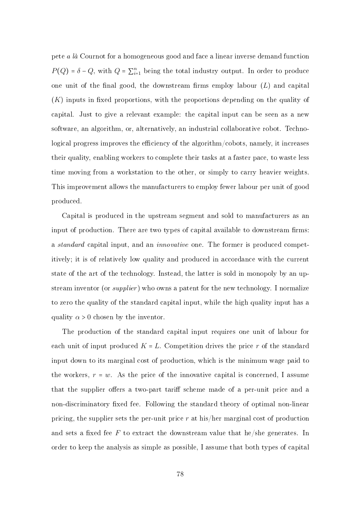pete a là Cournot for a homogeneous good and face a linear inverse demand function  $P(Q) = \delta - Q$ , with  $Q = \sum_{i=1}^{n}$  being the total industry output. In order to produce one unit of the final good, the downstream firms employ labour  $(L)$  and capital  $(K)$  inputs in fixed proportions, with the proportions depending on the quality of capital. Just to give a relevant example: the capital input can be seen as a new software, an algorithm, or, alternatively, an industrial collaborative robot. Technological progress improves the efficiency of the algorithm/cobots, namely, it increases their quality, enabling workers to complete their tasks at a faster pace, to waste less time moving from a workstation to the other, or simply to carry heavier weights. This improvement allows the manufacturers to employ fewer labour per unit of good produced.

Capital is produced in the upstream segment and sold to manufacturers as an input of production. There are two types of capital available to downstream firms: a standard capital input, and an innovative one. The former is produced competitively; it is of relatively low quality and produced in accordance with the current state of the art of the technology. Instead, the latter is sold in monopoly by an upstream inventor (or *supplier*) who owns a patent for the new technology. I normalize to zero the quality of the standard capital input, while the high quality input has a quality  $\alpha > 0$  chosen by the inventor.

The production of the standard capital input requires one unit of labour for each unit of input produced  $K = L$ . Competition drives the price r of the standard input down to its marginal cost of production, which is the minimum wage paid to the workers,  $r = w$ . As the price of the innovative capital is concerned, I assume that the supplier offers a two-part tariff scheme made of a per-unit price and a non-discriminatory fixed fee. Following the standard theory of optimal non-linear pricing, the supplier sets the per-unit price  $r$  at his/her marginal cost of production and sets a fixed fee F to extract the downstream value that he/she generates. In order to keep the analysis as simple as possible, I assume that both types of capital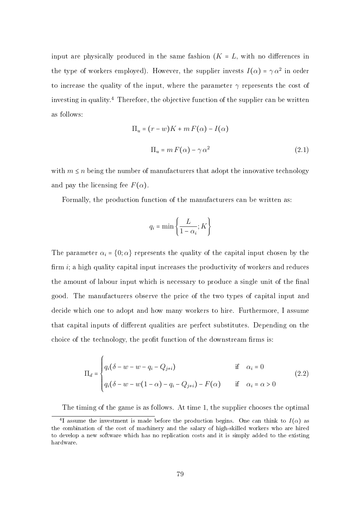input are physically produced in the same fashion  $(K = L, \text{ with no differences in})$ the type of workers employed). However, the supplier invests  $I(\alpha) = \gamma \alpha^2$  in order to increase the quality of the input, where the parameter  $\gamma$  represents the cost of investing in quality.[4](#page-81-0) Therefore, the objective function of the supplier can be written as follows:

<span id="page-81-2"></span>
$$
\Pi_u = (r - w)K + m F(\alpha) - I(\alpha)
$$
  

$$
\Pi_u = m F(\alpha) - \gamma \alpha^2
$$
 (2.1)

with  $m \leq n$  being the number of manufacturers that adopt the innovative technology and pay the licensing fee  $F(\alpha)$ .

Formally, the production function of the manufacturers can be written as:

$$
q_i = \min\left\{\frac{L}{1 - \alpha_i}; K\right\}
$$

The parameter  $\alpha_i = \{0; \alpha\}$  represents the quality of the capital input chosen by the firm  $i$ ; a high quality capital input increases the productivity of workers and reduces the amount of labour input which is necessary to produce a single unit of the final good. The manufacturers observe the price of the two types of capital input and decide which one to adopt and how many workers to hire. Furthermore, I assume that capital inputs of different qualities are perfect substitutes. Depending on the choice of the technology, the profit function of the downstream firms is:

<span id="page-81-1"></span>
$$
\Pi_d = \begin{cases} q_i(\delta - w - w - q_i - Q_{j \neq i}) & \text{if } \alpha_i = 0 \\ q_i(\delta - w - w(1 - \alpha) - q_i - Q_{j \neq i}) - F(\alpha) & \text{if } \alpha_i = \alpha > 0 \end{cases}
$$
(2.2)

<span id="page-81-0"></span>The timing of the game is as follows. At time 1, the supplier chooses the optimal

<sup>&</sup>lt;sup>4</sup>I assume the investment is made before the production begins. One can think to  $I(\alpha)$  as the combination of the cost of machinery and the salary of high-skilled workers who are hired to develop a new software which has no replication costs and it is simply added to the existing hardware.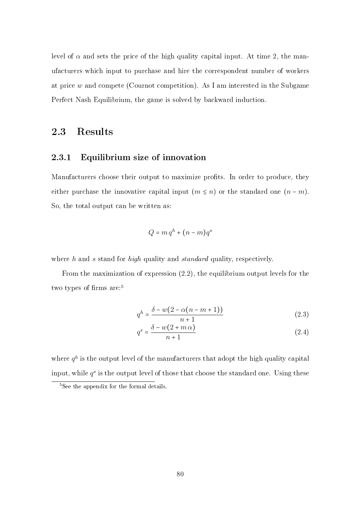level of  $\alpha$  and sets the price of the high quality capital input. At time 2, the manufacturers which input to purchase and hire the correspondent number of workers at price w and compete (Cournot competition). As I am interested in the Subgame Perfect Nash Equilibrium, the game is solved by backward induction.

## <span id="page-82-0"></span>2.3 Results

## 2.3.1 Equilibrium size of innovation

Manufacturers choose their output to maximize profits. In order to produce, they either purchase the innovative capital input  $(m \leq n)$  or the standard one  $(n - m)$ . So, the total output can be written as:

$$
Q = m q^h + (n - m) q^s
$$

where h and s stand for high quality and standard quality, respectively.

From the maximization of expression [\(2.2\)](#page-81-1), the equilibrium output levels for the two types of firms are:<sup>[5](#page-82-1)</sup>

<span id="page-82-2"></span>
$$
q^h = \frac{\delta - w(2 - \alpha(n - m + 1))}{n + 1} \tag{2.3}
$$

$$
q^s = \frac{\delta - w(2 + m\,\alpha)}{n+1} \tag{2.4}
$$

where  $q^h$  is the output level of the manufacturers that adopt the high quality capital input, while  $q^s$  is the output level of those that choose the standard one. Using these

<span id="page-82-1"></span> $5$ See the appendix for the formal details.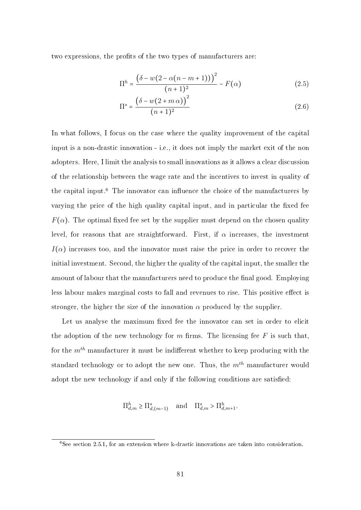two expressions, the profits of the two types of manufacturers are:

$$
\Pi^{h} = \frac{(\delta - w(2 - \alpha(n - m + 1)))^{2}}{(n + 1)^{2}} - F(\alpha)
$$
 (2.5)

<span id="page-83-1"></span>
$$
\Pi^s = \frac{\left(\delta - w(2+m\,\alpha)\right)^2}{(n+1)^2} \tag{2.6}
$$

In what follows, I focus on the case where the quality improvement of the capital input is a non-drastic innovation - i.e., it does not imply the market exit of the non adopters. Here, I limit the analysis to small innovations as it allows a clear discussion of the relationship between the wage rate and the incentives to invest in quality of the capital input.<sup>[6](#page-83-0)</sup> The innovator can influence the choice of the manufacturers by varying the price of the high quality capital input, and in particular the fixed fee  $F(\alpha)$ . The optimal fixed fee set by the supplier must depend on the chosen quality level, for reasons that are straightforward. First, if  $\alpha$  increases, the investment  $I(\alpha)$  increases too, and the innovator must raise the price in order to recover the initial investment. Second, the higher the quality of the capital input, the smaller the amount of labour that the manufacturers need to produce the final good. Employing less labour makes marginal costs to fall and revenues to rise. This positive effect is stronger, the higher the size of the innovation  $\alpha$  produced by the supplier.

Let us analyse the maximum fixed fee the innovator can set in order to elicit the adoption of the new technology for  $m$  firms. The licensing fee  $F$  is such that, for the  $m<sup>th</sup>$  manufacturer it must be indifferent whether to keep producing with the standard technology or to adopt the new one. Thus, the  $m^{th}$  manufacturer would adopt the new technology if and only if the following conditions are satisfied:

$$
\Pi_{d,m}^h \ge \Pi_{d,(m-1)}^s \quad \text{and} \quad \Pi_{d,m}^s > \Pi_{d,m+1}^h.
$$

<span id="page-83-0"></span> ${}^{6}$ See section [2.5.1,](#page-95-1) for an extension where k-drastic innovations are taken into consideration.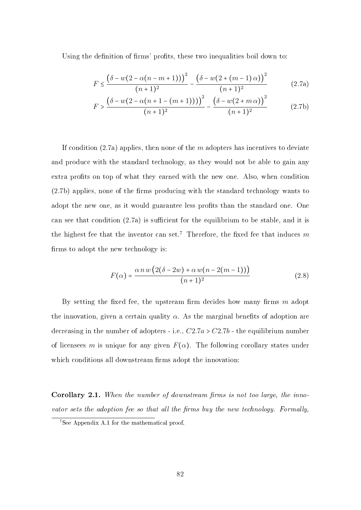Using the definition of firms' profits, these two inequalities boil down to:

<span id="page-84-0"></span>
$$
F \le \frac{\left(\delta - w(2 - \alpha(n - m + 1))\right)^2}{(n + 1)^2} - \frac{\left(\delta - w(2 + (m - 1)\alpha)\right)^2}{(n + 1)^2} \tag{2.7a}
$$

<span id="page-84-1"></span>
$$
F > \frac{\left(\delta - w(2 - \alpha(n + 1 - (m + 1)))\right)^2}{(n + 1)^2} - \frac{\left(\delta - w(2 + m\alpha)\right)^2}{(n + 1)^2}
$$
(2.7b)

If condition  $(2.7a)$  applies, then none of the m adopters has incentives to deviate and produce with the standard technology, as they would not be able to gain any extra profits on top of what they earned with the new one. Also, when condition  $(2.7b)$  applies, none of the firms producing with the standard technology wants to adopt the new one, as it would guarantee less profits than the standard one. One can see that condition  $(2.7a)$  is sufficient for the equilibrium to be stable, and it is the highest fee that the inventor can set.<sup>[7](#page-84-2)</sup> Therefore, the fixed fee that induces m firms to adopt the new technology is:

<span id="page-84-4"></span>
$$
F(\alpha) = \frac{\alpha n w \left(2(\delta - 2w) + \alpha w(n - 2(m - 1))\right)}{(n + 1)^2}
$$
\n(2.8)

By setting the fixed fee, the upstream firm decides how many firms  $m$  adopt the innovation, given a certain quality  $\alpha$ . As the marginal benefits of adoption are decre[a](#page-84-0)sing in the number of adopters - i.e.,  $C2.7a > C2.7b$  $C2.7a > C2.7b$  $C2.7a > C2.7b$  - the equilibrium number of licensees m is unique for any given  $F(\alpha)$ . The following corollary states under which conditions all downstream firms adopt the innovation:

<span id="page-84-3"></span>Corollary 2.1. When the number of downstream firms is not too large, the innovator sets the adoption fee so that all the firms buy the new technology. Formally,

<span id="page-84-2"></span><sup>7</sup>See Appendix A.1 for the mathematical proof.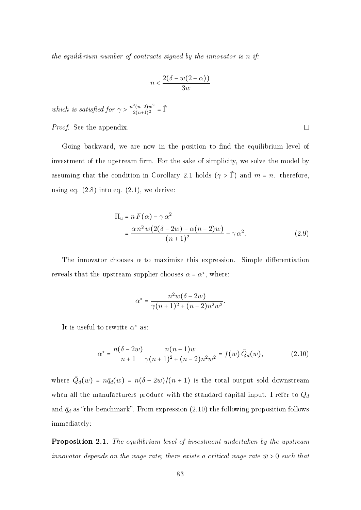the equilibrium number of contracts signed by the innovator is n if:

$$
n < \frac{2(\delta - w(2 - \alpha))}{3w}
$$

which is satisfied for  $\gamma > \frac{n^2(n+2)w^2}{2(n+1)^2}$  $\frac{2(n+2)w^2}{2(n+1)^2} = \tilde{\Gamma}$ 

*Proof.* See the appendix.

Going backward, we are now in the position to find the equilibrium level of investment of the upstream firm. For the sake of simplicity, we solve the model by assuming that the condition in Corollary [2.1](#page-84-3) holds ( $\gamma > \tilde{\Gamma}$ ) and  $m = n$ . therefore, using eq.  $(2.8)$  into eq.  $(2.1)$ , we derive:

$$
\Pi_u = n F(\alpha) - \gamma \alpha^2
$$
  
= 
$$
\frac{\alpha n^2 w (2(\delta - 2w) - \alpha (n-2)w)}{(n+1)^2} - \gamma \alpha^2.
$$
 (2.9)

The innovator chooses  $\alpha$  to maximize this expression. Simple differentiation reveals that the upstream supplier chooses  $\alpha = \alpha^*$ , where:

$$
\alpha^* = \frac{n^2 w (\delta - 2w)}{\gamma (n+1)^2 + (n-2)n^2 w^2}.
$$

It is useful to rewrite  $\alpha^*$  as:

<span id="page-85-0"></span>
$$
\alpha^* = \frac{n(\delta - 2w)}{n+1} \frac{n(n+1)w}{\gamma(n+1)^2 + (n-2)n^2 w^2} = f(w) \bar{Q}_d(w),\tag{2.10}
$$

where  $\overline{Q}_d(w) = n\overline{q}_d(w) = n(\delta - 2w)/(n + 1)$  is the total output sold downstream when all the manufacturers produce with the standard capital input. I refer to  $\bar{Q}_d$ and  $\bar{q}_d$  as "the benchmark". From expression [\(2.10\)](#page-85-0) the following proposition follows immediately:

<span id="page-85-1"></span>Proposition 2.1. The equilibrium level of investment undertaken by the upstream innovator depends on the wage rate; there exists a critical wage rate  $\bar{w} > 0$  such that

<span id="page-85-2"></span> $\Box$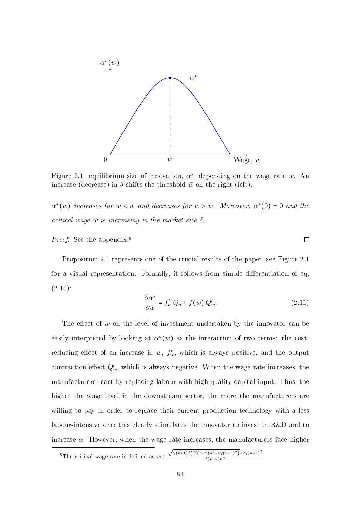

Figure 2.1: equilibrium size of innovation,  $\alpha^*$ , depending on the wage rate w. An increase (decrease) in  $\delta$  shifts the threshold  $\bar{w}$  on the right (left).

 $\alpha^*(w)$  increases for  $w < \bar{w}$  and decreases for  $w > \bar{w}$ . Moreover,  $\alpha^*(0) = 0$  and the critical wage  $\bar{w}$  is increasing in the market size  $\delta$ .

*Proof.* See the appendix.<sup>[8](#page-86-0)</sup>

Proposition [2.1](#page-85-1) represents one of the crucial results of the paper; see Figure 2.1 for a visual representation. Formally, it follows from simple differentiation of eq.  $(2.10):$  $(2.10):$ 

<span id="page-86-1"></span>
$$
\frac{\partial \alpha^*}{\partial w} = f'_w \, \bar{Q}_d + f(w) \, \bar{Q}'_w. \tag{2.11}
$$

The effect of  $w$  on the level of investment undertaken by the innovator can be easily interpreted by looking at  $\alpha^*(w)$  as the interaction of two terms: the costreducing effect of an increase in  $w, f'_w$ , which is always positive, and the output contraction effect  $Q'_w$ , which is always negative. When the wage rate increases, the manufacturers react by replacing labour with high quality capital input. Thus, the higher the wage level in the downstream sector, the more the manufacturers are willing to pay in order to replace their current production technology with a less labour-intensive one; this clearly stimulates the innovator to invest in R&D and to increase  $\alpha$ . However, when the wage rate increases, the manufacturers face higher

<span id="page-86-0"></span><sup>8</sup>The critical wage rate is defined as 
$$
\bar{w} \equiv \frac{\sqrt{\gamma(n+1)^2(\delta^2(n-2)n^2+4\gamma(n+1)^2)}-2\gamma(n+1)^2}{\delta(n-2)n^2}
$$

 $\Box$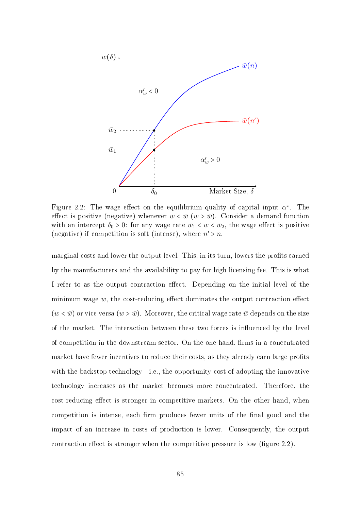<span id="page-87-0"></span>

Figure 2.2: The wage effect on the equilibrium quality of capital input  $\alpha^*$ . The effect is positive (negative) whenever  $w < \bar{w}$  ( $w > \bar{w}$ ). Consider a demand function with an intercept  $\delta_0 > 0$ : for any wage rate  $\bar{w}_1 < w < \bar{w}_2$ , the wage effect is positive (negative) if competition is soft (intense), where  $n' > n$ .

marginal costs and lower the output level. This, in its turn, lowers the profits earned by the manufacturers and the availability to pay for high licensing fee. This is what I refer to as the output contraction effect. Depending on the initial level of the minimum wage  $w$ , the cost-reducing effect dominates the output contraction effect  $(w < \bar{w})$  or vice versa  $(w > \bar{w})$ . Moreover, the critical wage rate  $\bar{w}$  depends on the size of the market. The interaction between these two forces is influenced by the level of competition in the downstream sector. On the one hand, firms in a concentrated market have fewer incentives to reduce their costs, as they already earn large profits with the backstop technology - i.e., the opportunity cost of adopting the innovative technology increases as the market becomes more concentrated. Therefore, the cost-reducing effect is stronger in competitive markets. On the other hand, when competition is intense, each firm produces fewer units of the final good and the impact of an increase in costs of production is lower. Consequently, the output contraction effect is stronger when the competitive pressure is low (figure  $2.2$ ).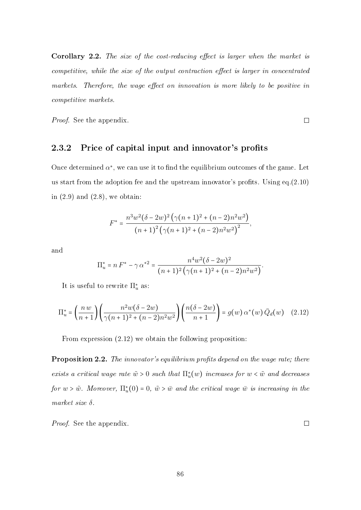**Corollary 2.2.** The size of the cost-reducing effect is larger when the market is competitive, while the size of the output contraction effect is larger in concentrated markets. Therefore, the wage effect on innovation is more likely to be positive in competitive markets.

Proof. See the appendix.

2.3.2 Price of capital input and innovator's profits

Once determined  $\alpha^*$ , we can use it to find the equilibrium outcomes of the game. Let us start from the adoption fee and the upstream innovator's profits. Using eq. $(2.10)$ in  $(2.9)$  and  $(2.8)$ , we obtain:

$$
F^* = \frac{n^3 w^2 (\delta - 2w)^2 (\gamma (n+1)^2 + (n-2)n^2 w^2)}{(n+1)^2 (\gamma (n+1)^2 + (n-2)n^2 w^2)^2},
$$

and

$$
\Pi_u^* = n F^* - \gamma \alpha^{*2} = \frac{n^4 w^2 (\delta - 2w)^2}{(n+1)^2 (\gamma (n+1)^2 + (n-2)n^2 w^2)}.
$$

It is useful to rewrite  $\Pi_u^*$  as:

<span id="page-88-0"></span>
$$
\Pi_u^* = \left(\frac{nw}{n+1}\right) \left(\frac{n^2 w (\delta - 2w)}{\gamma (n+1)^2 + (n-2)n^2 w^2}\right) \left(\frac{n(\delta - 2w)}{n+1}\right) = g(w) \alpha^*(w) \bar{Q}_d(w) \quad (2.12)
$$

From expression [\(2.12\)](#page-88-0) we obtain the following proposition:

<span id="page-88-1"></span>**Proposition 2.2.** The innovator's equilibrium profits depend on the wage rate; there exists a critical wage rate  $\tilde{w} > 0$  such that  $\Pi_u^*(w)$  increases for  $w < \tilde{w}$  and decreases for  $w > \tilde{w}$ . Moreover,  $\Pi_u^*(0) = 0$ ,  $\tilde{w} > \bar{w}$  and the critical wage  $\bar{w}$  is increasing in the market size δ.

Proof. See the appendix.

86

 $\Box$ 

 $\Box$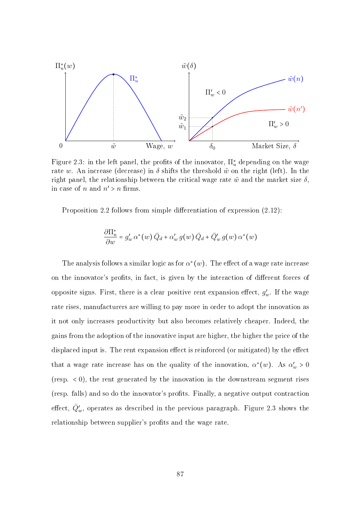<span id="page-89-0"></span>

Figure 2.3: in the left panel, the profits of the innovator,  $\Pi_u^*$  depending on the wage rate w. An increase (decrease) in  $\delta$  shifts the threshold  $\tilde{w}$  on the right (left). In the right panel, the relationship between the critical wage rate  $\tilde{w}$  and the market size  $\delta$ in case of n and  $n' > n$  firms.

Proposition [2.2](#page-88-1) follows from simple differentiation of expression  $(2.12)$ :

$$
\frac{\partial \Pi_u^*}{\partial w} = g_w' \, \alpha^*(w) \, \bar{Q}_d + \alpha_w' \, g(w) \, \bar{Q}_d + \bar{Q}_w' \, g(w) \, \alpha^*(w)
$$

The analysis follows a similar logic as for  $\alpha^*(w)$ . The effect of a wage rate increase on the innovator's profits, in fact, is given by the interaction of different forces of opposite signs. First, there is a clear positive rent expansion effect,  $g'_w$ . If the wage rate rises, manufacturers are willing to pay more in order to adopt the innovation as it not only increases productivity but also becomes relatively cheaper. Indeed, the gains from the adoption of the innovative input are higher, the higher the price of the displaced input is. The rent expansion effect is reinforced (or mitigated) by the effect that a wage rate increase has on the quality of the innovation,  $\alpha^*(w)$ . As  $\alpha'_w > 0$ (resp.  $\langle 0 \rangle$ , the rent generated by the innovation in the downstream segment rises (resp. falls) and so do the innovator's prots. Finally, a negative output contraction effect,  $\bar{Q}'_w$ , operates as described in the previous paragraph. Figure [2.3](#page-89-0) shows the relationship between supplier's profits and the wage rate.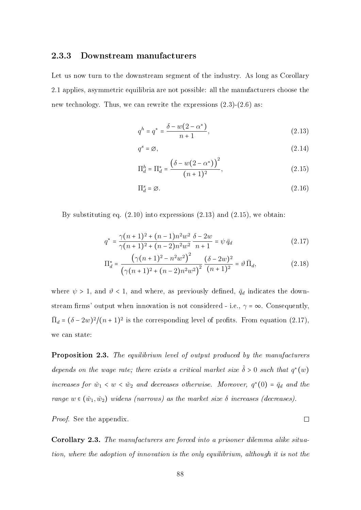#### 2.3.3 Downstream manufacturers

Let us now turn to the downstream segment of the industry. As long as Corollary [2.1](#page-84-3) applies, asymmetric equilibria are not possible: all the manufacturers choose the new technology. Thus, we can rewrite the expressions  $(2.3)-(2.6)$  $(2.3)-(2.6)$  $(2.3)-(2.6)$  as:

<span id="page-90-0"></span>
$$
q^{h} = q^{*} = \frac{\delta - w(2 - \alpha^{*})}{n + 1},
$$
\n(2.13)

$$
q^s = \varnothing,\tag{2.14}
$$

<span id="page-90-1"></span>
$$
\Pi_d^h = \Pi_d^* = \frac{\left(\delta - w(2 - \alpha^*)\right)^2}{(n+1)^2},\tag{2.15}
$$

<span id="page-90-4"></span><span id="page-90-2"></span>
$$
\Pi_d^s = \varnothing. \tag{2.16}
$$

By substituting eq.  $(2.10)$  into expressions  $(2.13)$  and  $(2.15)$ , we obtain:

$$
q^* = \frac{\gamma (n+1)^2 + (n-1)n^2 w^2}{\gamma (n+1)^2 + (n-2)n^2 w^2} \frac{\delta - 2w}{n+1} = \psi \bar{q}_d
$$
 (2.17)

$$
\Pi_d^* = \frac{\left(\gamma(n+1)^2 - n^2 w^2\right)^2}{\left(\gamma(n+1)^2 + (n-2)n^2 w^2\right)^2} \frac{(\delta - 2w)^2}{(n+1)^2} = \vartheta \, \bar{\Pi}_d,\tag{2.18}
$$

where  $\psi > 1$ , and  $\vartheta < 1$ , and where, as previously defined,  $\bar{q}_d$  indicates the downstream firms' output when innovation is not considered - i.e.,  $\gamma = \infty$ . Consequently,  $\bar{\Pi}_d = (\delta - 2w)^2/(n+1)^2$  is the corresponding level of profits. From equation [\(2.17\)](#page-90-2), we can state:

<span id="page-90-5"></span>Proposition 2.3. The equilibrium level of output produced by the manufacturers depends on the wage rate; there exists a critical market size  $\check{\delta} > 0$  such that  $q^*(w)$ increases for  $\check{w}_1 < w < \check{w}_2$  and decreases otherwise. Moreover,  $q^*(0) = \bar{q}_d$  and the range  $w \in (\check{w}_1, \check{w}_2)$  widens (narrows) as the market size  $\delta$  increases (decreases).

Proof. See the appendix.

<span id="page-90-3"></span>Corollary 2.3. The manufacturers are forced into a prisoner dilemma alike situation, where the adoption of innovation is the only equilibrium, although it is not the

 $\Box$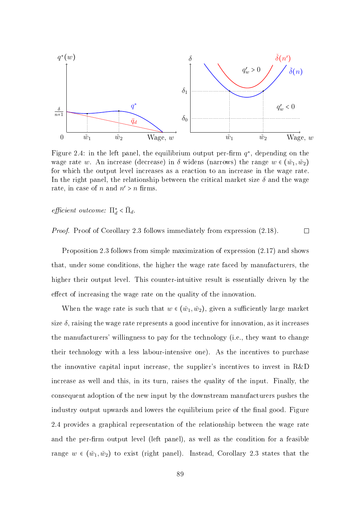<span id="page-91-0"></span>

Figure 2.4: in the left panel, the equilibrium output per-firm  $q^*$ , depending on the wage rate w. An increase (decrease) in  $\delta$  widens (narrows) the range  $w \in (\check{w}_1, \check{w}_2)$ for which the output level increases as a reaction to an increase in the wage rate. In the right panel, the relationship between the critical market size  $\delta$  and the wage rate, in case of  $n$  and  $n' > n$  firms.

 $\textit{efficient outcome: } \Pi_d^{\star} < \bar{\Pi}_d.$ 

Proof. Proof of Corollary [2.3](#page-90-3) follows immediately from expression [\(2.18\)](#page-90-4).  $\Box$ 

Proposition [2.3](#page-90-5) follows from simple maximization of expression [\(2.17\)](#page-90-2) and shows that, under some conditions, the higher the wage rate faced by manufacturers, the higher their output level. This counter-intuitive result is essentially driven by the effect of increasing the wage rate on the quality of the innovation.

When the wage rate is such that  $w \in (\tilde{w}_1, \tilde{w}_2)$ , given a sufficiently large market size  $\delta$ , raising the wage rate represents a good incentive for innovation, as it increases the manufacturers' willingness to pay for the technology (i.e., they want to change their technology with a less labour-intensive one). As the incentives to purchase the innovative capital input increase, the supplier's incentives to invest in R&D increase as well and this, in its turn, raises the quality of the input. Finally, the consequent adoption of the new input by the downstream manufacturers pushes the industry output upwards and lowers the equilibrium price of the final good. Figure [2.4](#page-91-0) provides a graphical representation of the relationship between the wage rate and the per-firm output level (left panel), as well as the condition for a feasible range  $w \in (\tilde{w}_1, \tilde{w}_2)$  to exist (right panel). Instead, Corollary [2.3](#page-90-3) states that the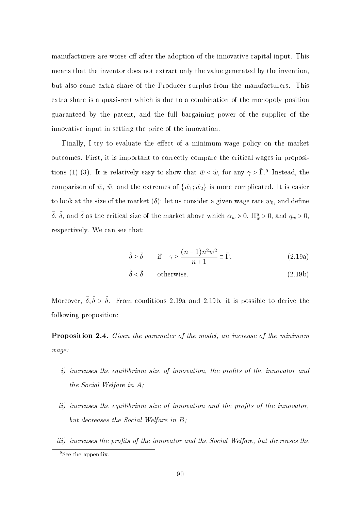manufacturers are worse off after the adoption of the innovative capital input. This means that the inventor does not extract only the value generated by the invention, but also some extra share of the Producer surplus from the manufacturers. This extra share is a quasi-rent which is due to a combination of the monopoly position guaranteed by the patent, and the full bargaining power of the supplier of the innovative input in setting the price of the innovation.

Finally, I try to evaluate the effect of a minimum wage policy on the market outcomes. First, it is important to correctly compare the critical wages in propositions (1)-(3). It is relatively easy to show that  $\bar{w} < \tilde{w}$ , for any  $\gamma > \tilde{\Gamma}$ .<sup>[9](#page-92-0)</sup> Instead, the comparison of  $\bar{w}$ ,  $\tilde{w}$ , and the extremes of  $\{\tilde{w}_1; \tilde{w}_2\}$  is more complicated. It is easier to look at the size of the market  $(\delta)$ : let us consider a given wage rate  $w_0$ , and define  $\bar{\delta}$ ,  $\tilde{\delta}$ , and  $\tilde{\delta}$  as the critical size of the market above which  $\alpha_w > 0$ ,  $\Pi_w^u > 0$ , and  $q_w > 0$ , respectively. We can see that:

<span id="page-92-1"></span>
$$
\check{\delta} \ge \bar{\delta} \qquad \text{if} \quad \gamma \ge \frac{(n-1)n^2w^2}{n+1} \equiv \bar{\Gamma},\tag{2.19a}
$$

<span id="page-92-2"></span>
$$
\check{\delta} < \bar{\delta} \qquad \text{otherwise.} \tag{2.19b}
$$

Moreover,  $\bar{\delta}, \check{\delta} > \tilde{\delta}$ . From conditions [2.19a](#page-92-1) and [2.19b,](#page-92-2) it is possible to derive the following proposition:

Proposition 2.4. Given the parameter of the model, an increase of the minimum wage:

- $i)$  increases the equilibrium size of innovation, the profits of the innovator and the Social Welfare in A;
- $ii)$  increases the equilibrium size of innovation and the profits of the innovator, but decreases the Social Welfare in B;
- iii) increases the profits of the innovator and the Social Welfare, but decreases the

<span id="page-92-0"></span><sup>&</sup>lt;sup>9</sup>See the appendix.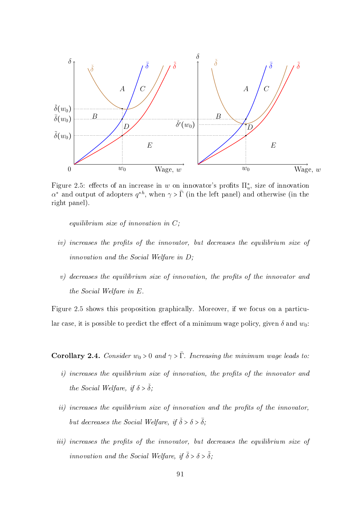<span id="page-93-0"></span>

Figure 2.5: effects of an increase in w on innovator's profits  $\Pi_{u}^{*}$ , size of innovation  $\alpha^*$  and output of adopters  $q^{*h}$ , when  $\gamma > \bar{\Gamma}$  (in the left panel) and otherwise (in the right panel).

equilibrium size of innovation in  $C$ ;

- iv) increases the profits of the innovator, but decreases the equilibrium size of innovation and the Social Welfare in D;
- $v)$  decreases the equilibrium size of innovation, the profits of the innovator and the Social Welfare in E.

Figure [2.5](#page-93-0) shows this proposition graphically. Moreover, if we focus on a particular case, it is possible to predict the effect of a minimum wage policy, given  $\delta$  and  $w_0$ :

Corollary 2.4. Consider  $w_0 > 0$  and  $\gamma > \overline{\Gamma}$ . Increasing the minimum wage leads to:

- $i)$  increases the equilibrium size of innovation, the profits of the innovator and the Social Welfare, if  $\delta > \check{\delta}$ ;
- ii) increases the equilibrium size of innovation and the profits of the innovator, but decreases the Social Welfare, if  $\check{\delta} > \delta > \bar{\delta}$ ;
- iii) increases the profits of the innovator, but decreases the equilibrium size of innovation and the Social Welfare, if  $\bar{\delta} > \delta > \tilde{\delta}$ ;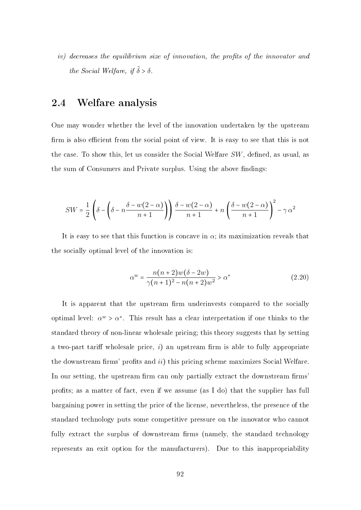$iv)$  decreases the equilibrium size of innovation, the profits of the innovator and the Social Welfare, if  $\tilde{\delta} > \delta$ .

## <span id="page-94-0"></span>2.4 Welfare analysis

One may wonder whether the level of the innovation undertaken by the upstream firm is also efficient from the social point of view. It is easy to see that this is not the case. To show this, let us consider the Social Welfare  $SW$ , defined, as usual, as the sum of Consumers and Private surplus. Using the above findings:

$$
SW = \frac{1}{2} \left( \delta - \left( \delta - n \frac{\delta - w(2 - \alpha)}{n + 1} \right) \right) \frac{\delta - w(2 - \alpha)}{n + 1} + n \left( \frac{\delta - w(2 - \alpha)}{n + 1} \right)^2 - \gamma \alpha^2
$$

It is easy to see that this function is concave in  $\alpha$ ; its maximization reveals that the socially optimal level of the innovation is:

$$
\alpha^w = \frac{n(n+2)w(\delta - 2w)}{\gamma(n+1)^2 - n(n+2)w^2} > \alpha^*
$$
\n(2.20)

It is apparent that the upstream firm underinvests compared to the socially optimal level:  $\alpha^w > \alpha^*$ . This result has a clear interpretation if one thinks to the standard theory of non-linear wholesale pricing; this theory suggests that by setting a two-part tariff wholesale price,  $i$ ) an upstream firm is able to fully appropriate the downstream firms' profits and  $ii$ ) this pricing scheme maximizes Social Welfare. In our setting, the upstream firm can only partially extract the downstream firms prots; as a matter of fact, even if we assume (as I do) that the supplier has full bargaining power in setting the price of the license, nevertheless, the presence of the standard technology puts some competitive pressure on the innovator who cannot fully extract the surplus of downstream firms (namely, the standard technology represents an exit option for the manufacturers). Due to this inappropriability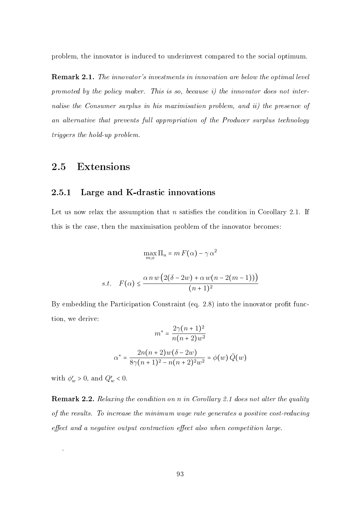problem, the innovator is induced to underinvest compared to the social optimum.

Remark 2.1. The innovator's investments in innovation are below the optimal level promoted by the policy maker. This is so, because i) the innovator does not internalise the Consumer surplus in his maximisation problem, and ii) the presence of an alternative that prevents full appropriation of the Producer surplus technology triggers the hold-up problem.

## <span id="page-95-0"></span>2.5 Extensions

#### <span id="page-95-1"></span>2.5.1 Large and K-drastic innovations

Let us now relax the assumption that n satisfies the condition in Corollary [2.1.](#page-84-3) If this is the case, then the maximisation problem of the innovator becomes:

$$
\max_{m;x} \Pi_u = m F(\alpha) - \gamma \alpha^2
$$
  
s.t. 
$$
F(\alpha) \le \frac{\alpha n w \left(2(\delta - 2w) + \alpha w(n - 2(m - 1))\right)}{(n + 1)^2}
$$

By embedding the Participation Constraint (eq. [2.8\)](#page-84-4) into the innovator profit function, we derive:

$$
m^* = \frac{2\gamma(n+1)^2}{n(n+2)w^2}
$$

$$
\alpha^* = \frac{2n(n+2)w(\delta - 2w)}{8\gamma(n+1)^2 - n(n+2)^2w^2} = \phi(w)\bar{Q}(w)
$$

with  $\phi'_w > 0$ , and  $Q'_w < 0$ .

.

Remark 2.2. Relaxing the condition on n in Corollary [2.1](#page-84-3) does not alter the quality of the results. To increase the minimum wage rate generates a positive cost-reducing  $effect$  and a negative output contraction effect also when competition large.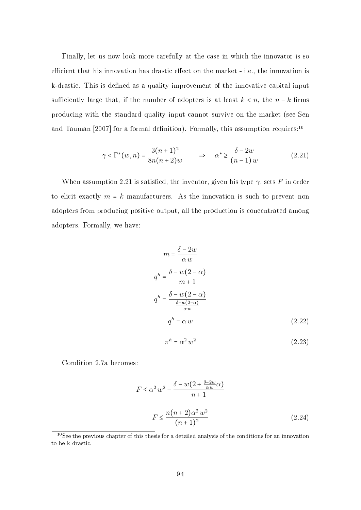Finally, let us now look more carefully at the case in which the innovator is so efficient that his innovation has drastic effect on the market - i.e., the innovation is k-drastic. This is defined as a quality improvement of the innovative capital input sufficiently large that, if the number of adopters is at least  $k < n$ , the  $n - k$  firms producing with the standard quality input cannot survive on the market (see Sen and Tauman [2007] for a formal definition). Formally, this assumption requires:  $10$ 

<span id="page-96-1"></span>
$$
\gamma < \Gamma^*(w, n) = \frac{3(n+1)^2}{8n(n+2)w} \qquad \Rightarrow \qquad \alpha^* \ge \frac{\delta - 2w}{(n-1)w} \tag{2.21}
$$

When assumption [2.21](#page-96-1) is satisfied, the inventor, given his type  $\gamma$ , sets F in order to elicit exactly  $m = k$  manufacturers. As the innovation is such to prevent non adopters from producing positive output, all the production is concentrated among adopters. Formally, we have:

$$
m = \frac{\delta - 2w}{\alpha w}
$$
  
\n
$$
q^{h} = \frac{\delta - w(2 - \alpha)}{m + 1}
$$
  
\n
$$
q^{h} = \frac{\delta - w(2 - \alpha)}{\frac{\delta - w(2 - \alpha)}{\alpha w}}
$$
  
\n
$$
q^{h} = \alpha w
$$
\n(2.22)

$$
\pi^h = \alpha^2 w^2 \tag{2.23}
$$

Condition [2.7a](#page-84-0) becomes:

<span id="page-96-2"></span>
$$
F \le \alpha^2 w^2 - \frac{\delta - w(2 + \frac{\delta - 2w}{\alpha w} \alpha)}{n+1}
$$

$$
F \le \frac{n(n+2)\alpha^2 w^2}{(n+1)^2}
$$
(2.24)

<span id="page-96-0"></span> $10$ See the previous chapter of this thesis for a detailed analysis of the conditions for an innovation to be k-drastic.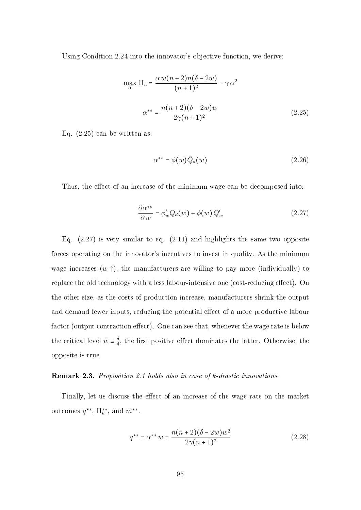Using Condition [2.24](#page-96-2) into the innovator's objective function, we derive:

<span id="page-97-0"></span>
$$
\max_{\alpha} \Pi_u = \frac{\alpha w(n+2)n(\delta - 2w)}{(n+1)^2} - \gamma \alpha^2
$$

$$
\alpha^{**} = \frac{n(n+2)(\delta - 2w)w}{2\gamma(n+1)^2}
$$
(2.25)

Eq. [\(2.25\)](#page-97-0) can be written as:

$$
\alpha^{**} = \phi(w)\bar{Q}_d(w) \tag{2.26}
$$

Thus, the effect of an increase of the minimum wage can be decomposed into:

<span id="page-97-1"></span>
$$
\frac{\partial \alpha^{**}}{\partial w} = \phi'_w \bar{Q}_d(w) + \phi(w) \bar{Q}'_w \tag{2.27}
$$

Eq.  $(2.27)$  is very similar to eq.  $(2.11)$  and highlights the same two opposite forces operating on the innovator's incentives to invest in quality. As the minimum wage increases  $(w \uparrow)$ , the manufacturers are willing to pay more (individually) to replace the old technology with a less labour-intensive one (cost-reducing effect). On the other size, as the costs of production increase, manufacturers shrink the output and demand fewer inputs, reducing the potential effect of a more productive labour factor (output contraction effect). One can see that, whenever the wage rate is below the critical level  $\bar{\bar{w}} \equiv \frac{\delta}{4}$  $\frac{\delta}{4}$ , the first positive effect dominates the latter. Otherwise, the opposite is true.

#### Remark 2.3. Proposition [2.1](#page-85-1) holds also in case of k-drastic innovations.

Finally, let us discuss the effect of an increase of the wage rate on the market outcomes  $q^{**}$ ,  $\Pi_{u}^{**}$ , and  $m^{**}$ .

$$
q^{**} = \alpha^{**} w = \frac{n(n+2)(\delta - 2w)w^2}{2\gamma(n+1)^2}
$$
\n(2.28)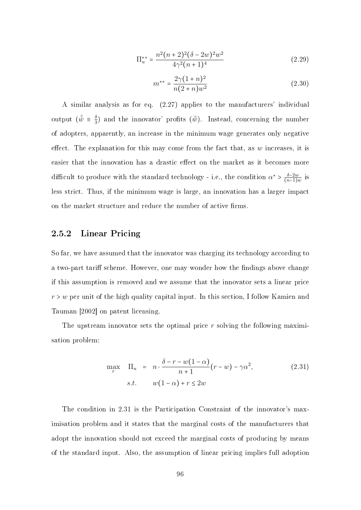$$
\Pi_{u}^{**} = \frac{n^2(n+2)^2(\delta - 2w)^2 w^2}{4\gamma^2(n+1)^4}
$$
\n(2.29)

$$
m^{**} = \frac{2\gamma(1+n)^2}{n(2+n)w^2}
$$
 (2.30)

A similar analysis as for eq. [\(2.27\)](#page-97-1) applies to the manufacturers' individual output  $(\tilde{\tilde{w}} \equiv \frac{\delta}{3})$  $\frac{\delta}{3}$ ) and the innovator' profits  $(\bar{\bar{w}})$ . Instead, concerning the number of adopters, apparently, an increase in the minimum wage generates only negative effect. The explanation for this may come from the fact that, as  $w$  increases, it is easier that the innovation has a drastic effect on the market as it becomes more difficult to produce with the standard technology - i.e., the condition  $\alpha^* > \frac{\delta - 2w}{(n-1)w}$  $\frac{\delta - 2w}{(n-1)w}$  is less strict. Thus, if the minimum wage is large, an innovation has a larger impact on the market structure and reduce the number of active firms.

### 2.5.2 Linear Pricing

So far, we have assumed that the innovator was charging its technology according to a two-part tariff scheme. However, one may wonder how the findings above change if this assumption is removed and we assume that the innovator sets a linear price  $r > w$  per unit of the high quality capital input. In this section, I follow Kamien and Tauman [2002] on patent licensing.

The upstream innovator sets the optimal price  $r$  solving the following maximisation problem:

<span id="page-98-0"></span>
$$
\max_{r} \quad \Pi_{u} = n \cdot \frac{\delta - r - w(1 - \alpha)}{n + 1} (r - w) - \gamma \alpha^{2},
$$
\n
$$
s.t. \quad w(1 - \alpha) + r \le 2w
$$
\n(2.31)

The condition in [2.31](#page-98-0) is the Participation Constraint of the innovator's maximisation problem and it states that the marginal costs of the manufacturers that adopt the innovation should not exceed the marginal costs of producing by means of the standard input. Also, the assumption of linear pricing implies full adoption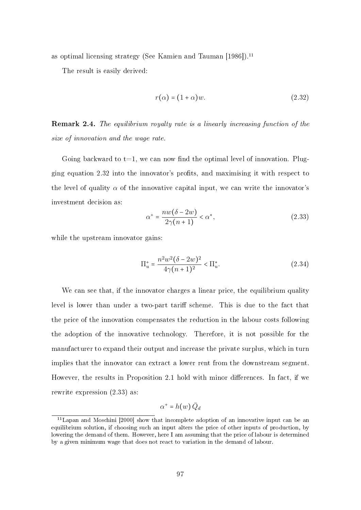as optimal licensing strategy (See Kamien and Tauman [1986]).[11](#page-99-0)

The result is easily derived:

<span id="page-99-1"></span>
$$
r(\alpha) = (1 + \alpha)w.\tag{2.32}
$$

Remark 2.4. The equilibrium royalty rate is a linearly increasing function of the size of innovation and the wage rate.

Going backward to  $t=1$ , we can now find the optimal level of innovation. Plugging equation [2.32](#page-99-1) into the innovator's prots, and maximising it with respect to the level of quality  $\alpha$  of the innovative capital input, we can write the innovator's investment decision as:

<span id="page-99-2"></span>
$$
\alpha^+ = \frac{nw(\delta - 2w)}{2\gamma(n+1)} < \alpha^*,\tag{2.33}
$$

while the upstream innovator gains:

$$
\Pi_u^+ = \frac{n^2 w^2 (\delta - 2w)^2}{4\gamma (n+1)^2} < \Pi_u^*.
$$
\n(2.34)

We can see that, if the innovator charges a linear price, the equilibrium quality level is lower than under a two-part tariff scheme. This is due to the fact that the price of the innovation compensates the reduction in the labour costs following the adoption of the innovative technology. Therefore, it is not possible for the manufacturer to expand their output and increase the private surplus, which in turn implies that the innovator can extract a lower rent from the downstream segment. However, the results in Proposition [2.1](#page-85-1) hold with minor differences. In fact, if we rewrite expression [\(2.33\)](#page-99-2) as:

$$
\alpha^+ = h(w) \, \bar{Q}_d
$$

<span id="page-99-0"></span> $11$ Lapan and Moschini [2000] show that incomplete adoption of an innovative input can be an equilibrium solution, if choosing such an input alters the price of other inputs of production, by lowering the demand of them. However, here I am assuming that the price of labour is determined by a given minimum wage that does not react to variation in the demand of labour.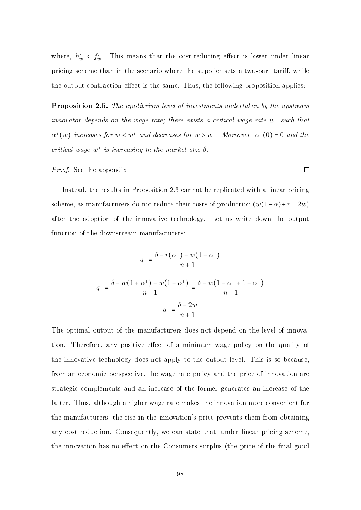where,  $h'_w < f'_w$ . This means that the cost-reducing effect is lower under linear pricing scheme than in the scenario where the supplier sets a two-part tariff, while the output contraction effect is the same. Thus, the following proposition applies:

Proposition 2.5. The equilibrium level of investments undertaken by the upstream innovator depends on the wage rate; there exists a critical wage rate w<sup>+</sup> such that  $\alpha^+(w)$  increases for  $w < w^+$  and decreases for  $w > w^+$ . Moreover,  $\alpha^+(0) = 0$  and the critical wage  $w^+$  is increasing in the market size  $\delta$ .

#### *Proof.* See the appendix.

Instead, the results in Proposition [2.3](#page-90-5) cannot be replicated with a linear pricing scheme, as manufacturers do not reduce their costs of production  $(w(1-\alpha)+r=2w)$ after the adoption of the innovative technology. Let us write down the output function of the downstream manufacturers:

$$
q^{+} = \frac{\delta - r(\alpha^{+}) - w(1 - \alpha^{+})}{n + 1}
$$

$$
q^{+} = \frac{\delta - w(1 + \alpha^{+}) - w(1 - \alpha^{+})}{n + 1} = \frac{\delta - w(1 - \alpha^{+} + 1 + \alpha^{+})}{n + 1}
$$

$$
q^{+} = \frac{\delta - 2w}{n + 1}
$$

The optimal output of the manufacturers does not depend on the level of innovation. Therefore, any positive effect of a minimum wage policy on the quality of the innovative technology does not apply to the output level. This is so because, from an economic perspective, the wage rate policy and the price of innovation are strategic complements and an increase of the former generates an increase of the latter. Thus, although a higher wage rate makes the innovation more convenient for the manufacturers, the rise in the innovation's price prevents them from obtaining any cost reduction. Consequently, we can state that, under linear pricing scheme, the innovation has no effect on the Consumers surplus (the price of the final good

 $\Box$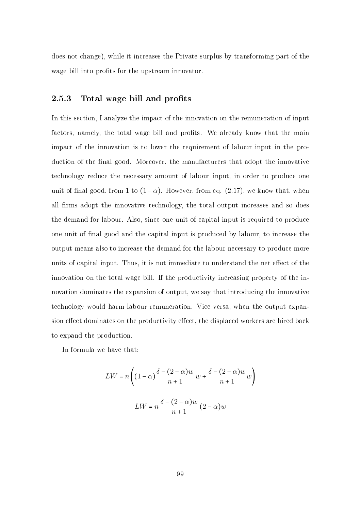does not change), while it increases the Private surplus by transforming part of the wage bill into profits for the upstream innovator.

## 2.5.3 Total wage bill and profits

In this section, I analyze the impact of the innovation on the remuneration of input factors, namely, the total wage bill and profits. We already know that the main impact of the innovation is to lower the requirement of labour input in the production of the final good. Moreover, the manufacturers that adopt the innovative technology reduce the necessary amount of labour input, in order to produce one unit of final good, from 1 to  $(1 - \alpha)$ . However, from eq. [\(2.17\)](#page-90-2), we know that, when all firms adopt the innovative technology, the total output increases and so does the demand for labour. Also, since one unit of capital input is required to produce one unit of final good and the capital input is produced by labour, to increase the output means also to increase the demand for the labour necessary to produce more units of capital input. Thus, it is not immediate to understand the net effect of the innovation on the total wage bill. If the productivity increasing property of the innovation dominates the expansion of output, we say that introducing the innovative technology would harm labour remuneration. Vice versa, when the output expansion effect dominates on the productivity effect, the displaced workers are hired back to expand the production.

In formula we have that:

$$
LW = n\left((1-\alpha)\frac{\delta - (2-\alpha)w}{n+1}w + \frac{\delta - (2-\alpha)w}{n+1}w\right)
$$

$$
LW = n\frac{\delta - (2-\alpha)w}{n+1}(2-\alpha)w
$$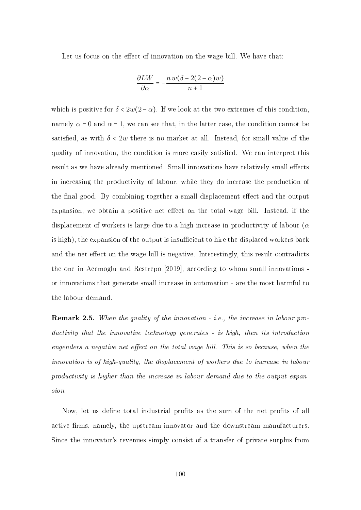Let us focus on the effect of innovation on the wage bill. We have that:

$$
\frac{\partial LW}{\partial \alpha} = -\frac{n w(\delta - 2(2 - \alpha)w)}{n + 1}
$$

which is positive for  $\delta < 2w(2-\alpha)$ . If we look at the two extremes of this condition namely  $\alpha = 0$  and  $\alpha = 1$ , we can see that, in the latter case, the condition cannot be satisfied, as with  $\delta < 2w$  there is no market at all. Instead, for small value of the quality of innovation, the condition is more easily satisfied. We can interpret this result as we have already mentioned. Small innovations have relatively small effects in increasing the productivity of labour, while they do increase the production of the final good. By combining together a small displacement effect and the output expansion, we obtain a positive net effect on the total wage bill. Instead, if the displacement of workers is large due to a high increase in productivity of labour ( $\alpha$ is high), the expansion of the output is insufficient to hire the displaced workers back and the net effect on the wage bill is negative. Interestingly, this result contradicts the one in Acemoglu and Restrepo [2019], according to whom small innovations or innovations that generate small increase in automation - are the most harmful to the labour demand.

Remark 2.5. When the quality of the innovation - i.e., the increase in labour productivity that the innovative technology generates - is high, then its introduction engenders a negative net effect on the total wage bill. This is so because, when the innovation is of high-quality, the displacement of workers due to increase in labour productivity is higher than the increase in labour demand due to the output expansion.

Now, let us define total industrial profits as the sum of the net profits of all active firms, namely, the upstream innovator and the downstream manufacturers. Since the innovator's revenues simply consist of a transfer of private surplus from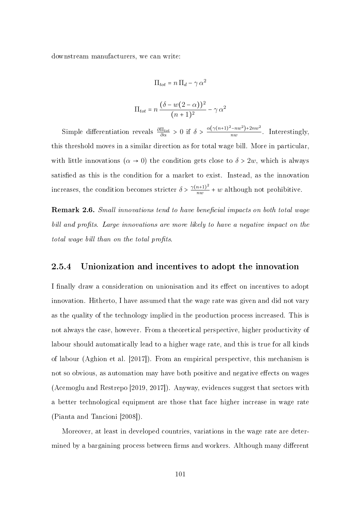downstream manufacturers, we can write:

$$
\Pi_{tot} = n \Pi_d - \gamma \alpha^2
$$

$$
\Pi_{tot} = n \frac{(\delta - w(2 - \alpha))^2}{(n + 1)^2} - \gamma \alpha^2
$$

Simple differentiation reveals  $\frac{\partial \Pi_{tot}}{\partial \alpha} > 0$  if  $\delta > \frac{\alpha (\gamma (n+1)^2 - n w^2) + 2 n w^2}{n w}$  $\frac{-nw}{nw}$  is the inerestingly, this threshold moves in a similar direction as for total wage bill. More in particular, with little innovations  $(\alpha \to 0)$  the condition gets close to  $\delta > 2w$ , which is always satisfied as this is the condition for a market to exist. Instead, as the innovation increases, the condition becomes stricter  $\delta > \frac{\gamma(n+1)^2}{nw}$  $\frac{n+1}{nw} + w$  although not prohibitive.

**Remark 2.6.** Small innovations tend to have beneficial impacts on both total wage bill and profits. Large innovations are more likely to have a negative impact on the total wage bill than on the total profits.

#### 2.5.4 Unionization and incentives to adopt the innovation

I finally draw a consideration on unionisation and its effect on incentives to adopt innovation. Hitherto, I have assumed that the wage rate was given and did not vary as the quality of the technology implied in the production process increased. This is not always the case, however. From a theoretical perspective, higher productivity of labour should automatically lead to a higher wage rate, and this is true for all kinds of labour (Aghion et al. [2017]). From an empirical perspective, this mechanism is not so obvious, as automation may have both positive and negative effects on wages (Acemoglu and Restrepo [2019, 2017]). Anyway, evidences suggest that sectors with a better technological equipment are those that face higher increase in wage rate (Pianta and Tancioni [2008]).

Moreover, at least in developed countries, variations in the wage rate are determined by a bargaining process between firms and workers. Although many different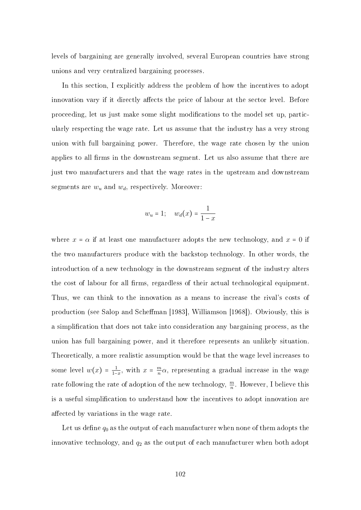levels of bargaining are generally involved, several European countries have strong unions and very centralized bargaining processes.

In this section, I explicitly address the problem of how the incentives to adopt innovation vary if it directly affects the price of labour at the sector level. Before proceeding, let us just make some slight modifications to the model set up, particularly respecting the wage rate. Let us assume that the industry has a very strong union with full bargaining power. Therefore, the wage rate chosen by the union applies to all firms in the downstream segment. Let us also assume that there are just two manufacturers and that the wage rates in the upstream and downstream segments are  $w_u$  and  $w_d$ , respectively. Moreover:

$$
w_u = 1; \quad w_d(x) = \frac{1}{1-x}
$$

where  $x = \alpha$  if at least one manufacturer adopts the new technology, and  $x = 0$  if the two manufacturers produce with the backstop technology. In other words, the introduction of a new technology in the downstream segment of the industry alters the cost of labour for all firms, regardless of their actual technological equipment. Thus, we can think to the innovation as a means to increase the rival's costs of production (see Salop and Scheman [1983], Williamson [1968]). Obviously, this is a simplication that does not take into consideration any bargaining process, as the union has full bargaining power, and it therefore represents an unlikely situation. Theoretically, a more realistic assumption would be that the wage level increases to some level  $w(x) = \frac{1}{1-x}$  $\frac{1}{1-x}$ , with  $x = \frac{m}{n}$  $\frac{m}{n}\alpha$ , representing a gradual increase in the wage rate following the rate of adoption of the new technology,  $\frac{m}{n}$ . However, I believe this is a useful simplication to understand how the incentives to adopt innovation are affected by variations in the wage rate.

Let us define  $q_0$  as the output of each manufacturer when none of them adopts the innovative technology, and  $q_2$  as the output of each manufacturer when both adopt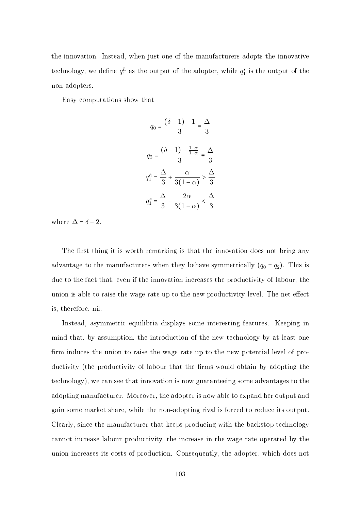the innovation. Instead, when just one of the manufacturers adopts the innovative technology, we define  $q_1^h$  as the output of the adopter, while  $q_1^s$  is the output of the non adopters.

Easy computations show that

$$
q_0 = \frac{(\delta - 1) - 1}{3} \equiv \frac{\Delta}{3}
$$

$$
q_2 = \frac{(\delta - 1) - \frac{1 - \alpha}{1 - \alpha}}{3} \equiv \frac{\Delta}{3}
$$

$$
q_1^h = \frac{\Delta}{3} + \frac{\alpha}{3(1 - \alpha)} > \frac{\Delta}{3}
$$

$$
q_1^s = \frac{\Delta}{3} - \frac{2\alpha}{3(1 - \alpha)} < \frac{\Delta}{3}
$$

where  $\Delta = \delta - 2$ .

The first thing it is worth remarking is that the innovation does not bring any advantage to the manufacturers when they behave symmetrically  $(q_0 = q_2)$ . This is due to the fact that, even if the innovation increases the productivity of labour, the union is able to raise the wage rate up to the new productivity level. The net effect is, therefore, nil.

Instead, asymmetric equilibria displays some interesting features. Keeping in mind that, by assumption, the introduction of the new technology by at least one firm induces the union to raise the wage rate up to the new potential level of productivity (the productivity of labour that the firms would obtain by adopting the technology), we can see that innovation is now guaranteeing some advantages to the adopting manufacturer. Moreover, the adopter is now able to expand her output and gain some market share, while the non-adopting rival is forced to reduce its output. Clearly, since the manufacturer that keeps producing with the backstop technology cannot increase labour productivity, the increase in the wage rate operated by the union increases its costs of production. Consequently, the adopter, which does not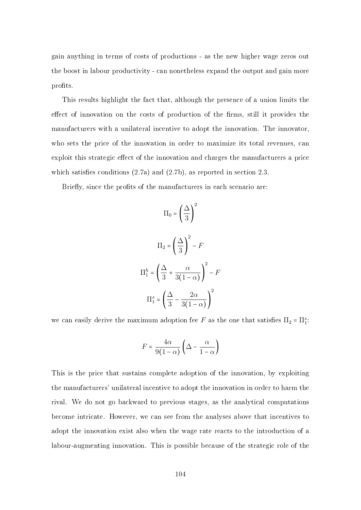gain anything in terms of costs of productions - as the new higher wage zeros out the boost in labour productivity - can nonetheless expand the output and gain more profits.

This results highlight the fact that, although the presence of a union limits the effect of innovation on the costs of production of the firms, still it provides the manufacturers with a unilateral incentive to adopt the innovation. The innovator, who sets the price of the innovation in order to maximize its total revenues, can exploit this strategic effect of the innovation and charges the manufacturers a price which satisfies conditions  $(2.7a)$  and  $(2.7b)$ , as reported in section [2.3.](#page-82-0)

Briefly, since the profits of the manufacturers in each scenario are:

$$
\Pi_0 = \left(\frac{\Delta}{3}\right)^2
$$

$$
\Pi_2 = \left(\frac{\Delta}{3}\right)^2 - F
$$

$$
\Pi_1^h = \left(\frac{\Delta}{3} + \frac{\alpha}{3(1-\alpha)}\right)^2 - F
$$

$$
\Pi_1^s = \left(\frac{\Delta}{3} - \frac{2\alpha}{3(1-\alpha)}\right)^2
$$

we can easily derive the maximum adoption fee F as the one that satisfies  $\Pi_2 = \Pi_1^s$ :

$$
F = \frac{4\alpha}{9(1-\alpha)} \left(\Delta - \frac{\alpha}{1-\alpha}\right)
$$

This is the price that sustains complete adoption of the innovation, by exploiting the manufacturers' unilateral incentive to adopt the innovation in order to harm the rival. We do not go backward to previous stages, as the analytical computations become intricate. However, we can see from the analyses above that incentives to adopt the innovation exist also when the wage rate reacts to the introduction of a labour-augmenting innovation. This is possible because of the strategic role of the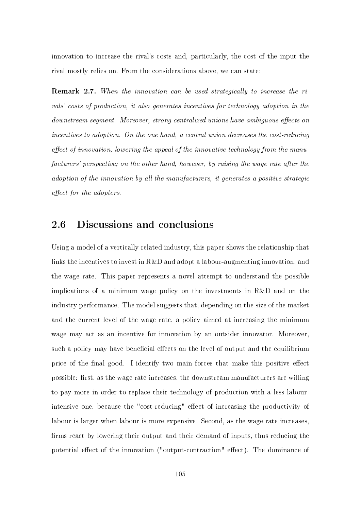innovation to increase the rival's costs and, particularly, the cost of the input the rival mostly relies on. From the considerations above, we can state:

Remark 2.7. When the innovation can be used strategically to increase the rivals' costs of production, it also generates incentives for technology adoption in the downstream segment. Moreover, strong centralized unions have ambiguous effects on incentives to adoption. On the one hand, a central union decreases the cost-reducing effect of innovation, lowering the appeal of the innovative technology from the manufacturers' perspective; on the other hand, however, by raising the wage rate after the adoption of the innovation by all the manufacturers, it generates a positive strategic  $effect$  for the adopters.

## <span id="page-107-0"></span>2.6 Discussions and conclusions

Using a model of a vertically related industry, this paper shows the relationship that links the incentives to invest in R&D and adopt a labour-augmenting innovation, and the wage rate. This paper represents a novel attempt to understand the possible implications of a minimum wage policy on the investments in R&D and on the industry performance. The model suggests that, depending on the size of the market and the current level of the wage rate, a policy aimed at increasing the minimum wage may act as an incentive for innovation by an outsider innovator. Moreover, such a policy may have beneficial effects on the level of output and the equilibrium price of the final good. I identify two main forces that make this positive effect possible: first, as the wage rate increases, the downstream manufacturers are willing to pay more in order to replace their technology of production with a less labourintensive one, because the "cost-reducing" effect of increasing the productivity of labour is larger when labour is more expensive. Second, as the wage rate increases, firms react by lowering their output and their demand of inputs, thus reducing the potential effect of the innovation ("output-contraction" effect). The dominance of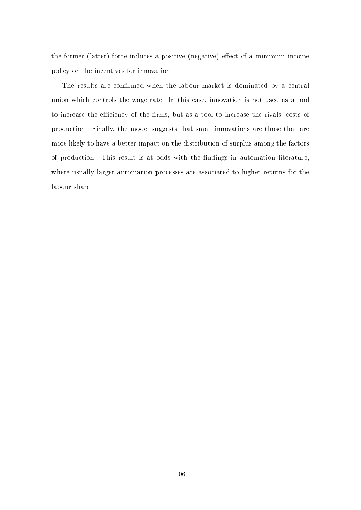the former (latter) force induces a positive (negative) effect of a minimum income policy on the incentives for innovation.

The results are confirmed when the labour market is dominated by a central union which controls the wage rate. In this case, innovation is not used as a tool to increase the efficiency of the firms, but as a tool to increase the rivals' costs of production. Finally, the model suggests that small innovations are those that are more likely to have a better impact on the distribution of surplus among the factors of production. This result is at odds with the findings in automation literature, where usually larger automation processes are associated to higher returns for the labour share.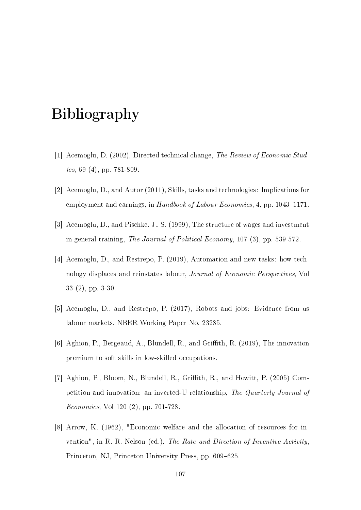# Bibliography

- [1] Acemoglu, D. (2002), Directed technical change, The Review of Economic Stud*ies*, 69 (4), pp. 781-809.
- [2] Acemoglu, D., and Autor (2011), Skills, tasks and technologies: Implications for employment and earnings, in  $Handbook$  of Labour Economics, 4, pp. 1043-1171.
- [3] Acemoglu, D., and Pischke, J., S. (1999), The structure of wages and investment in general training, The Journal of Political Economy, 107 (3), pp. 539-572.
- [4] Acemoglu, D., and Restrepo, P. (2019), Automation and new tasks: how technology displaces and reinstates labour, Journal of Economic Perspectives, Vol 33 (2), pp. 3-30.
- [5] Acemoglu, D., and Restrepo, P. (2017), Robots and jobs: Evidence from us labour markets. NBER Working Paper No. 23285.
- [6] Aghion, P., Bergeaud, A., Blundell, R., and Grith, R. (2019), The innovation premium to soft skills in low-skilled occupations.
- [7] Aghion, P., Bloom, N., Blundell, R., Griffith, R., and Howitt, P. (2005) Competition and innovation: an inverted-U relationship, The Quarterly Journal of Economics, Vol 120 (2), pp. 701-728.
- [8] Arrow, K. (1962), "Economic welfare and the allocation of resources for invention", in R. R. Nelson (ed.), The Rate and Direction of Inventive Activity, Princeton, NJ, Princeton University Press, pp. 609–625.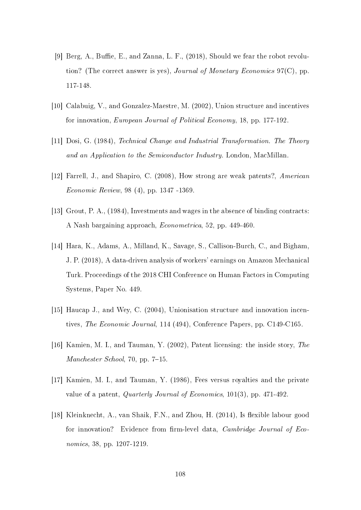- [9] Berg, A., Buffie, E., and Zanna, L. F.,  $(2018)$ , Should we fear the robot revolution? (The correct answer is yes), Journal of Monetary Economics  $97(C)$ , pp. 117-148.
- [10] Calabuig, V., and Gonzalez-Maestre, M. (2002), Union structure and incentives for innovation, European Journal of Political Economy, 18, pp. 177-192.
- [11] Dosi, G. (1984), Technical Change and Industrial Transformation. The Theory and an Application to the Semiconductor Industry. London, MacMillan.
- [12] Farrell, J., and Shapiro, C. (2008), How strong are weak patents?, American Economic Review, 98 (4), pp. 1347 -1369.
- [13] Grout, P. A., (1984), Investments and wages in the absence of binding contracts: A Nash bargaining approach, Econometrica, 52, pp. 449-460.
- [14] Hara, K., Adams, A., Milland, K., Savage, S., Callison-Burch, C., and Bigham, J. P. (2018), A data-driven analysis of workers' earnings on Amazon Mechanical Turk. Proceedings of the 2018 CHI Conference on Human Factors in Computing Systems, Paper No. 449.
- [15] Haucap J., and Wey, C. (2004), Unionisation structure and innovation incentives, The Economic Journal, 114 (494), Conference Papers, pp. C149-C165.
- [16] Kamien, M. I., and Tauman, Y. (2002), Patent licensing: the inside story, The Manchester School, 70, pp.  $7-15$ .
- [17] Kamien, M. I., and Tauman, Y. (1986), Fees versus royalties and the private value of a patent, Quarterly Journal of Economics, 101(3), pp. 471-492.
- [18] Kleinknecht, A., van Shaik, F.N., and Zhou, H.  $(2014)$ , Is flexible labour good for innovation? Evidence from firm-level data, *Cambridge Journal of Eco*nomics, 38, pp. 1207-1219.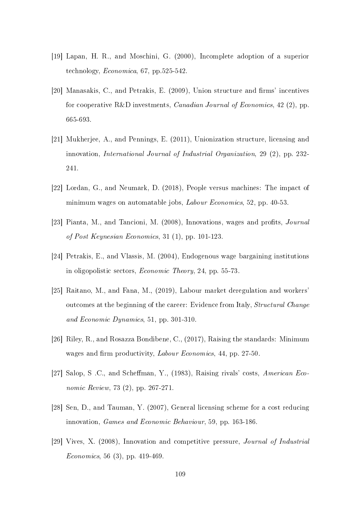- [19] Lapan, H. R., and Moschini, G. (2000), Incomplete adoption of a superior technology, Economica, 67, pp.525-542.
- [20] Manasakis, C., and Petrakis, E. (2009), Union structure and firms' incentives for cooperative R&D investments, *Canadian Journal of Economics*, 42 (2), pp. 665-693.
- [21] Mukherjee, A., and Pennings, E. (2011), Unionization structure, licensing and innovation, International Journal of Industrial Organization, 29 (2), pp. 232- 241.
- [22] Lordan, G., and Neumark, D. (2018), People versus machines: The impact of minimum wages on automatable jobs, Labour Economics, 52, pp. 40-53.
- [23] Pianta, M., and Tancioni, M. (2008), Innovations, wages and profits, *Journal* of Post Keynesian Economics, 31 (1), pp. 101-123.
- [24] Petrakis, E., and Vlassis, M. (2004), Endogenous wage bargaining institutions in oligopolistic sectors, Economic Theory, 24, pp. 55-73.
- [25] Raitano, M., and Fana, M., (2019), Labour market deregulation and workers' outcomes at the beginning of the career: Evidence from Italy, Structural Change and Economic Dynamics, 51, pp. 301-310.
- [26] Riley, R., and Rosazza Bondibene, C., (2017), Raising the standards: Minimum wages and firm productivity, Labour Economics, 44, pp. 27-50.
- [27] Salop, S .C., and Scheffman, Y., (1983), Raising rivals' costs, American Economic Review, 73 (2), pp. 267-271.
- [28] Sen, D., and Tauman, Y. (2007), General licensing scheme for a cost reducing innovation, Games and Economic Behaviour, 59, pp. 163-186.
- [29] Vives, X. (2008), Innovation and competitive pressure, Journal of Industrial Economics, 56 (3), pp. 419-469.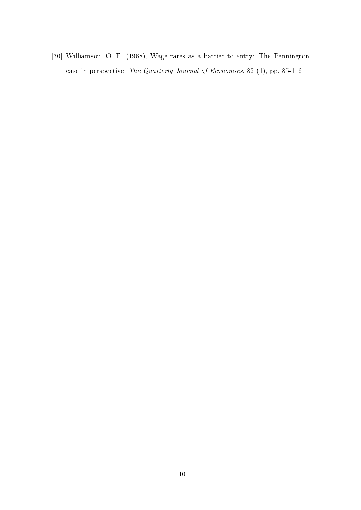[30] Williamson, O. E. (1968), Wage rates as a barrier to entry: The Pennington case in perspective, The Quarterly Journal of Economics, 82 (1), pp. 85-116.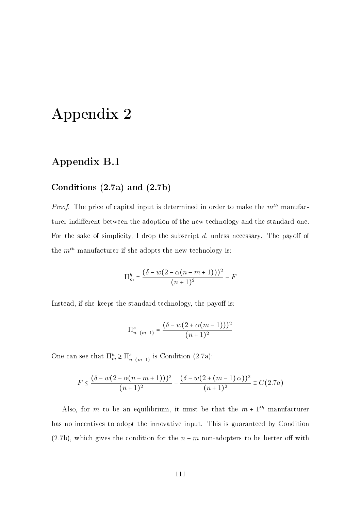## Appendix 2

### Appendix B.1

#### Conditions [\(2.7a\)](#page-84-0) and [\(2.7b\)](#page-84-1)

*Proof.* The price of capital input is determined in order to make the  $m^{th}$  manufacturer indifferent between the adoption of the new technology and the standard one. For the sake of simplicity, I drop the subscript  $d$ , unless necessary. The payoff of the  $m<sup>th</sup>$  manufacturer if she adopts the new technology is:

$$
\Pi_m^h = \frac{(\delta - w(2 - \alpha(n-m+1)))^2}{(n+1)^2} - F
$$

Instead, if she keeps the standard technology, the payoff is:

$$
\Pi_{n-(m-1)}^s = \frac{(\delta - w(2 + \alpha(m-1)))^2}{(n+1)^2}
$$

One can see that  $\Pi_m^h \geq \Pi_{n-(m-1)}^s$  is Condition [\(2.7a\)](#page-84-0):

$$
F \le \frac{(\delta - w(2 - \alpha(n - m + 1)))^2}{(n + 1)^2} - \frac{(\delta - w(2 + (m - 1)\alpha))^2}{(n + 1)^2} \equiv C(2.7a)
$$

Also, for m to be an equilibrium, it must be that the  $m + 1<sup>th</sup>$  manufacturer has no incentives to adopt the innovative input. This is guaranteed by Condition [\(2.7b\)](#page-84-1), which gives the condition for the  $n - m$  non-adopters to be better off with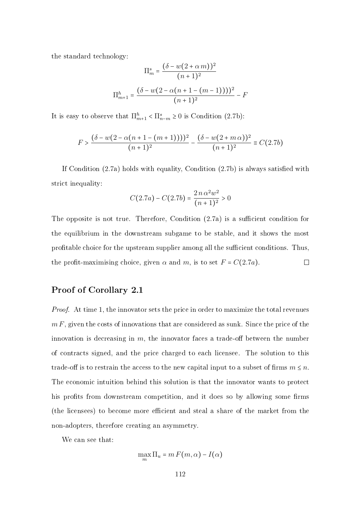the standard technology:

$$
\Pi_m^s = \frac{(\delta - w(2 + \alpha m))^2}{(n+1)^2}
$$

$$
\Pi_{m+1}^h = \frac{(\delta - w(2 - \alpha(n+1 - (m-1))))^2}{(n+1)^2} - F
$$

It is easy to observe that  $\Pi_{m+1}^h < \Pi_{n-m}^s \geq 0$  is Condition [\(2.7b\)](#page-84-1):

$$
F > \frac{(\delta - w(2 - \alpha(n + 1 - (m + 1))))^2}{(n + 1)^2} - \frac{(\delta - w(2 + m\alpha))^2}{(n + 1)^2} \equiv C(2.7b)
$$

If Condition  $(2.7a)$  holds with equality, Condition  $(2.7b)$  is always satisfied with strict inequality:

$$
C(2.7a) - C(2.7b) = \frac{2 n \alpha^2 w^2}{(n+1)^2} > 0
$$

The opposite is not true. Therefore, Condition  $(2.7a)$  is a sufficient condition for the equilibrium in the downstream subgame to be stable, and it shows the most profitable choice for the upstream supplier among all the sufficient conditions. Thus, the profit-m[a](#page-84-0)ximising choice, given  $\alpha$  and  $m$ , is to set  $F = C(2.7a)$ .  $\Box$ 

#### Proof of Corollary 2.1

Proof. At time 1, the innovator sets the price in order to maximize the total revenues  $m F$ , given the costs of innovations that are considered as sunk. Since the price of the innovation is decreasing in  $m$ , the innovator faces a trade-off between the number of contracts signed, and the price charged to each licensee. The solution to this trade-off is to restrain the access to the new capital input to a subset of firms  $m \leq n$ . The economic intuition behind this solution is that the innovator wants to protect his profits from downstream competition, and it does so by allowing some firms (the licensees) to become more efficient and steal a share of the market from the non-adopters, therefore creating an asymmetry.

We can see that:

$$
\max_{m} \Pi_{u} = m F(m, \alpha) - I(\alpha)
$$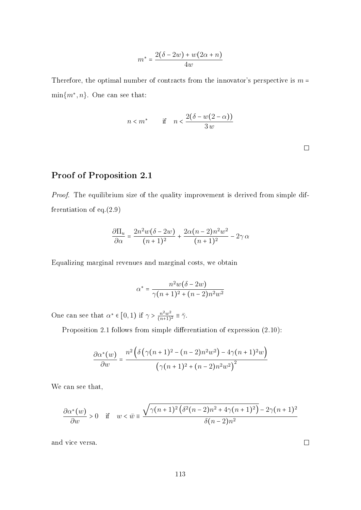$$
m^* = \frac{2(\delta - 2w) + w(2\alpha + n)}{4w}
$$

Therefore, the optimal number of contracts from the innovator's perspective is  $m =$  $\min\{m^*, n\}.$  One can see that:

$$
n < m^* \qquad \text{if} \quad n < \frac{2(\delta - w(2 - \alpha))}{3w}
$$

 $\Box$ 

#### Proof of Proposition [2.1](#page-85-0)

Proof. The equilibrium size of the quality improvement is derived from simple differentiation of eq.[\(2.9\)](#page-85-1)

$$
\frac{\partial \Pi_u}{\partial \alpha} = \frac{2n^2 w (\delta - 2w)}{(n+1)^2} + \frac{2\alpha (n-2)n^2 w^2}{(n+1)^2} - 2\gamma \alpha
$$

Equalizing marginal revenues and marginal costs, we obtain

$$
\alpha^* = \frac{n^2 w (\delta - 2w)}{\gamma (n+1)^2 + (n-2)n^2 w^2}
$$

One can see that  $\alpha^* \in [0,1)$  if  $\gamma > \frac{n^2w^2}{(n+1)}$  $\frac{n^2w^2}{(n+1)^2} \equiv \bar{\gamma}.$ 

Proposition [2.1](#page-85-0) follows from simple differentiation of expression  $(2.10)$ :

$$
\frac{\partial \alpha^*(w)}{\partial w} = \frac{n^2 \left( \delta \left( \gamma (n+1)^2 - (n-2)n^2 w^2 \right) - 4\gamma (n+1)^2 w \right)}{\left( \gamma (n+1)^2 + (n-2)n^2 w^2 \right)^2}
$$

We can see that,

$$
\frac{\partial \alpha^*(w)}{\partial w} > 0 \quad \text{if} \quad w < \bar{w} \equiv \frac{\sqrt{\gamma(n+1)^2 \left(\delta^2(n-2)n^2 + 4\gamma(n+1)^2\right)} - 2\gamma(n+1)^2}{\delta(n-2)n^2}
$$

and vice versa.

 $\Box$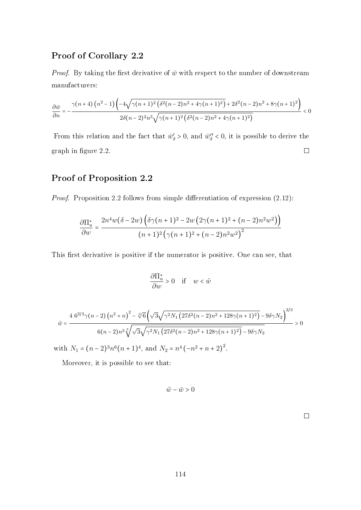#### Proof of Corollary [2.2](#page-88-0)

*Proof.* By taking the first derivative of  $\bar{w}$  with respect to the number of downstream manufacturers:

$$
\frac{\partial \bar{w}}{\partial n} = -\frac{\gamma (n+4) \left(n^2-1\right) \left(-4 \sqrt{\gamma (n+1)^2 \left(\delta ^2 (n-2) n^2+4 \gamma (n+1)^2\right)}+2 \delta ^2 (n-2) n^2+8 \gamma (n+1)^2\right)}{2 \delta (n-2)^2 n^3 \sqrt{\gamma (n+1)^2 \left(\delta ^2 (n-2) n^2+4 \gamma (n+1)^2\right)}}<0
$$

From this relation and the fact that  $\bar{w}_i'$  $\bar{\delta} > 0$ , and  $\bar{w}''_{\delta}$  $\delta''$  < 0, it is possible to derive the graph in figure [2.2.](#page-87-0)  $\Box$ 

### Proof of Proposition [2.2](#page-88-1)

*Proof.* Proposition [2.2](#page-88-1) follows from simple differentiation of expression  $(2.12)$ :

$$
\frac{\partial \Pi_u^*}{\partial w} = \frac{2n^4w(\delta - 2w)\left(\delta\gamma(n+1)^2 - 2w\left(2\gamma(n+1)^2 + (n-2)n^2w^2\right)\right)}{(n+1)^2\left(\gamma(n+1)^2 + (n-2)n^2w^2\right)^2}
$$

This first derivative is positive if the numerator is positive. One can see, that

$$
\frac{\partial \Pi_u^*}{\partial w} > 0 \quad \text{if} \quad w < \tilde{w}
$$

$$
\tilde{w} = \frac{4 \ 6^{2/3} \gamma (n-2) \left(n^2+n\right)^2 - \sqrt[3]{6} \left(\sqrt{3} \sqrt{\gamma^2 N_1 \left(27 \delta^2 (n-2) n^2+128 \gamma (n+1)^2\right)} - 9 \delta \gamma N_2\right)^{2/3}}{6 (n-2) n^2 \sqrt[3]{\sqrt{3} \sqrt{\gamma^2 N_1 \left(27 \delta^2 (n-2) n^2+128 \gamma (n+1)^2\right)} - 9 \delta \gamma N_2}} > 0
$$

with  $N_1 = (n-2)^3 n^6 (n+1)^4$ , and  $N_2 = n^4 (-n^2 + n + 2)^2$ .

Moreover, it is possible to see that:

$$
\tilde{w}-\bar{w}>0
$$

 $\Box$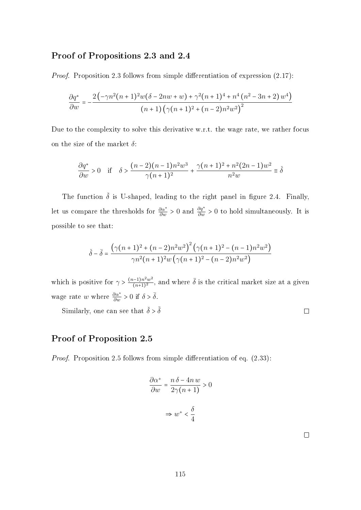#### Proof of Propositions [2.3](#page-90-0) and [2.4](#page-92-0)

*Proof.* Proposition [2.3](#page-90-0) follows from simple differentiation of expression  $(2.17)$ :

$$
\frac{\partial q^*}{\partial w} = -\frac{2(-\gamma n^2(n+1)^2 w (\delta - 2nw + w) + \gamma^2(n+1)^4 + n^4 (n^2 - 3n + 2) w^4)}{(n+1) (\gamma(n+1)^2 + (n-2) n^2 w^2)^2}
$$

Due to the complexity to solve this derivative w.r.t. the wage rate, we rather focus on the size of the market  $\delta$ :

$$
\frac{\partial q^*}{\partial w} > 0 \quad \text{if} \quad \delta > \frac{(n-2)(n-1)n^2w^3}{\gamma(n+1)^2} + \frac{\gamma(n+1)^2 + n^2(2n-1)w^2}{n^2w} \equiv \check{\delta}
$$

The function  $\check{\delta}$  is U-shaped, leading to the right panel in figure [2.4.](#page-91-0) Finally, let us compare the thresholds for  $\frac{\partial \alpha^*}{\partial w} > 0$  and  $\frac{\partial q^*}{\partial w} > 0$  to hold simultaneously. It is possible to see that:

$$
\check{\delta} - \bar{\delta} = \frac{(\gamma(n+1)^2 + (n-2)n^2w^2)^2 (\gamma(n+1)^2 - (n-1)n^2w^2)}{\gamma n^2(n+1)^2 w (\gamma(n+1)^2 - (n-2)n^2w^2)}
$$

which is positive for  $\gamma > \frac{(n-1)n^2w^2}{(n+1)^2}$  $\frac{(n-1)n^2w^2}{(n+1)^2}$ , and where  $\bar{\delta}$  is the critical market size at a given wage rate w where  $\frac{\partial \alpha^*}{\partial w} > 0$  if  $\delta > \overline{\delta}$ .

Similarly, one can see that  $\check{\delta} > \tilde{\delta}$ 

#### Proof of Proposition [2.5](#page-100-0)

*Proof.* Proposition [2.5](#page-100-0) follows from simple differentiation of eq.  $(2.33)$ :

$$
\frac{\partial \alpha^+}{\partial w} = \frac{n \delta - 4n w}{2\gamma(n+1)} > 0
$$

$$
\Rightarrow w^+ < \frac{\delta}{4}
$$

 $\Box$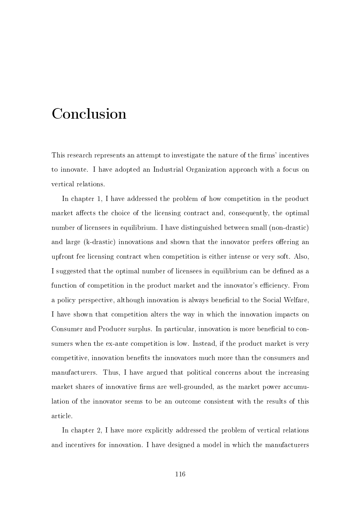## Conclusion

This research represents an attempt to investigate the nature of the firms' incentives to innovate. I have adopted an Industrial Organization approach with a focus on vertical relations.

In chapter 1, I have addressed the problem of how competition in the product market affects the choice of the licensing contract and, consequently, the optimal number of licensees in equilibrium. I have distinguished between small (non-drastic) and large (k-drastic) innovations and shown that the innovator prefers offering an upfront fee licensing contract when competition is either intense or very soft. Also, I suggested that the optimal number of licensees in equilibrium can be dened as a function of competition in the product market and the innovator's efficiency. From a policy perspective, although innovation is always beneficial to the Social Welfare, I have shown that competition alters the way in which the innovation impacts on Consumer and Producer surplus. In particular, innovation is more beneficial to consumers when the ex-ante competition is low. Instead, if the product market is very competitive, innovation benets the innovators much more than the consumers and manufacturers. Thus, I have argued that political concerns about the increasing market shares of innovative firms are well-grounded, as the market power accumulation of the innovator seems to be an outcome consistent with the results of this article.

In chapter 2, I have more explicitly addressed the problem of vertical relations and incentives for innovation. I have designed a model in which the manufacturers